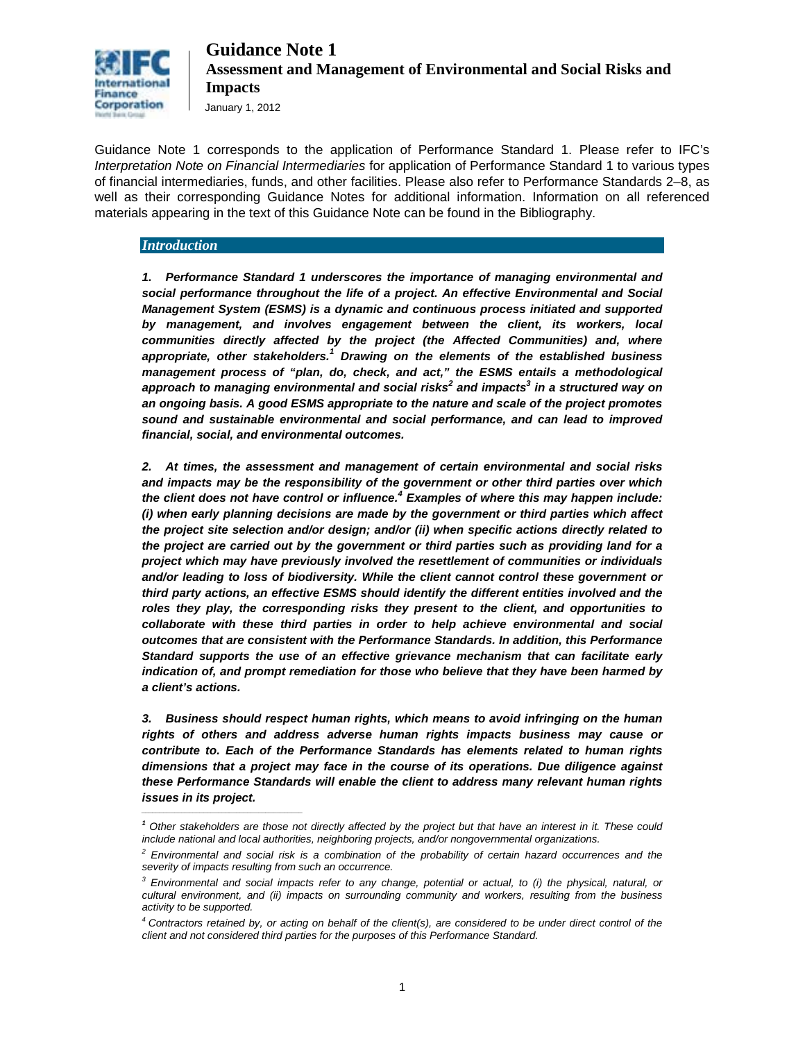

January 1, 2012

Guidance Note 1 corresponds to the application of Performance Standard 1. Please refer to IFC's *Interpretation Note on Financial Intermediaries* for application of Performance Standard 1 to various types of financial intermediaries, funds, and other facilities. Please also refer to Performance Standards 2–8, as well as their corresponding Guidance Notes for additional information. Information on all referenced materials appearing in the text of this Guidance Note can be found in the Bibliography.

#### *Introduction*

*\_\_\_\_\_\_\_\_\_\_\_\_\_\_\_\_\_\_\_\_\_\_\_\_\_\_\_\_\_\_\_\_\_\_\_\_\_\_\_\_\_\_\_\_*

*1. Performance Standard 1 underscores the importance of managing environmental and social performance throughout the life of a project. An effective Environmental and Social Management System (ESMS) is a dynamic and continuous process initiated and supported*  by management, and involves engagement between the client, its workers, local *communities directly affected by the project (the Affected Communities) and, where appropriate, other stakeholders.<sup>1</sup> Drawing on the elements of the established business management process of "plan, do, check, and act," the ESMS entails a methodological approach to managing environmental and social risks<sup>2</sup> and impacts3 in a structured way on an ongoing basis. A good ESMS appropriate to the nature and scale of the project promotes sound and sustainable environmental and social performance, and can lead to improved financial, social, and environmental outcomes.*

*2. At times, the assessment and management of certain environmental and social risks and impacts may be the responsibility of the government or other third parties over which the client does not have control or influence. <sup>4</sup> Examples of where this may happen include: (i) when early planning decisions are made by the government or third parties which affect the project site selection and/or design; and/or (ii) when specific actions directly related to the project are carried out by the government or third parties such as providing land for a project which may have previously involved the resettlement of communities or individuals and/or leading to loss of biodiversity. While the client cannot control these government or third party actions, an effective ESMS should identify the different entities involved and the roles they play, the corresponding risks they present to the client, and opportunities to collaborate with these third parties in order to help achieve environmental and social outcomes that are consistent with the Performance Standards. In addition, this Performance Standard supports the use of an effective grievance mechanism that can facilitate early indication of, and prompt remediation for those who believe that they have been harmed by a client's actions.* 

*3. Business should respect human rights, which means to avoid infringing on the human rights of others and address adverse human rights impacts business may cause or contribute to. Each of the Performance Standards has elements related to human rights dimensions that a project may face in the course of its operations. Due diligence against these Performance Standards will enable the client to address many relevant human rights issues in its project.*

*<sup>1</sup> Other stakeholders are those not directly affected by the project but that have an interest in it. These could include national and local authorities, neighboring projects, and/or nongovernmental organizations.* 

*<sup>2</sup> Environmental and social risk is a combination of the probability of certain hazard occurrences and the severity of impacts resulting from such an occurrence.* 

*<sup>3</sup> Environmental and social impacts refer to any change, potential or actual, to (i) the physical, natural, or cultural environment, and (ii) impacts on surrounding community and workers, resulting from the business activity to be supported.* 

*<sup>4</sup> Contractors retained by, or acting on behalf of the client(s), are considered to be under direct control of the client and not considered third parties for the purposes of this Performance Standard.*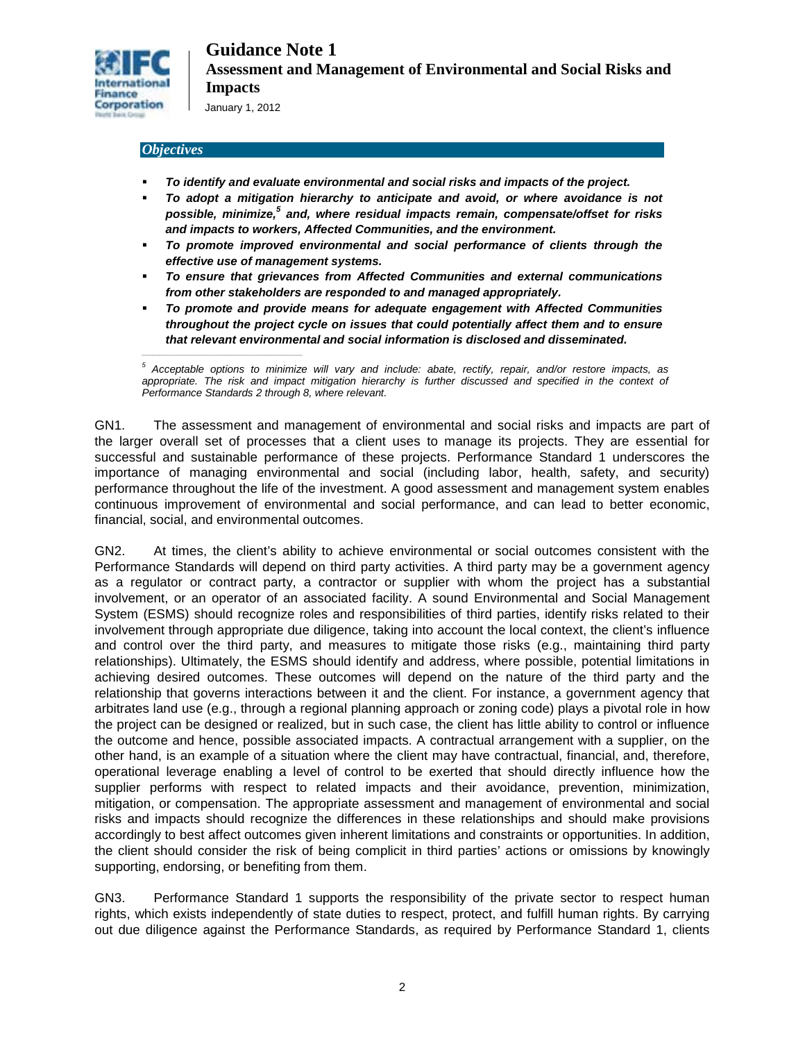

*\_\_\_\_\_\_\_\_\_\_\_\_\_\_\_\_\_\_\_\_\_\_\_\_\_\_\_\_\_\_\_\_\_\_\_\_\_\_\_\_\_\_\_\_*

#### *Objectives*

- *To identify and evaluate environmental and social risks and impacts of the project.*
- *To adopt a mitigation hierarchy to anticipate and avoid, or where avoidance is not possible, minimize,<sup>5</sup> and, where residual impacts remain, compensate/offset for risks and impacts to workers, Affected Communities, and the environment.*
- *To promote improved environmental and social performance of clients through the effective use of management systems.*
- *To ensure that grievances from Affected Communities and external communications from other stakeholders are responded to and managed appropriately.*
- *To promote and provide means for adequate engagement with Affected Communities throughout the project cycle on issues that could potentially affect them and to ensure that relevant environmental and social information is disclosed and disseminated.*

*<sup>5</sup> Acceptable options to minimize will vary and include: abate, rectify, repair, and/or restore impacts, as*  appropriate. The risk and impact mitigation hierarchy is further discussed and specified in the context of *Performance Standards 2 through 8, where relevant.*

GN1. The assessment and management of environmental and social risks and impacts are part of the larger overall set of processes that a client uses to manage its projects. They are essential for successful and sustainable performance of these projects. Performance Standard 1 underscores the importance of managing environmental and social (including labor, health, safety, and security) performance throughout the life of the investment. A good assessment and management system enables continuous improvement of environmental and social performance, and can lead to better economic, financial, social, and environmental outcomes.

GN2. At times, the client's ability to achieve environmental or social outcomes consistent with the Performance Standards will depend on third party activities. A third party may be a government agency as a regulator or contract party, a contractor or supplier with whom the project has a substantial involvement, or an operator of an associated facility. A sound Environmental and Social Management System (ESMS) should recognize roles and responsibilities of third parties, identify risks related to their involvement through appropriate due diligence, taking into account the local context, the client's influence and control over the third party, and measures to mitigate those risks (e.g., maintaining third party relationships). Ultimately, the ESMS should identify and address, where possible, potential limitations in achieving desired outcomes. These outcomes will depend on the nature of the third party and the relationship that governs interactions between it and the client. For instance, a government agency that arbitrates land use (e.g., through a regional planning approach or zoning code) plays a pivotal role in how the project can be designed or realized, but in such case, the client has little ability to control or influence the outcome and hence, possible associated impacts. A contractual arrangement with a supplier, on the other hand, is an example of a situation where the client may have contractual, financial, and, therefore, operational leverage enabling a level of control to be exerted that should directly influence how the supplier performs with respect to related impacts and their avoidance, prevention, minimization, mitigation, or compensation. The appropriate assessment and management of environmental and social risks and impacts should recognize the differences in these relationships and should make provisions accordingly to best affect outcomes given inherent limitations and constraints or opportunities. In addition, the client should consider the risk of being complicit in third parties' actions or omissions by knowingly supporting, endorsing, or benefiting from them.

GN3. Performance Standard 1 supports the responsibility of the private sector to respect human rights, which exists independently of state duties to respect, protect, and fulfill human rights. By carrying out due diligence against the Performance Standards, as required by Performance Standard 1, clients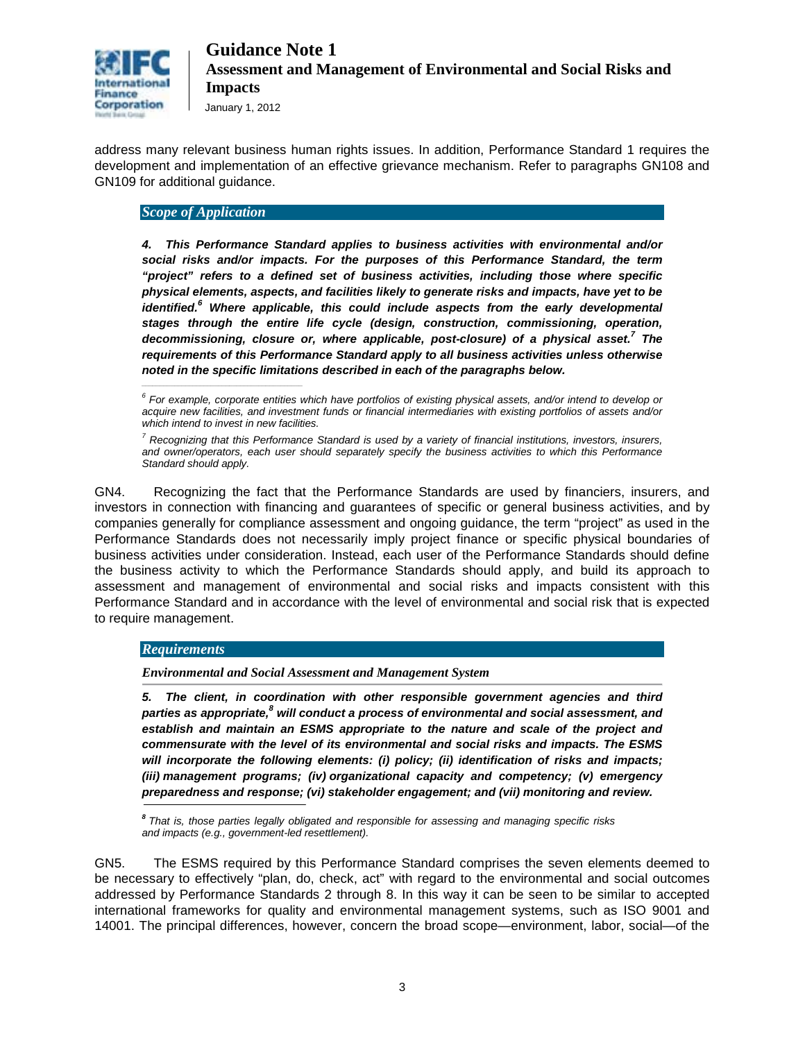

address many relevant business human rights issues. In addition, Performance Standard 1 requires the development and implementation of an effective grievance mechanism. Refer to paragraphs GN108 and GN109 for additional guidance.

#### *Scope of Application*

*4. This Performance Standard applies to business activities with environmental and/or social risks and/or impacts. For the purposes of this Performance Standard, the term "project" refers to a defined set of business activities, including those where specific physical elements, aspects, and facilities likely to generate risks and impacts, have yet to be identified.*<sup>6</sup> Where applicable, this could include aspects from the early developmental *stages through the entire life cycle (design, construction, commissioning, operation, decommissioning, closure or, where applicable, post-closure) of a physical asset.<sup>7</sup> The requirements of this Performance Standard apply to all business activities unless otherwise*  noted in the specific limitations described in each of the paragraphs below.

GN4. Recognizing the fact that the Performance Standards are used by financiers, insurers, and investors in connection with financing and guarantees of specific or general business activities, and by companies generally for compliance assessment and ongoing guidance, the term "project" as used in the Performance Standards does not necessarily imply project finance or specific physical boundaries of business activities under consideration. Instead, each user of the Performance Standards should define the business activity to which the Performance Standards should apply, and build its approach to assessment and management of environmental and social risks and impacts consistent with this Performance Standard and in accordance with the level of environmental and social risk that is expected to require management.

#### *Requirements*

*Environmental and Social Assessment and Management System*

*5. The client, in coordination with other responsible government agencies and third parties as appropriate,<sup>8</sup> will conduct a process of environmental and social assessment, and*  establish and maintain an ESMS appropriate to the nature and scale of the project and *commensurate with the level of its environmental and social risks and impacts. The ESMS will incorporate the following elements: (i) policy; (ii) identification of risks and impacts; (iii) management programs; (iv) organizational capacity and competency; (v) emergency preparedness and response; (vi) stakeholder engagement; and (vii) monitoring and review.* 

GN5. The ESMS required by this Performance Standard comprises the seven elements deemed to be necessary to effectively "plan, do, check, act" with regard to the environmental and social outcomes addressed by Performance Standards 2 through 8. In this way it can be seen to be similar to accepted international frameworks for quality and environmental management systems, such as ISO 9001 and 14001. The principal differences, however, concern the broad scope—environment, labor, social—of the

*<sup>6</sup> For example, corporate entities which have portfolios of existing physical assets, and/or intend to develop or acquire new facilities, and investment funds or financial intermediaries with existing portfolios of assets and/or which intend to invest in new facilities.* 

*<sup>7</sup> Recognizing that this Performance Standard is used by a variety of financial institutions, investors, insurers, and owner/operators, each user should separately specify the business activities to which this Performance Standard should apply.* 

*<sup>8</sup>That is, those parties legally obligated and responsible for assessing and managing specific risks and impacts (e.g., government-led resettlement).*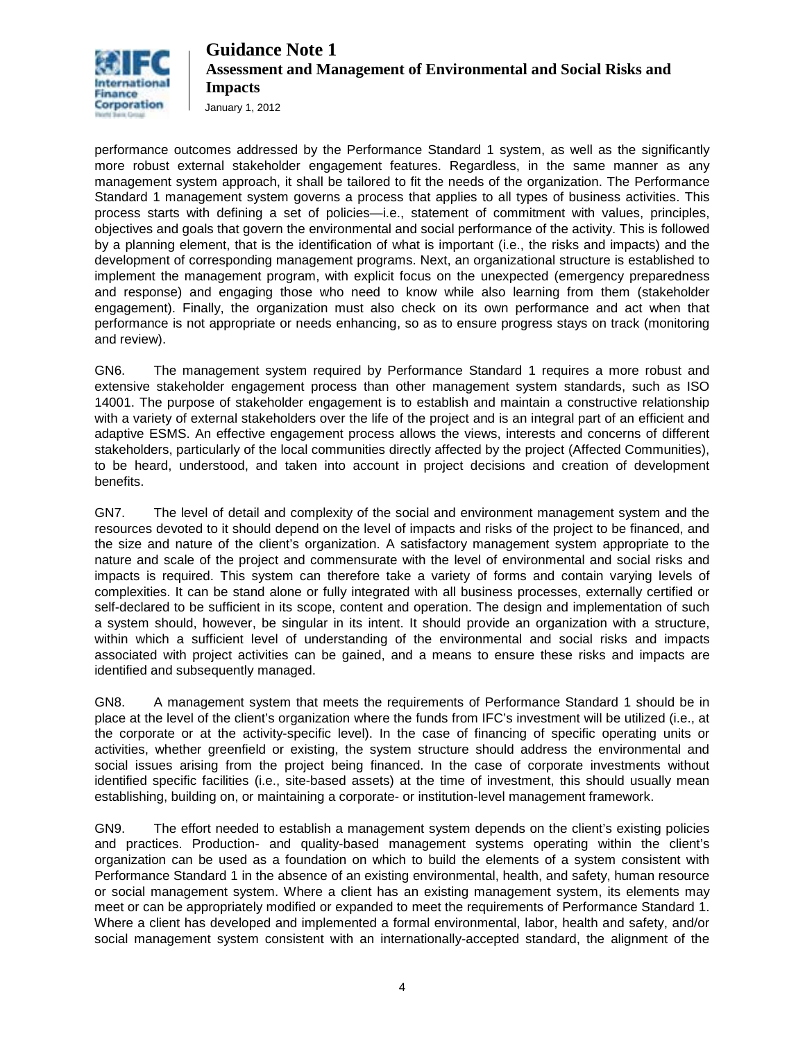

January 1, 2012

performance outcomes addressed by the Performance Standard 1 system, as well as the significantly more robust external stakeholder engagement features. Regardless, in the same manner as any management system approach, it shall be tailored to fit the needs of the organization. The Performance Standard 1 management system governs a process that applies to all types of business activities. This process starts with defining a set of policies—i.e., statement of commitment with values, principles, objectives and goals that govern the environmental and social performance of the activity. This is followed by a planning element, that is the identification of what is important (i.e., the risks and impacts) and the development of corresponding management programs. Next, an organizational structure is established to implement the management program, with explicit focus on the unexpected (emergency preparedness and response) and engaging those who need to know while also learning from them (stakeholder engagement). Finally, the organization must also check on its own performance and act when that performance is not appropriate or needs enhancing, so as to ensure progress stays on track (monitoring and review).

GN6. The management system required by Performance Standard 1 requires a more robust and extensive stakeholder engagement process than other management system standards, such as ISO 14001. The purpose of stakeholder engagement is to establish and maintain a constructive relationship with a variety of external stakeholders over the life of the project and is an integral part of an efficient and adaptive ESMS. An effective engagement process allows the views, interests and concerns of different stakeholders, particularly of the local communities directly affected by the project (Affected Communities), to be heard, understood, and taken into account in project decisions and creation of development benefits.

GN7. The level of detail and complexity of the social and environment management system and the resources devoted to it should depend on the level of impacts and risks of the project to be financed, and the size and nature of the client's organization. A satisfactory management system appropriate to the nature and scale of the project and commensurate with the level of environmental and social risks and impacts is required. This system can therefore take a variety of forms and contain varying levels of complexities. It can be stand alone or fully integrated with all business processes, externally certified or self-declared to be sufficient in its scope, content and operation. The design and implementation of such a system should, however, be singular in its intent. It should provide an organization with a structure, within which a sufficient level of understanding of the environmental and social risks and impacts associated with project activities can be gained, and a means to ensure these risks and impacts are identified and subsequently managed.

GN8. A management system that meets the requirements of Performance Standard 1 should be in place at the level of the client's organization where the funds from IFC's investment will be utilized (i.e., at the corporate or at the activity-specific level). In the case of financing of specific operating units or activities, whether greenfield or existing, the system structure should address the environmental and social issues arising from the project being financed. In the case of corporate investments without identified specific facilities (i.e., site-based assets) at the time of investment, this should usually mean establishing, building on, or maintaining a corporate- or institution-level management framework.

GN9. The effort needed to establish a management system depends on the client's existing policies and practices. Production- and quality-based management systems operating within the client's organization can be used as a foundation on which to build the elements of a system consistent with Performance Standard 1 in the absence of an existing environmental, health, and safety, human resource or social management system. Where a client has an existing management system, its elements may meet or can be appropriately modified or expanded to meet the requirements of Performance Standard 1. Where a client has developed and implemented a formal environmental, labor, health and safety, and/or social management system consistent with an internationally-accepted standard, the alignment of the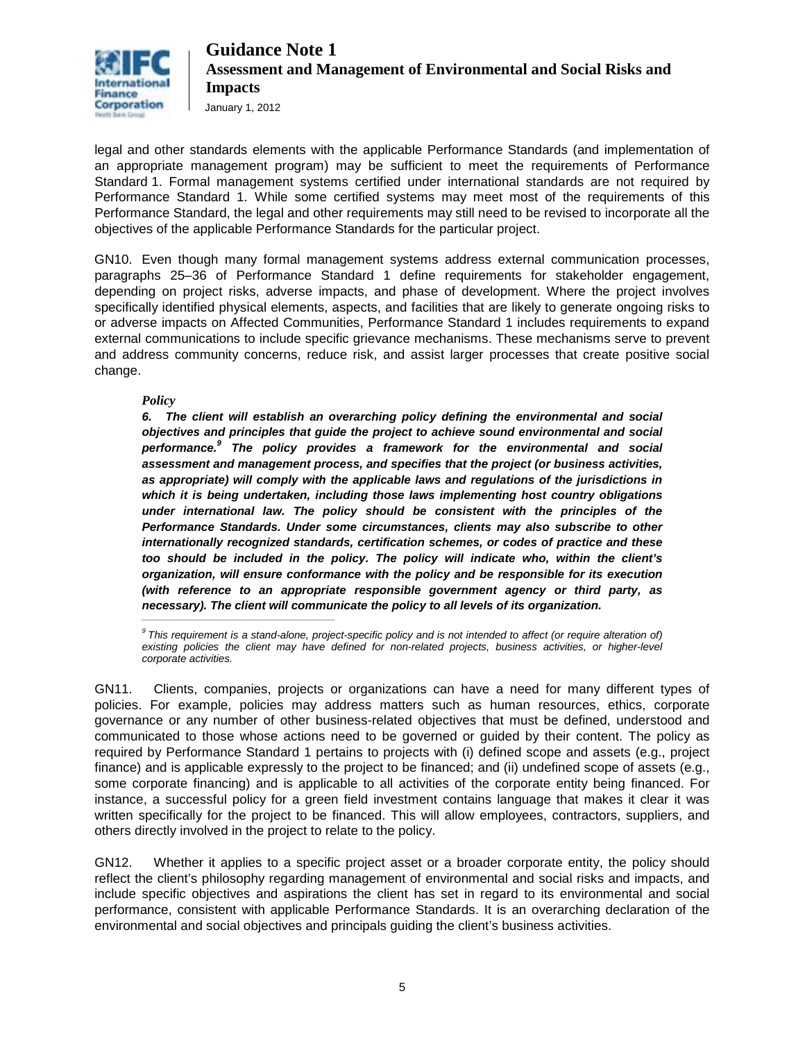

January 1, 2012

legal and other standards elements with the applicable Performance Standards (and implementation of an appropriate management program) may be sufficient to meet the requirements of Performance Standard 1. Formal management systems certified under international standards are not required by Performance Standard 1. While some certified systems may meet most of the requirements of this Performance Standard, the legal and other requirements may still need to be revised to incorporate all the objectives of the applicable Performance Standards for the particular project.

GN10. Even though many formal management systems address external communication processes, paragraphs 25–36 of Performance Standard 1 define requirements for stakeholder engagement, depending on project risks, adverse impacts, and phase of development. Where the project involves specifically identified physical elements, aspects, and facilities that are likely to generate ongoing risks to or adverse impacts on Affected Communities, Performance Standard 1 includes requirements to expand external communications to include specific grievance mechanisms. These mechanisms serve to prevent and address community concerns, reduce risk, and assist larger processes that create positive social change.

*Policy*

*6. The client will establish an overarching policy defining the environmental and social objectives and principles that guide the project to achieve sound environmental and social performance.<sup>9</sup> The policy provides a framework for the environmental and social assessment and management process, and specifies that the project (or business activities, as appropriate) will comply with the applicable laws and regulations of the jurisdictions in which it is being undertaken, including those laws implementing host country obligations under international law. The policy should be consistent with the principles of the Performance Standards. Under some circumstances, clients may also subscribe to other internationally recognized standards, certification schemes, or codes of practice and these too should be included in the policy. The policy will indicate who, within the client's organization, will ensure conformance with the policy and be responsible for its execution (with reference to an appropriate responsible government agency or third party, as*  necessary). The client will communicate the policy to all levels of its organization.

*9 This requirement is a stand-alone, project-specific policy and is not intended to affect (or require alteration of) existing policies the client may have defined for non-related projects, business activities, or higher-level corporate activities.*

GN11. Clients, companies, projects or organizations can have a need for many different types of policies. For example, policies may address matters such as human resources, ethics, corporate governance or any number of other business-related objectives that must be defined, understood and communicated to those whose actions need to be governed or guided by their content. The policy as required by Performance Standard 1 pertains to projects with (i) defined scope and assets (e.g., project finance) and is applicable expressly to the project to be financed; and (ii) undefined scope of assets (e.g., some corporate financing) and is applicable to all activities of the corporate entity being financed. For instance, a successful policy for a green field investment contains language that makes it clear it was written specifically for the project to be financed. This will allow employees, contractors, suppliers, and others directly involved in the project to relate to the policy.

GN12. Whether it applies to a specific project asset or a broader corporate entity, the policy should reflect the client's philosophy regarding management of environmental and social risks and impacts, and include specific objectives and aspirations the client has set in regard to its environmental and social performance, consistent with applicable Performance Standards. It is an overarching declaration of the environmental and social objectives and principals guiding the client's business activities.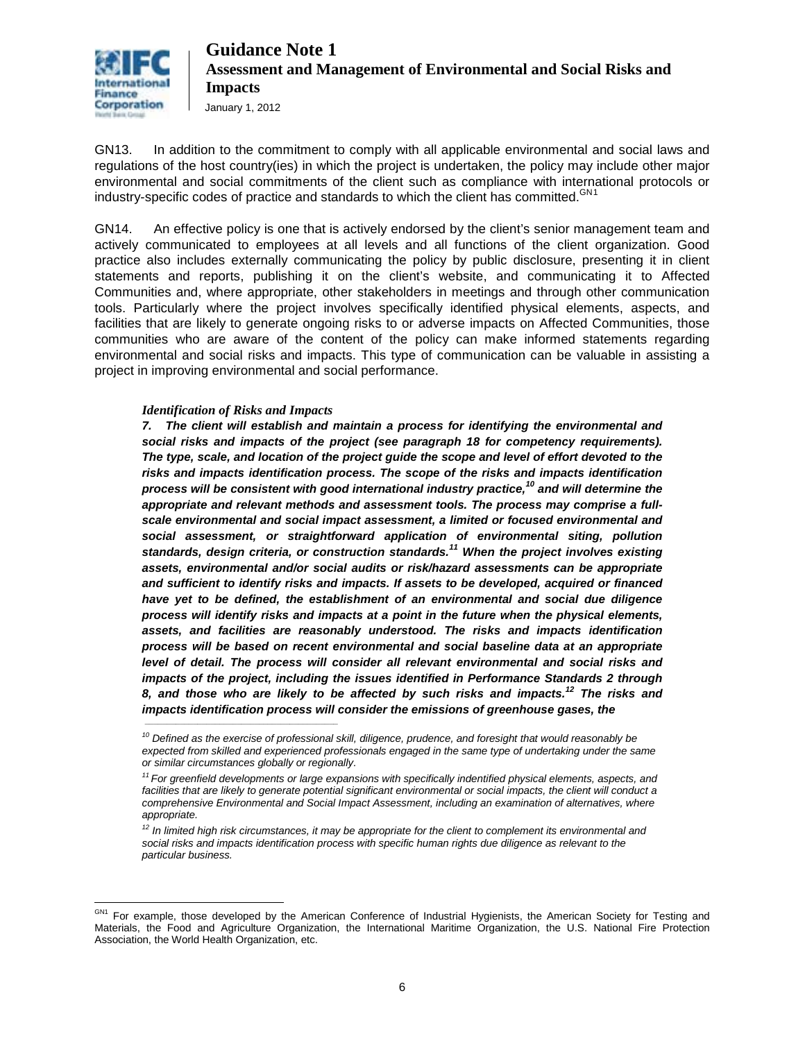

GN13. In addition to the commitment to comply with all applicable environmental and social laws and regulations of the host country(ies) in which the project is undertaken, the policy may include other major environmental and social commitments of the client such as compliance with international protocols or industry-specific codes of practice and standards to which the client has committed.<sup>GN[1](#page-5-0)</sup>

GN14. An effective policy is one that is actively endorsed by the client's senior management team and actively communicated to employees at all levels and all functions of the client organization. Good practice also includes externally communicating the policy by public disclosure, presenting it in client statements and reports, publishing it on the client's website, and communicating it to Affected Communities and, where appropriate, other stakeholders in meetings and through other communication tools. Particularly where the project involves specifically identified physical elements, aspects, and facilities that are likely to generate ongoing risks to or adverse impacts on Affected Communities, those communities who are aware of the content of the policy can make informed statements regarding environmental and social risks and impacts. This type of communication can be valuable in assisting a project in improving environmental and social performance.

#### *Identification of Risks and Impacts*

*\_\_\_\_\_\_\_\_\_\_\_\_\_\_\_\_\_\_\_\_\_\_\_\_\_\_\_\_\_\_\_\_\_\_\_\_\_\_\_\_\_\_\_\_*

*7. The client will establish and maintain a process for identifying the environmental and social risks and impacts of the project (see paragraph 18 for competency requirements). The type, scale, and location of the project guide the scope and level of effort devoted to the risks and impacts identification process. The scope of the risks and impacts identification process will be consistent with good international industry practice,<sup>10</sup> and will determine the appropriate and relevant methods and assessment tools. The process may comprise a fullscale environmental and social impact assessment, a limited or focused environmental and social assessment, or straightforward application of environmental siting, pollution standards, design criteria, or construction standards.<sup>11</sup> When the project involves existing assets, environmental and/or social audits or risk/hazard assessments can be appropriate and sufficient to identify risks and impacts. If assets to be developed, acquired or financed have yet to be defined, the establishment of an environmental and social due diligence process will identify risks and impacts at a point in the future when the physical elements, assets, and facilities are reasonably understood. The risks and impacts identification process will be based on recent environmental and social baseline data at an appropriate*  level of detail. The process will consider all relevant environmental and social risks and *impacts of the project, including the issues identified in Performance Standards 2 through 8, and those who are likely to be affected by such risks and impacts.<sup>12</sup> The risks and impacts identification process will consider the emissions of greenhouse gases, the* 

*<sup>10</sup> Defined as the exercise of professional skill, diligence, prudence, and foresight that would reasonably be expected from skilled and experienced professionals engaged in the same type of undertaking under the same or similar circumstances globally or regionally.* 

*<sup>11</sup> For greenfield developments or large expansions with specifically indentified physical elements, aspects, and*  facilities that are likely to generate potential significant environmental or social impacts, the client will conduct a *comprehensive Environmental and Social Impact Assessment, including an examination of alternatives, where appropriate.* 

*<sup>12</sup> In limited high risk circumstances, it may be appropriate for the client to complement its environmental and social risks and impacts identification process with specific human rights due diligence as relevant to the particular business.* 

<span id="page-5-0"></span> $\overline{a}$ <sup>GN1</sup> For example, those developed by the American Conference of Industrial Hygienists, the American Society for Testing and Materials, the Food and Agriculture Organization, the International Maritime Organization, the U.S. National Fire Protection Association, the World Health Organization, etc.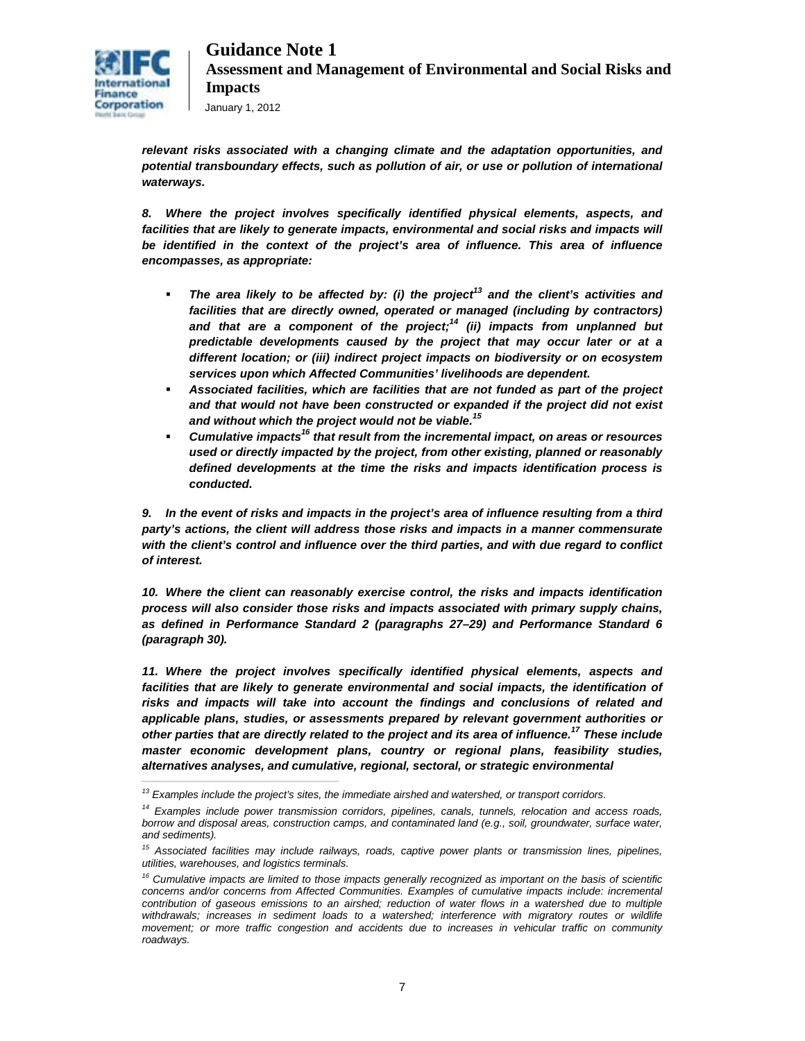

*relevant risks associated with a changing climate and the adaptation opportunities, and potential transboundary effects, such as pollution of air, or use or pollution of international waterways.*

*8. Where the project involves specifically identified physical elements, aspects, and*  facilities that are likely to generate impacts, environmental and social risks and impacts will *be identified in the context of the project's area of influence. This area of influence encompasses, as appropriate:* 

- **The area likely to be affected by: (i) the project<sup>13</sup> and the client's activities and** *facilities that are directly owned, operated or managed (including by contractors) and that are a component of the project; <sup>14</sup> (ii) impacts from unplanned but predictable developments caused by the project that may occur later or at a different location; or (iii) indirect project impacts on biodiversity or on ecosystem services upon which Affected Communities' livelihoods are dependent.*
- *Associated facilities, which are facilities that are not funded as part of the project and that would not have been constructed or expanded if the project did not exist and without which the project would not be viable. 15*
- *Cumulative impacts<sup>16</sup> that result from the incremental impact, on areas or resources used or directly impacted by the project, from other existing, planned or reasonably defined developments at the time the risks and impacts identification process is conducted.*

*9. In the event of risks and impacts in the project's area of influence resulting from a third party's actions, the client will address those risks and impacts in a manner commensurate with the client's control and influence over the third parties, and with due regard to conflict of interest.* 

*10. Where the client can reasonably exercise control, the risks and impacts identification process will also consider those risks and impacts associated with primary supply chains, as defined in Performance Standard 2 (paragraphs 27–29) and Performance Standard 6 (paragraph 30).* 

*11. Where the project involves specifically identified physical elements, aspects and facilities that are likely to generate environmental and social impacts, the identification of risks and impacts will take into account the findings and conclusions of related and applicable plans, studies, or assessments prepared by relevant government authorities or other parties that are directly related to the project and its area of influence.<sup>17</sup> These include master economic development plans, country or regional plans, feasibility studies, alternatives analyses, and cumulative, regional, sectoral, or strategic environmental* 

*\_\_\_\_\_\_\_\_\_\_\_\_\_\_\_\_\_\_\_\_\_\_\_\_\_\_\_\_\_\_\_\_\_\_\_\_\_\_\_\_\_\_\_\_\_\_\_\_\_\_\_\_\_\_*

*<sup>13</sup> Examples include the project's sites, the immediate airshed and watershed, or transport corridors.* 

*<sup>14</sup> Examples include power transmission corridors, pipelines, canals, tunnels, relocation and access roads, borrow and disposal areas, construction camps, and contaminated land (e.g., soil, groundwater, surface water, and sediments).* 

*<sup>15</sup> Associated facilities may include railways, roads, captive power plants or transmission lines, pipelines, utilities, warehouses, and logistics terminals.* 

*<sup>16</sup> Cumulative impacts are limited to those impacts generally recognized as important on the basis of scientific concerns and/or concerns from Affected Communities. Examples of cumulative impacts include: incremental contribution of gaseous emissions to an airshed; reduction of water flows in a watershed due to multiple*  withdrawals; increases in sediment loads to a watershed; interference with migratory routes or wildlife *movement; or more traffic congestion and accidents due to increases in vehicular traffic on community roadways.*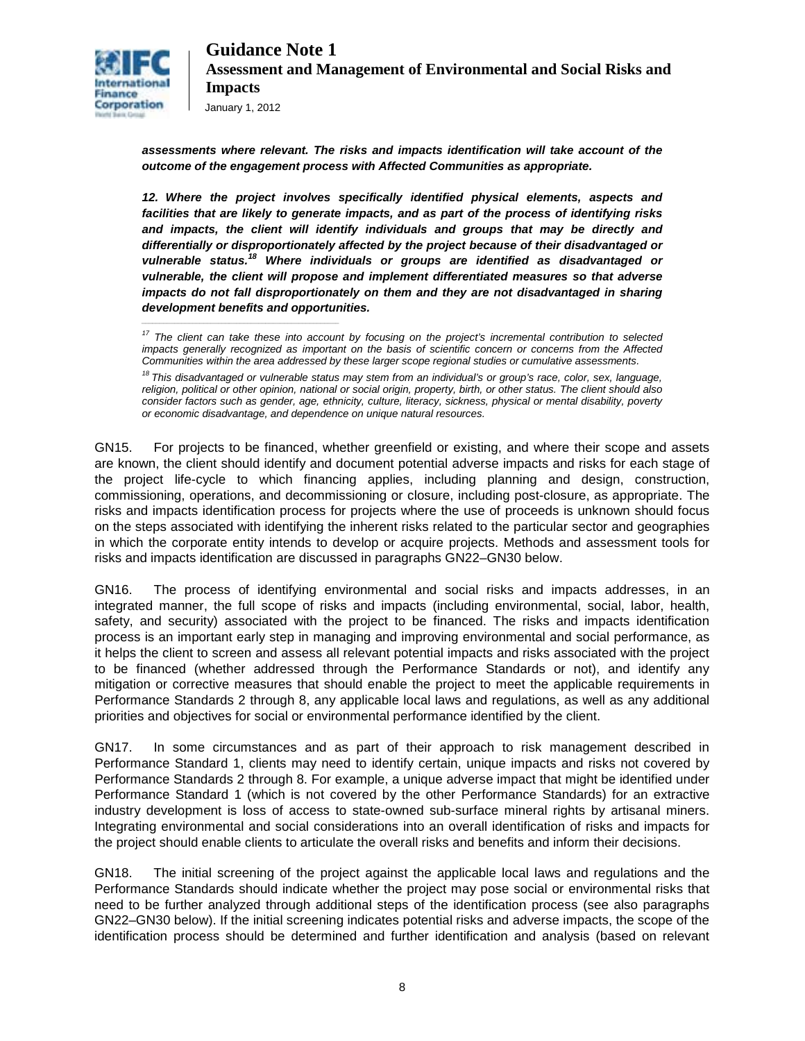

*\_\_\_\_\_\_\_\_\_\_\_\_\_\_\_\_\_\_\_\_\_\_\_\_\_\_\_\_\_\_\_\_\_\_\_\_\_\_\_\_\_\_\_\_\_\_\_\_\_\_\_\_\_\_*

*assessments where relevant. The risks and impacts identification will take account of the outcome of the engagement process with Affected Communities as appropriate.* 

*12. Where the project involves specifically identified physical elements, aspects and facilities that are likely to generate impacts, and as part of the process of identifying risks and impacts, the client will identify individuals and groups that may be directly and differentially or disproportionately affected by the project because of their disadvantaged or vulnerable status.<sup>18</sup> Where individuals or groups are identified as disadvantaged or vulnerable, the client will propose and implement differentiated measures so that adverse impacts do not fall disproportionately on them and they are not disadvantaged in sharing development benefits and opportunities.* 

GN15. For projects to be financed, whether greenfield or existing, and where their scope and assets are known, the client should identify and document potential adverse impacts and risks for each stage of the project life-cycle to which financing applies, including planning and design, construction, commissioning, operations, and decommissioning or closure, including post-closure, as appropriate. The risks and impacts identification process for projects where the use of proceeds is unknown should focus on the steps associated with identifying the inherent risks related to the particular sector and geographies in which the corporate entity intends to develop or acquire projects. Methods and assessment tools for risks and impacts identification are discussed in paragraphs GN22–GN30 below.

GN16. The process of identifying environmental and social risks and impacts addresses, in an integrated manner, the full scope of risks and impacts (including environmental, social, labor, health, safety, and security) associated with the project to be financed. The risks and impacts identification process is an important early step in managing and improving environmental and social performance, as it helps the client to screen and assess all relevant potential impacts and risks associated with the project to be financed (whether addressed through the Performance Standards or not), and identify any mitigation or corrective measures that should enable the project to meet the applicable requirements in Performance Standards 2 through 8, any applicable local laws and regulations, as well as any additional priorities and objectives for social or environmental performance identified by the client.

GN17. In some circumstances and as part of their approach to risk management described in Performance Standard 1, clients may need to identify certain, unique impacts and risks not covered by Performance Standards 2 through 8. For example, a unique adverse impact that might be identified under Performance Standard 1 (which is not covered by the other Performance Standards) for an extractive industry development is loss of access to state-owned sub-surface mineral rights by artisanal miners. Integrating environmental and social considerations into an overall identification of risks and impacts for the project should enable clients to articulate the overall risks and benefits and inform their decisions.

GN18. The initial screening of the project against the applicable local laws and regulations and the Performance Standards should indicate whether the project may pose social or environmental risks that need to be further analyzed through additional steps of the identification process (see also paragraphs GN22–GN30 below). If the initial screening indicates potential risks and adverse impacts, the scope of the identification process should be determined and further identification and analysis (based on relevant

*<sup>17</sup> The client can take these into account by focusing on the project's incremental contribution to selected impacts generally recognized as important on the basis of scientific concern or concerns from the Affected Communities within the area addressed by these larger scope regional studies or cumulative assessments.* 

*<sup>18</sup> This disadvantaged or vulnerable status may stem from an individual's or group's race, color, sex, language, religion, political or other opinion, national or social origin, property, birth, or other status. The client should also consider factors such as gender, age, ethnicity, culture, literacy, sickness, physical or mental disability, poverty or economic disadvantage, and dependence on unique natural resources.*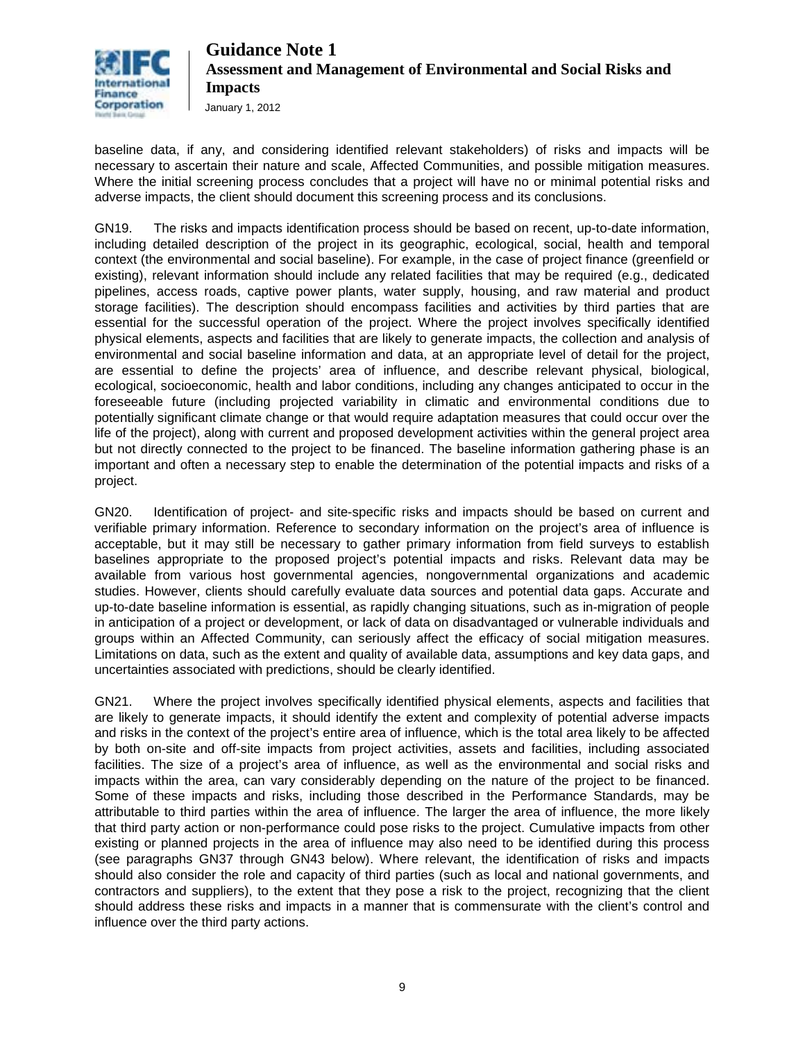

baseline data, if any, and considering identified relevant stakeholders) of risks and impacts will be necessary to ascertain their nature and scale, Affected Communities, and possible mitigation measures. Where the initial screening process concludes that a project will have no or minimal potential risks and adverse impacts, the client should document this screening process and its conclusions.

GN19. The risks and impacts identification process should be based on recent, up-to-date information, including detailed description of the project in its geographic, ecological, social, health and temporal context (the environmental and social baseline). For example, in the case of project finance (greenfield or existing), relevant information should include any related facilities that may be required (e.g., dedicated pipelines, access roads, captive power plants, water supply, housing, and raw material and product storage facilities). The description should encompass facilities and activities by third parties that are essential for the successful operation of the project. Where the project involves specifically identified physical elements, aspects and facilities that are likely to generate impacts, the collection and analysis of environmental and social baseline information and data, at an appropriate level of detail for the project, are essential to define the projects' area of influence, and describe relevant physical, biological, ecological, socioeconomic, health and labor conditions, including any changes anticipated to occur in the foreseeable future (including projected variability in climatic and environmental conditions due to potentially significant climate change or that would require adaptation measures that could occur over the life of the project), along with current and proposed development activities within the general project area but not directly connected to the project to be financed. The baseline information gathering phase is an important and often a necessary step to enable the determination of the potential impacts and risks of a project.

GN20. Identification of project- and site-specific risks and impacts should be based on current and verifiable primary information. Reference to secondary information on the project's area of influence is acceptable, but it may still be necessary to gather primary information from field surveys to establish baselines appropriate to the proposed project's potential impacts and risks. Relevant data may be available from various host governmental agencies, nongovernmental organizations and academic studies. However, clients should carefully evaluate data sources and potential data gaps. Accurate and up-to-date baseline information is essential, as rapidly changing situations, such as in-migration of people in anticipation of a project or development, or lack of data on disadvantaged or vulnerable individuals and groups within an Affected Community, can seriously affect the efficacy of social mitigation measures. Limitations on data, such as the extent and quality of available data, assumptions and key data gaps, and uncertainties associated with predictions, should be clearly identified.

GN21. Where the project involves specifically identified physical elements, aspects and facilities that are likely to generate impacts, it should identify the extent and complexity of potential adverse impacts and risks in the context of the project's entire area of influence, which is the total area likely to be affected by both on-site and off-site impacts from project activities, assets and facilities, including associated facilities. The size of a project's area of influence, as well as the environmental and social risks and impacts within the area, can vary considerably depending on the nature of the project to be financed. Some of these impacts and risks, including those described in the Performance Standards, may be attributable to third parties within the area of influence. The larger the area of influence, the more likely that third party action or non-performance could pose risks to the project. Cumulative impacts from other existing or planned projects in the area of influence may also need to be identified during this process (see paragraphs GN37 through GN43 below). Where relevant, the identification of risks and impacts should also consider the role and capacity of third parties (such as local and national governments, and contractors and suppliers), to the extent that they pose a risk to the project, recognizing that the client should address these risks and impacts in a manner that is commensurate with the client's control and influence over the third party actions.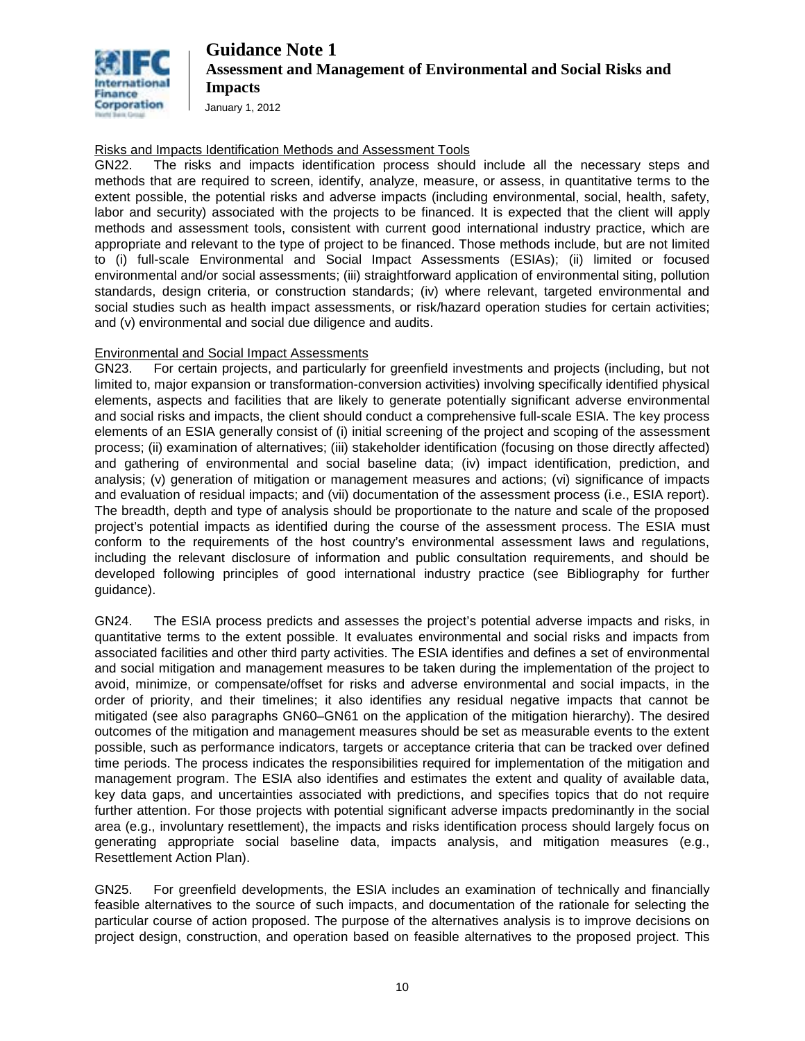

January 1, 2012

#### Risks and Impacts Identification Methods and Assessment Tools

GN22. The risks and impacts identification process should include all the necessary steps and methods that are required to screen, identify, analyze, measure, or assess, in quantitative terms to the extent possible, the potential risks and adverse impacts (including environmental, social, health, safety, labor and security) associated with the projects to be financed. It is expected that the client will apply methods and assessment tools, consistent with current good international industry practice, which are appropriate and relevant to the type of project to be financed. Those methods include, but are not limited to (i) full-scale Environmental and Social Impact Assessments (ESIAs); (ii) limited or focused environmental and/or social assessments; (iii) straightforward application of environmental siting, pollution standards, design criteria, or construction standards; (iv) where relevant, targeted environmental and social studies such as health impact assessments, or risk/hazard operation studies for certain activities; and (v) environmental and social due diligence and audits.

#### Environmental and Social Impact Assessments

GN23. For certain projects, and particularly for greenfield investments and projects (including, but not limited to, major expansion or transformation-conversion activities) involving specifically identified physical elements, aspects and facilities that are likely to generate potentially significant adverse environmental and social risks and impacts, the client should conduct a comprehensive full-scale ESIA. The key process elements of an ESIA generally consist of (i) initial screening of the project and scoping of the assessment process; (ii) examination of alternatives; (iii) stakeholder identification (focusing on those directly affected) and gathering of environmental and social baseline data; (iv) impact identification, prediction, and analysis; (v) generation of mitigation or management measures and actions; (vi) significance of impacts and evaluation of residual impacts; and (vii) documentation of the assessment process (i.e., ESIA report). The breadth, depth and type of analysis should be proportionate to the nature and scale of the proposed project's potential impacts as identified during the course of the assessment process. The ESIA must conform to the requirements of the host country's environmental assessment laws and regulations, including the relevant disclosure of information and public consultation requirements, and should be developed following principles of good international industry practice (see Bibliography for further guidance).

GN24. The ESIA process predicts and assesses the project's potential adverse impacts and risks, in quantitative terms to the extent possible. It evaluates environmental and social risks and impacts from associated facilities and other third party activities. The ESIA identifies and defines a set of environmental and social mitigation and management measures to be taken during the implementation of the project to avoid, minimize, or compensate/offset for risks and adverse environmental and social impacts, in the order of priority, and their timelines; it also identifies any residual negative impacts that cannot be mitigated (see also paragraphs GN60–GN61 on the application of the mitigation hierarchy). The desired outcomes of the mitigation and management measures should be set as measurable events to the extent possible, such as performance indicators, targets or acceptance criteria that can be tracked over defined time periods. The process indicates the responsibilities required for implementation of the mitigation and management program. The ESIA also identifies and estimates the extent and quality of available data, key data gaps, and uncertainties associated with predictions, and specifies topics that do not require further attention. For those projects with potential significant adverse impacts predominantly in the social area (e.g., involuntary resettlement), the impacts and risks identification process should largely focus on generating appropriate social baseline data, impacts analysis, and mitigation measures (e.g., Resettlement Action Plan).

GN25. For greenfield developments, the ESIA includes an examination of technically and financially feasible alternatives to the source of such impacts, and documentation of the rationale for selecting the particular course of action proposed. The purpose of the alternatives analysis is to improve decisions on project design, construction, and operation based on feasible alternatives to the proposed project. This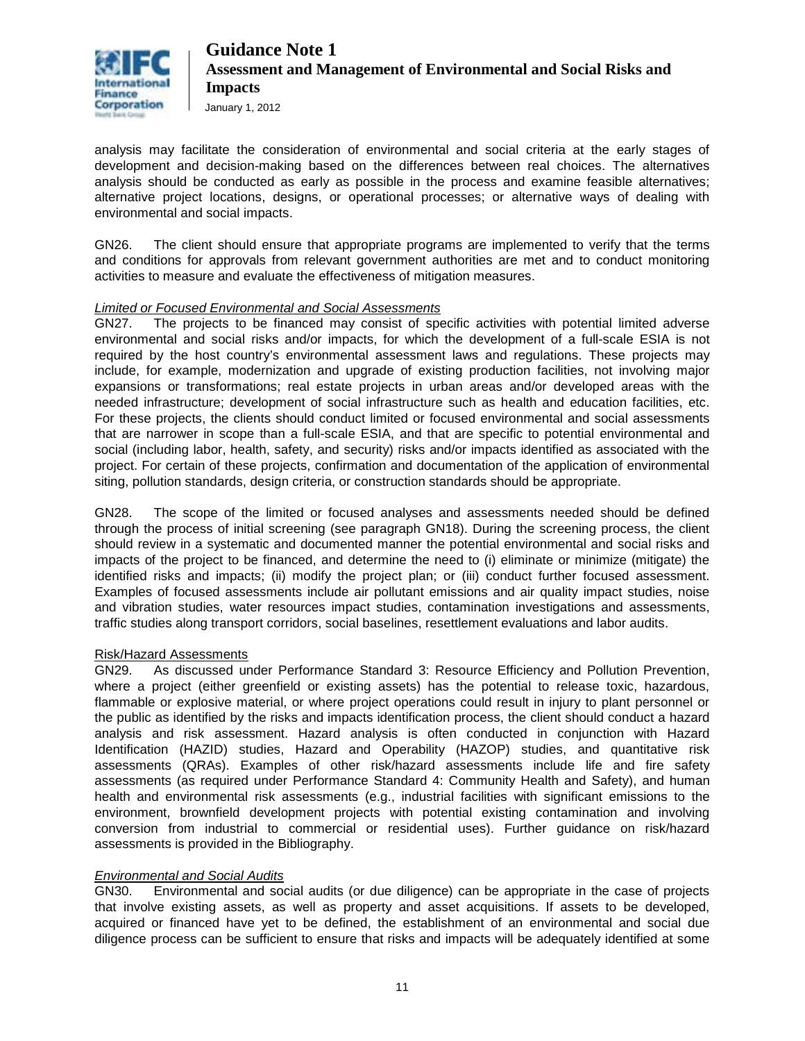

January 1, 2012

analysis may facilitate the consideration of environmental and social criteria at the early stages of development and decision-making based on the differences between real choices. The alternatives analysis should be conducted as early as possible in the process and examine feasible alternatives; alternative project locations, designs, or operational processes; or alternative ways of dealing with environmental and social impacts.

GN26. The client should ensure that appropriate programs are implemented to verify that the terms and conditions for approvals from relevant government authorities are met and to conduct monitoring activities to measure and evaluate the effectiveness of mitigation measures.

#### *Limited or Focused Environmental and Social Assessments*

GN27. The projects to be financed may consist of specific activities with potential limited adverse environmental and social risks and/or impacts, for which the development of a full-scale ESIA is not required by the host country's environmental assessment laws and regulations. These projects may include, for example, modernization and upgrade of existing production facilities, not involving major expansions or transformations; real estate projects in urban areas and/or developed areas with the needed infrastructure; development of social infrastructure such as health and education facilities, etc. For these projects, the clients should conduct limited or focused environmental and social assessments that are narrower in scope than a full-scale ESIA, and that are specific to potential environmental and social (including labor, health, safety, and security) risks and/or impacts identified as associated with the project. For certain of these projects, confirmation and documentation of the application of environmental siting, pollution standards, design criteria, or construction standards should be appropriate.

GN28. The scope of the limited or focused analyses and assessments needed should be defined through the process of initial screening (see paragraph GN18). During the screening process, the client should review in a systematic and documented manner the potential environmental and social risks and impacts of the project to be financed, and determine the need to (i) eliminate or minimize (mitigate) the identified risks and impacts; (ii) modify the project plan; or (iii) conduct further focused assessment. Examples of focused assessments include air pollutant emissions and air quality impact studies, noise and vibration studies, water resources impact studies, contamination investigations and assessments, traffic studies along transport corridors, social baselines, resettlement evaluations and labor audits.

#### Risk/Hazard Assessments

GN29. As discussed under Performance Standard 3: Resource Efficiency and Pollution Prevention, where a project (either greenfield or existing assets) has the potential to release toxic, hazardous, flammable or explosive material, or where project operations could result in injury to plant personnel or the public as identified by the risks and impacts identification process, the client should conduct a hazard analysis and risk assessment. Hazard analysis is often conducted in conjunction with Hazard Identification (HAZID) studies, Hazard and Operability (HAZOP) studies, and quantitative risk assessments (QRAs). Examples of other risk/hazard assessments include life and fire safety assessments (as required under Performance Standard 4: Community Health and Safety), and human health and environmental risk assessments (e.g., industrial facilities with significant emissions to the environment, brownfield development projects with potential existing contamination and involving conversion from industrial to commercial or residential uses). Further guidance on risk/hazard assessments is provided in the Bibliography.

#### *Environmental and Social Audits*

GN30. Environmental and social audits (or due diligence) can be appropriate in the case of projects that involve existing assets, as well as property and asset acquisitions. If assets to be developed, acquired or financed have yet to be defined, the establishment of an environmental and social due diligence process can be sufficient to ensure that risks and impacts will be adequately identified at some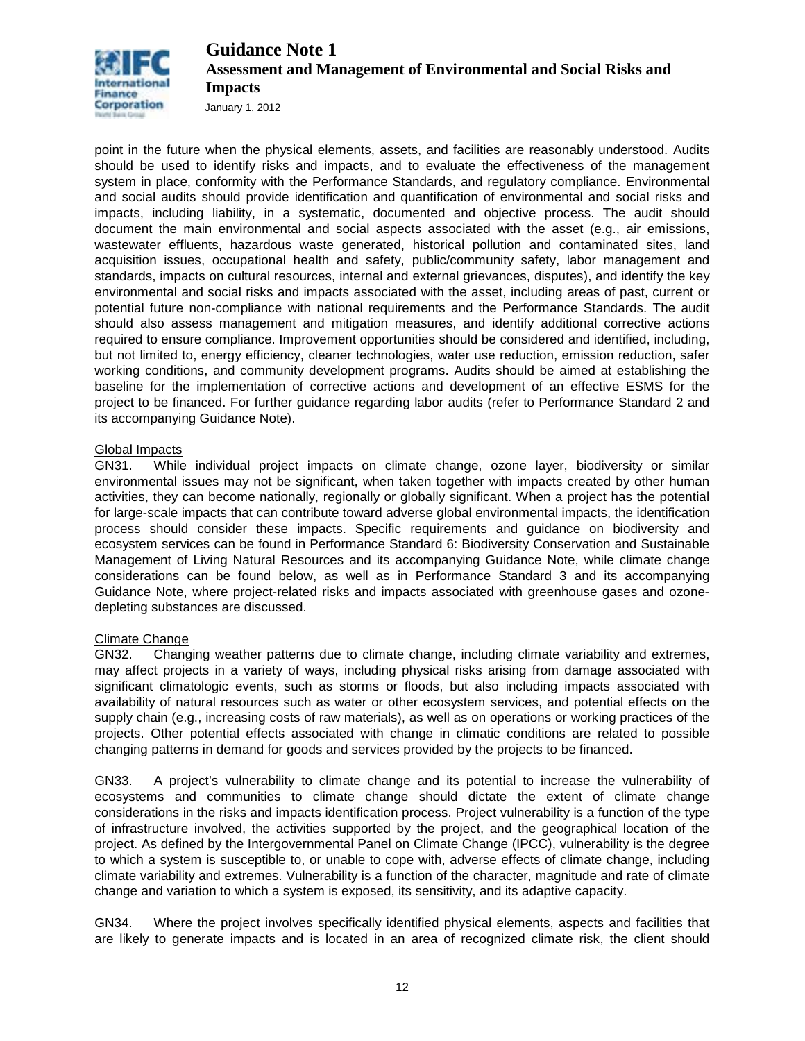

January 1, 2012

point in the future when the physical elements, assets, and facilities are reasonably understood. Audits should be used to identify risks and impacts, and to evaluate the effectiveness of the management system in place, conformity with the Performance Standards, and regulatory compliance. Environmental and social audits should provide identification and quantification of environmental and social risks and impacts, including liability, in a systematic, documented and objective process. The audit should document the main environmental and social aspects associated with the asset (e.g., air emissions, wastewater effluents, hazardous waste generated, historical pollution and contaminated sites, land acquisition issues, occupational health and safety, public/community safety, labor management and standards, impacts on cultural resources, internal and external grievances, disputes), and identify the key environmental and social risks and impacts associated with the asset, including areas of past, current or potential future non-compliance with national requirements and the Performance Standards. The audit should also assess management and mitigation measures, and identify additional corrective actions required to ensure compliance. Improvement opportunities should be considered and identified, including, but not limited to, energy efficiency, cleaner technologies, water use reduction, emission reduction, safer working conditions, and community development programs. Audits should be aimed at establishing the baseline for the implementation of corrective actions and development of an effective ESMS for the project to be financed. For further guidance regarding labor audits (refer to Performance Standard 2 and its accompanying Guidance Note).

#### Global Impacts

GN31. While individual project impacts on climate change, ozone layer, biodiversity or similar environmental issues may not be significant, when taken together with impacts created by other human activities, they can become nationally, regionally or globally significant. When a project has the potential for large-scale impacts that can contribute toward adverse global environmental impacts, the identification process should consider these impacts. Specific requirements and guidance on biodiversity and ecosystem services can be found in Performance Standard 6: Biodiversity Conservation and Sustainable Management of Living Natural Resources and its accompanying Guidance Note, while climate change considerations can be found below, as well as in Performance Standard 3 and its accompanying Guidance Note, where project-related risks and impacts associated with greenhouse gases and ozonedepleting substances are discussed.

#### Climate Change

GN32. Changing weather patterns due to climate change, including climate variability and extremes, may affect projects in a variety of ways, including physical risks arising from damage associated with significant climatologic events, such as storms or floods, but also including impacts associated with availability of natural resources such as water or other ecosystem services, and potential effects on the supply chain (e.g., increasing costs of raw materials), as well as on operations or working practices of the projects. Other potential effects associated with change in climatic conditions are related to possible changing patterns in demand for goods and services provided by the projects to be financed.

GN33. A project's vulnerability to climate change and its potential to increase the vulnerability of ecosystems and communities to climate change should dictate the extent of climate change considerations in the risks and impacts identification process. Project vulnerability is a function of the type of infrastructure involved, the activities supported by the project, and the geographical location of the project. As defined by the Intergovernmental Panel on Climate Change (IPCC), vulnerability is the degree to which a system is susceptible to, or unable to cope with, adverse effects of climate change, including climate variability and extremes. Vulnerability is a function of the character, magnitude and rate of climate change and variation to which a system is exposed, its sensitivity, and its adaptive capacity.

GN34. Where the project involves specifically identified physical elements, aspects and facilities that are likely to generate impacts and is located in an area of recognized climate risk, the client should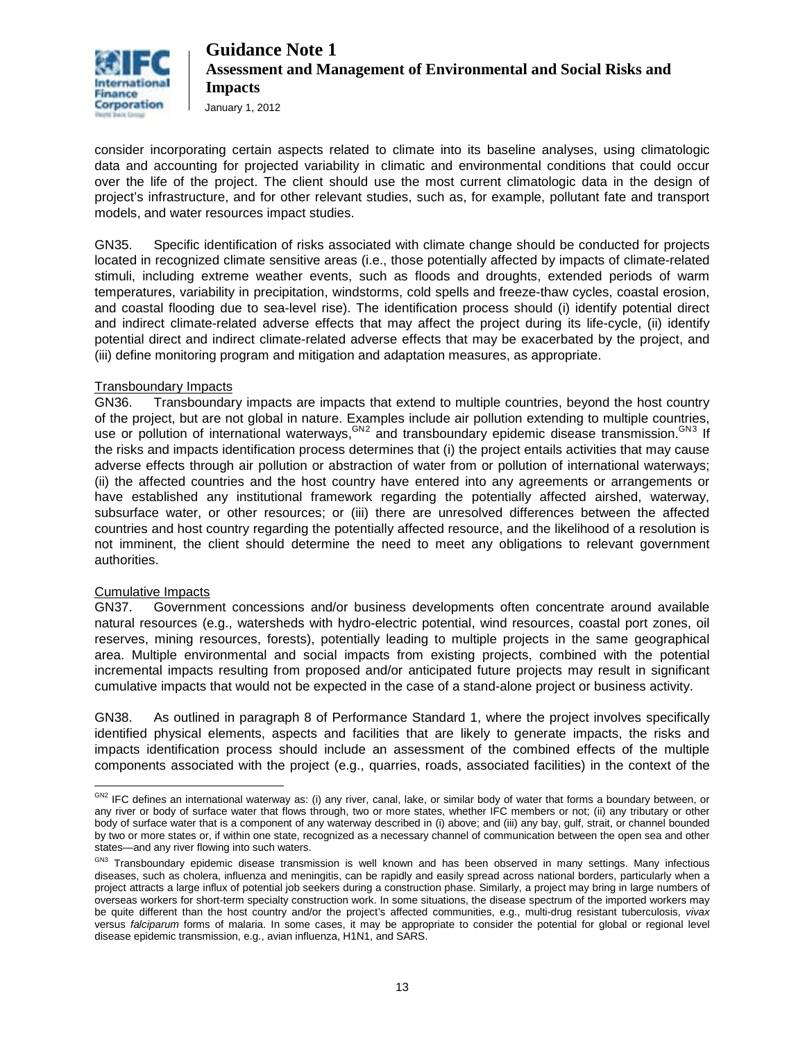

January 1, 2012

consider incorporating certain aspects related to climate into its baseline analyses, using climatologic data and accounting for projected variability in climatic and environmental conditions that could occur over the life of the project. The client should use the most current climatologic data in the design of project's infrastructure, and for other relevant studies, such as, for example, pollutant fate and transport models, and water resources impact studies.

GN35. Specific identification of risks associated with climate change should be conducted for projects located in recognized climate sensitive areas (i.e., those potentially affected by impacts of climate-related stimuli, including extreme weather events, such as floods and droughts, extended periods of warm temperatures, variability in precipitation, windstorms, cold spells and freeze-thaw cycles, coastal erosion, and coastal flooding due to sea-level rise). The identification process should (i) identify potential direct and indirect climate-related adverse effects that may affect the project during its life-cycle, (ii) identify potential direct and indirect climate-related adverse effects that may be exacerbated by the project, and (iii) define monitoring program and mitigation and adaptation measures, as appropriate.

### Transboundary Impacts

GN36. Transboundary impacts are impacts that extend to multiple countries, beyond the host country of the project, but are not global in nature. Examples include air pollution extending to multiple countries, use or pollution of international waterways, GN[2](#page-12-0) and transboundary epidemic disease transmission. GN[3](#page-12-1) If the risks and impacts identification process determines that (i) the project entails activities that may cause adverse effects through air pollution or abstraction of water from or pollution of international waterways; (ii) the affected countries and the host country have entered into any agreements or arrangements or have established any institutional framework regarding the potentially affected airshed, waterway, subsurface water, or other resources; or (iii) there are unresolved differences between the affected countries and host country regarding the potentially affected resource, and the likelihood of a resolution is not imminent, the client should determine the need to meet any obligations to relevant government authorities.

#### Cumulative Impacts

GN37. Government concessions and/or business developments often concentrate around available natural resources (e.g., watersheds with hydro-electric potential, wind resources, coastal port zones, oil reserves, mining resources, forests), potentially leading to multiple projects in the same geographical area. Multiple environmental and social impacts from existing projects, combined with the potential incremental impacts resulting from proposed and/or anticipated future projects may result in significant cumulative impacts that would not be expected in the case of a stand-alone project or business activity.

GN38. As outlined in paragraph 8 of Performance Standard 1, where the project involves specifically identified physical elements, aspects and facilities that are likely to generate impacts, the risks and impacts identification process should include an assessment of the combined effects of the multiple components associated with the project (e.g., quarries, roads, associated facilities) in the context of the

<span id="page-12-0"></span> $\overline{a}$ <sup>GN2</sup> IFC defines an international waterway as: (i) any river, canal, lake, or similar body of water that forms a boundary between, or any river or body of surface water that flows through, two or more states, whether IFC members or not; (ii) any tributary or other body of surface water that is a component of any waterway described in (i) above; and (iii) any bay, gulf, strait, or channel bounded by two or more states or, if within one state, recognized as a necessary channel of communication between the open sea and other states—and any river flowing into such waters.

<span id="page-12-1"></span>GN3 Transboundary epidemic disease transmission is well known and has been observed in many settings. Many infectious diseases, such as cholera, influenza and meningitis, can be rapidly and easily spread across national borders, particularly when a project attracts a large influx of potential job seekers during a construction phase. Similarly, a project may bring in large numbers of overseas workers for short-term specialty construction work. In some situations, the disease spectrum of the imported workers may be quite different than the host country and/or the project's affected communities, e.g., multi-drug resistant tuberculosis, *vivax* versus *falciparum* forms of malaria. In some cases, it may be appropriate to consider the potential for global or regional level disease epidemic transmission, e.g., avian influenza, H1N1, and SARS.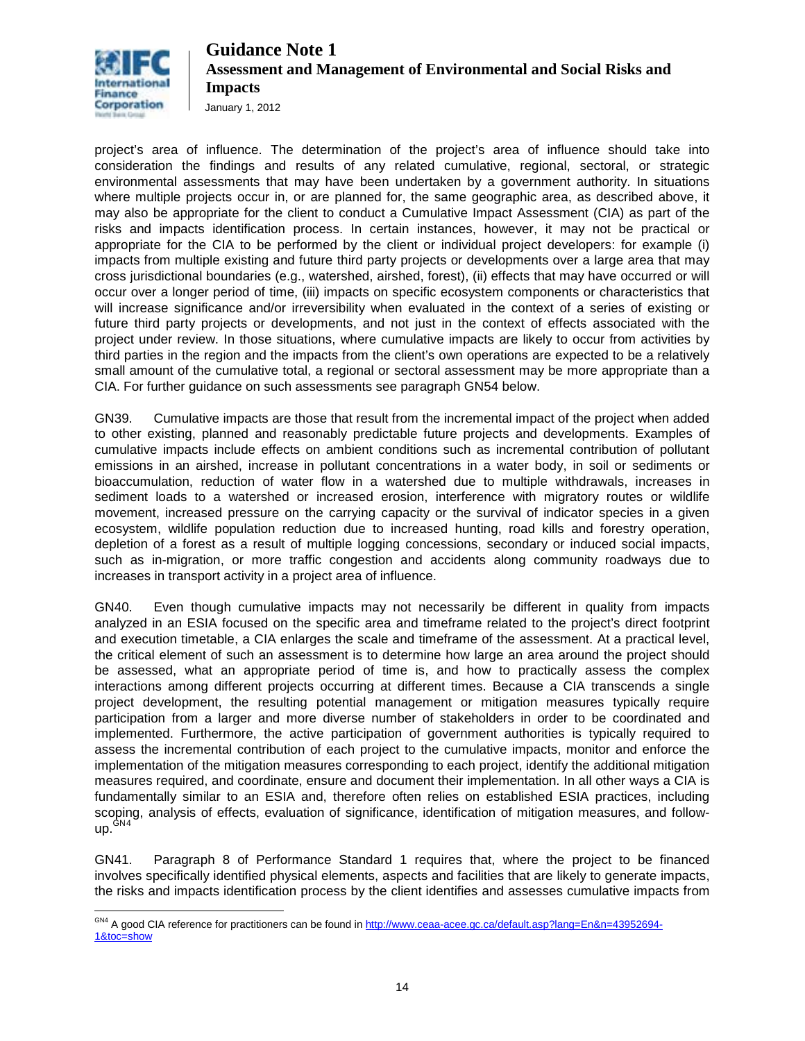

January 1, 2012

project's area of influence. The determination of the project's area of influence should take into consideration the findings and results of any related cumulative, regional, sectoral, or strategic environmental assessments that may have been undertaken by a government authority. In situations where multiple projects occur in, or are planned for, the same geographic area, as described above, it may also be appropriate for the client to conduct a Cumulative Impact Assessment (CIA) as part of the risks and impacts identification process. In certain instances, however, it may not be practical or appropriate for the CIA to be performed by the client or individual project developers: for example (i) impacts from multiple existing and future third party projects or developments over a large area that may cross jurisdictional boundaries (e.g., watershed, airshed, forest), (ii) effects that may have occurred or will occur over a longer period of time, (iii) impacts on specific ecosystem components or characteristics that will increase significance and/or irreversibility when evaluated in the context of a series of existing or future third party projects or developments, and not just in the context of effects associated with the project under review. In those situations, where cumulative impacts are likely to occur from activities by third parties in the region and the impacts from the client's own operations are expected to be a relatively small amount of the cumulative total, a regional or sectoral assessment may be more appropriate than a CIA. For further guidance on such assessments see paragraph GN54 below.

GN39. Cumulative impacts are those that result from the incremental impact of the project when added to other existing, planned and reasonably predictable future projects and developments. Examples of cumulative impacts include effects on ambient conditions such as incremental contribution of pollutant emissions in an airshed, increase in pollutant concentrations in a water body, in soil or sediments or bioaccumulation, reduction of water flow in a watershed due to multiple withdrawals, increases in sediment loads to a watershed or increased erosion, interference with migratory routes or wildlife movement, increased pressure on the carrying capacity or the survival of indicator species in a given ecosystem, wildlife population reduction due to increased hunting, road kills and forestry operation, depletion of a forest as a result of multiple logging concessions, secondary or induced social impacts, such as in-migration, or more traffic congestion and accidents along community roadways due to increases in transport activity in a project area of influence.

GN40. Even though cumulative impacts may not necessarily be different in quality from impacts analyzed in an ESIA focused on the specific area and timeframe related to the project's direct footprint and execution timetable, a CIA enlarges the scale and timeframe of the assessment. At a practical level, the critical element of such an assessment is to determine how large an area around the project should be assessed, what an appropriate period of time is, and how to practically assess the complex interactions among different projects occurring at different times. Because a CIA transcends a single project development, the resulting potential management or mitigation measures typically require participation from a larger and more diverse number of stakeholders in order to be coordinated and implemented. Furthermore, the active participation of government authorities is typically required to assess the incremental contribution of each project to the cumulative impacts, monitor and enforce the implementation of the mitigation measures corresponding to each project, identify the additional mitigation measures required, and coordinate, ensure and document their implementation. In all other ways a CIA is fundamentally similar to an ESIA and, therefore often relies on established ESIA practices, including scoping, analysis of effects, evaluation of significance, identification of mitigation measures, and followup.GN[4](#page-13-0)

GN41. Paragraph 8 of Performance Standard 1 requires that, where the project to be financed involves specifically identified physical elements, aspects and facilities that are likely to generate impacts, the risks and impacts identification process by the client identifies and assesses cumulative impacts from

<span id="page-13-0"></span> $\overline{a}$ <sup>GN4</sup> A good CIA reference for practitioners can be found in [http://www.ceaa-acee.gc.ca/default.asp?lang=En&n=43952694-](http://www.ceaa-acee.gc.ca/default.asp?lang=En&n=43952694-1&toc=show) [1&toc=show](http://www.ceaa-acee.gc.ca/default.asp?lang=En&n=43952694-1&toc=show)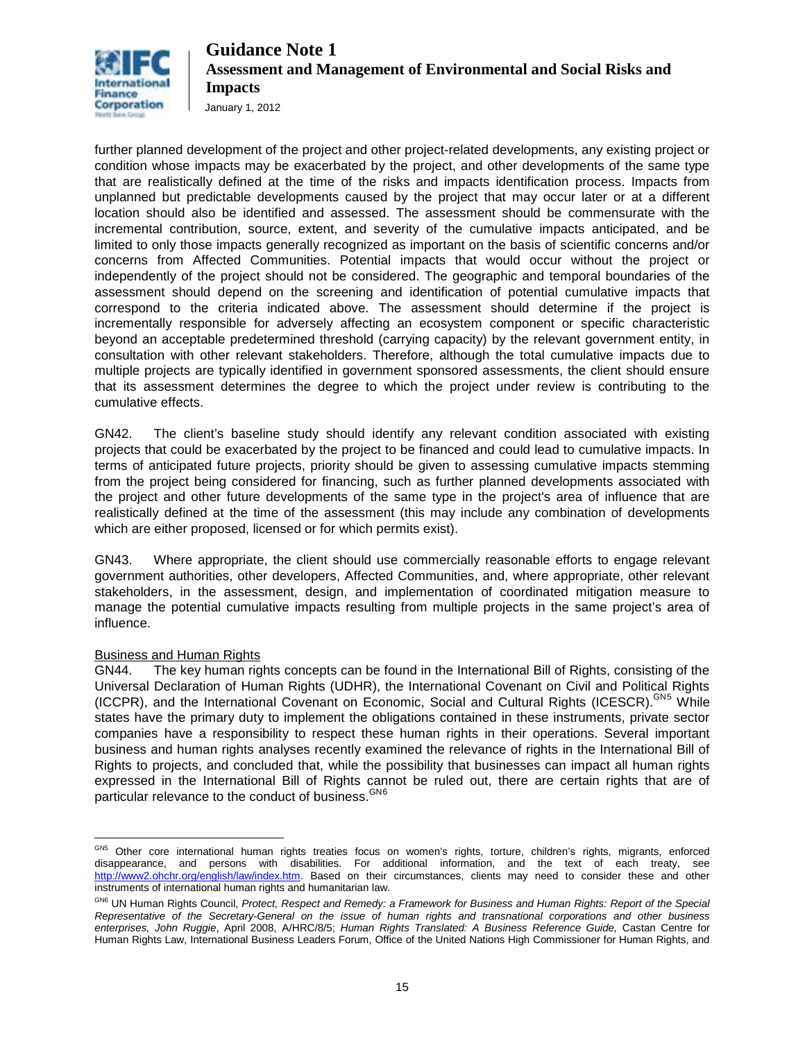

January 1, 2012

further planned development of the project and other project-related developments, any existing project or condition whose impacts may be exacerbated by the project, and other developments of the same type that are realistically defined at the time of the risks and impacts identification process. Impacts from unplanned but predictable developments caused by the project that may occur later or at a different location should also be identified and assessed. The assessment should be commensurate with the incremental contribution, source, extent, and severity of the cumulative impacts anticipated, and be limited to only those impacts generally recognized as important on the basis of scientific concerns and/or concerns from Affected Communities. Potential impacts that would occur without the project or independently of the project should not be considered. The geographic and temporal boundaries of the assessment should depend on the screening and identification of potential cumulative impacts that correspond to the criteria indicated above. The assessment should determine if the project is incrementally responsible for adversely affecting an ecosystem component or specific characteristic beyond an acceptable predetermined threshold (carrying capacity) by the relevant government entity, in consultation with other relevant stakeholders. Therefore, although the total cumulative impacts due to multiple projects are typically identified in government sponsored assessments, the client should ensure that its assessment determines the degree to which the project under review is contributing to the cumulative effects.

GN42. The client's baseline study should identify any relevant condition associated with existing projects that could be exacerbated by the project to be financed and could lead to cumulative impacts. In terms of anticipated future projects, priority should be given to assessing cumulative impacts stemming from the project being considered for financing, such as further planned developments associated with the project and other future developments of the same type in the project's area of influence that are realistically defined at the time of the assessment (this may include any combination of developments which are either proposed, licensed or for which permits exist).

GN43. Where appropriate, the client should use commercially reasonable efforts to engage relevant government authorities, other developers, Affected Communities, and, where appropriate, other relevant stakeholders, in the assessment, design, and implementation of coordinated mitigation measure to manage the potential cumulative impacts resulting from multiple projects in the same project's area of influence.

#### Business and Human Rights

GN44. The key human rights concepts can be found in the International Bill of Rights, consisting of the Universal Declaration of Human Rights (UDHR), the International Covenant on Civil and Political Rights (ICCPR), and the International Covenant on Economic, Social and Cultural Rights (ICESCR). CN[5](#page-14-0) While states have the primary duty to implement the obligations contained in these instruments, private sector companies have a responsibility to respect these human rights in their operations. Several important business and human rights analyses recently examined the relevance of rights in the International Bill of Rights to projects, and concluded that, while the possibility that businesses can impact all human rights expressed in the International Bill of Rights cannot be ruled out, there are certain rights that are of particular relevance to the conduct of business. <sup>GN[6](#page-14-1)</sup>

<span id="page-14-0"></span> $\overline{a}$ <sup>GN5</sup> Other core international human rights treaties focus on women's rights, torture, children's rights, migrants, enforced disappearance, and persons with disabilities. For additional information, and the text of each treaty, see [http://www2.ohchr.org/english/law/index.htm.](http://www2.ohchr.org/english/law/index.htm) Based on their circumstances, clients may need to consider these and other instruments of international human rights and humanitarian law.

<span id="page-14-1"></span>GN6 UN Human Rights Council, *Protect, Respect and Remedy: a Framework for Business and Human Rights: Report of the Special Representative of the Secretary-General on the issue of human rights and transnational corporations and other business enterprises, John Ruggie*, April 2008, A/HRC/8/5; *Human Rights Translated: A Business Reference Guide,* Castan Centre for Human Rights Law, International Business Leaders Forum, Office of the United Nations High Commissioner for Human Rights, and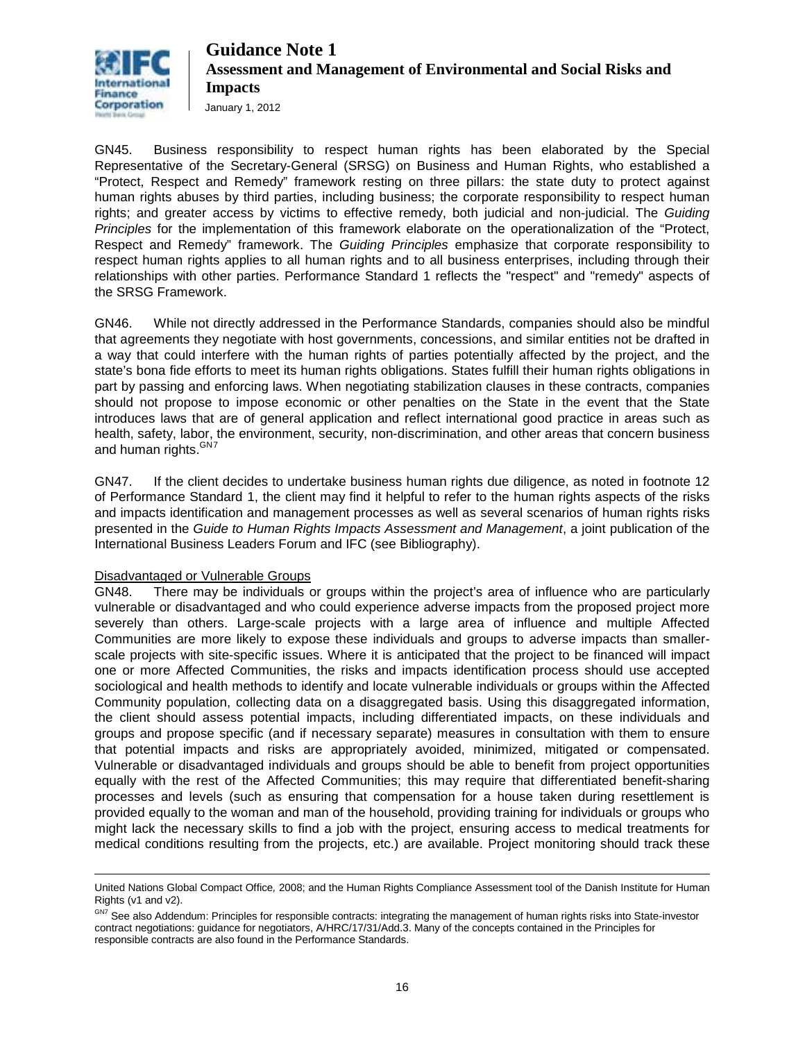

January 1, 2012

GN45. Business responsibility to respect human rights has been elaborated by the Special Representative of the Secretary-General (SRSG) on Business and Human Rights, who established a "Protect, Respect and Remedy" framework resting on three pillars: the state duty to protect against human rights abuses by third parties, including business; the corporate responsibility to respect human rights; and greater access by victims to effective remedy, both judicial and non-judicial. The *Guiding Principles* for the implementation of this framework elaborate on the operationalization of the "Protect, Respect and Remedy" framework. The *Guiding Principles* emphasize that corporate responsibility to respect human rights applies to all human rights and to all business enterprises, including through their relationships with other parties. Performance Standard 1 reflects the "respect" and "remedy" aspects of the SRSG Framework.

GN46. While not directly addressed in the Performance Standards, companies should also be mindful that agreements they negotiate with host governments, concessions, and similar entities not be drafted in a way that could interfere with the human rights of parties potentially affected by the project, and the state's bona fide efforts to meet its human rights obligations. States fulfill their human rights obligations in part by passing and enforcing laws. When negotiating stabilization clauses in these contracts, companies should not propose to impose economic or other penalties on the State in the event that the State introduces laws that are of general application and reflect international good practice in areas such as health, safety, labor, the environment, security, non-discrimination, and other areas that concern business and human rights.<sup>GN[7](#page-15-0)</sup>

GN47. If the client decides to undertake business human rights due diligence, as noted in footnote 12 of Performance Standard 1, the client may find it helpful to refer to the human rights aspects of the risks and impacts identification and management processes as well as several scenarios of human rights risks presented in the *Guide to Human Rights Impacts Assessment and Management*, a joint publication of the International Business Leaders Forum and IFC (see Bibliography).

#### Disadvantaged or Vulnerable Groups

GN48. There may be individuals or groups within the project's area of influence who are particularly vulnerable or disadvantaged and who could experience adverse impacts from the proposed project more severely than others. Large-scale projects with a large area of influence and multiple Affected Communities are more likely to expose these individuals and groups to adverse impacts than smallerscale projects with site-specific issues. Where it is anticipated that the project to be financed will impact one or more Affected Communities, the risks and impacts identification process should use accepted sociological and health methods to identify and locate vulnerable individuals or groups within the Affected Community population, collecting data on a disaggregated basis. Using this disaggregated information, the client should assess potential impacts, including differentiated impacts, on these individuals and groups and propose specific (and if necessary separate) measures in consultation with them to ensure that potential impacts and risks are appropriately avoided, minimized, mitigated or compensated. Vulnerable or disadvantaged individuals and groups should be able to benefit from project opportunities equally with the rest of the Affected Communities; this may require that differentiated benefit-sharing processes and levels (such as ensuring that compensation for a house taken during resettlement is provided equally to the woman and man of the household, providing training for individuals or groups who might lack the necessary skills to find a job with the project, ensuring access to medical treatments for medical conditions resulting from the projects, etc.) are available. Project monitoring should track these

 $\overline{a}$ United Nations Global Compact Office*,* 2008; and the Human Rights Compliance Assessment tool of the Danish Institute for Human Rights (v1 and v2).

<span id="page-15-0"></span>GN7 See also Addendum: Principles for responsible contracts: integrating the management of human rights risks into State-investor contract negotiations: guidance for negotiators, A/HRC/17/31/Add.3. Many of the concepts contained in the Principles for responsible contracts are also found in the Performance Standards.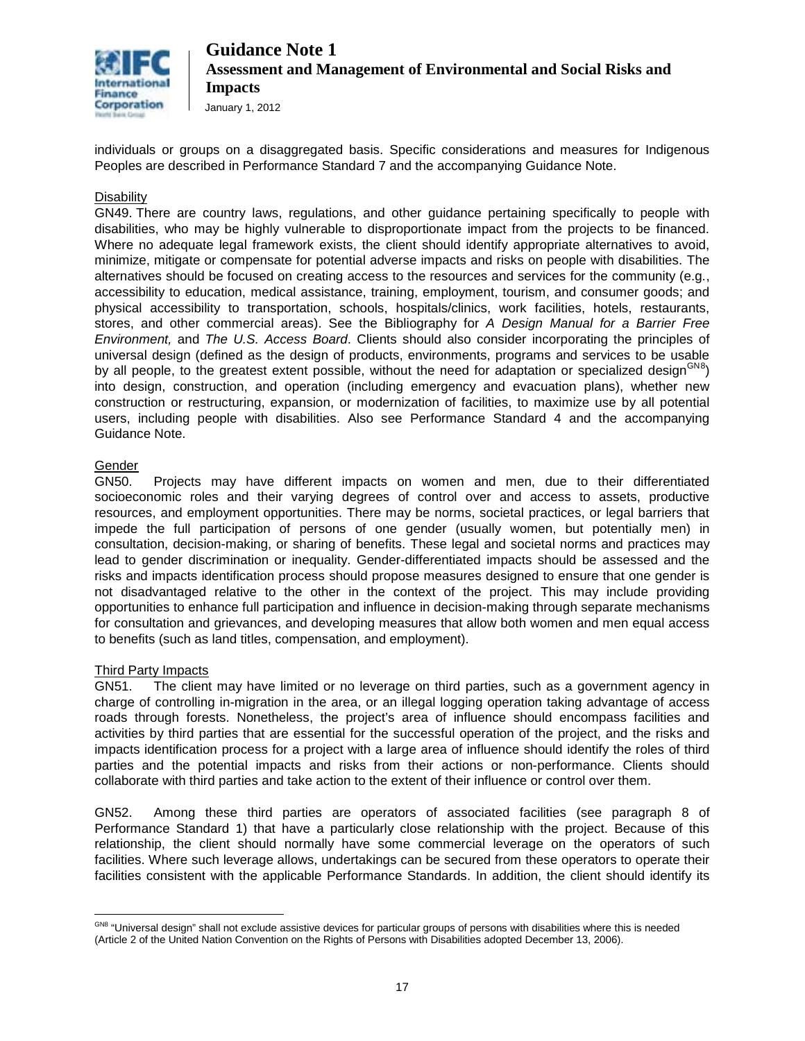

individuals or groups on a disaggregated basis. Specific considerations and measures for Indigenous Peoples are described in Performance Standard 7 and the accompanying Guidance Note.

#### Disability

GN49. There are country laws, regulations, and other guidance pertaining specifically to people with disabilities, who may be highly vulnerable to disproportionate impact from the projects to be financed. Where no adequate legal framework exists, the client should identify appropriate alternatives to avoid, minimize, mitigate or compensate for potential adverse impacts and risks on people with disabilities. The alternatives should be focused on creating access to the resources and services for the community (e.g., accessibility to education, medical assistance, training, employment, tourism, and consumer goods; and physical accessibility to transportation, schools, hospitals/clinics, work facilities, hotels, restaurants, stores, and other commercial areas). See the Bibliography for *A Design Manual for a Barrier Free Environment,* and *The U.S. Access Board*. Clients should also consider incorporating the principles of universal design (defined as the design of products, environments, programs and services to be usable by all people, to the greatest extent possible, without the need for adaptation or specialized design<sup>GN[8](#page-16-0)</sup>) into design, construction, and operation (including emergency and evacuation plans), whether new construction or restructuring, expansion, or modernization of facilities, to maximize use by all potential users, including people with disabilities. Also see Performance Standard 4 and the accompanying Guidance Note.

#### Gender

GN50. Projects may have different impacts on women and men, due to their differentiated socioeconomic roles and their varying degrees of control over and access to assets, productive resources, and employment opportunities. There may be norms, societal practices, or legal barriers that impede the full participation of persons of one gender (usually women, but potentially men) in consultation, decision-making, or sharing of benefits. These legal and societal norms and practices may lead to gender discrimination or inequality. Gender-differentiated impacts should be assessed and the risks and impacts identification process should propose measures designed to ensure that one gender is not disadvantaged relative to the other in the context of the project. This may include providing opportunities to enhance full participation and influence in decision-making through separate mechanisms for consultation and grievances, and developing measures that allow both women and men equal access to benefits (such as land titles, compensation, and employment).

#### Third Party Impacts

GN51. The client may have limited or no leverage on third parties, such as a government agency in charge of controlling in-migration in the area, or an illegal logging operation taking advantage of access roads through forests. Nonetheless, the project's area of influence should encompass facilities and activities by third parties that are essential for the successful operation of the project, and the risks and impacts identification process for a project with a large area of influence should identify the roles of third parties and the potential impacts and risks from their actions or non-performance. Clients should collaborate with third parties and take action to the extent of their influence or control over them.

GN52. Among these third parties are operators of associated facilities (see paragraph 8 of Performance Standard 1) that have a particularly close relationship with the project. Because of this relationship, the client should normally have some commercial leverage on the operators of such facilities. Where such leverage allows, undertakings can be secured from these operators to operate their facilities consistent with the applicable Performance Standards. In addition, the client should identify its

<span id="page-16-0"></span> $\overline{a}$ <sup>GN8</sup> "Universal design" shall not exclude assistive devices for particular groups of persons with disabilities where this is needed (Article 2 of the United Nation Convention on the Rights of Persons with Disabilities adopted December 13, 2006).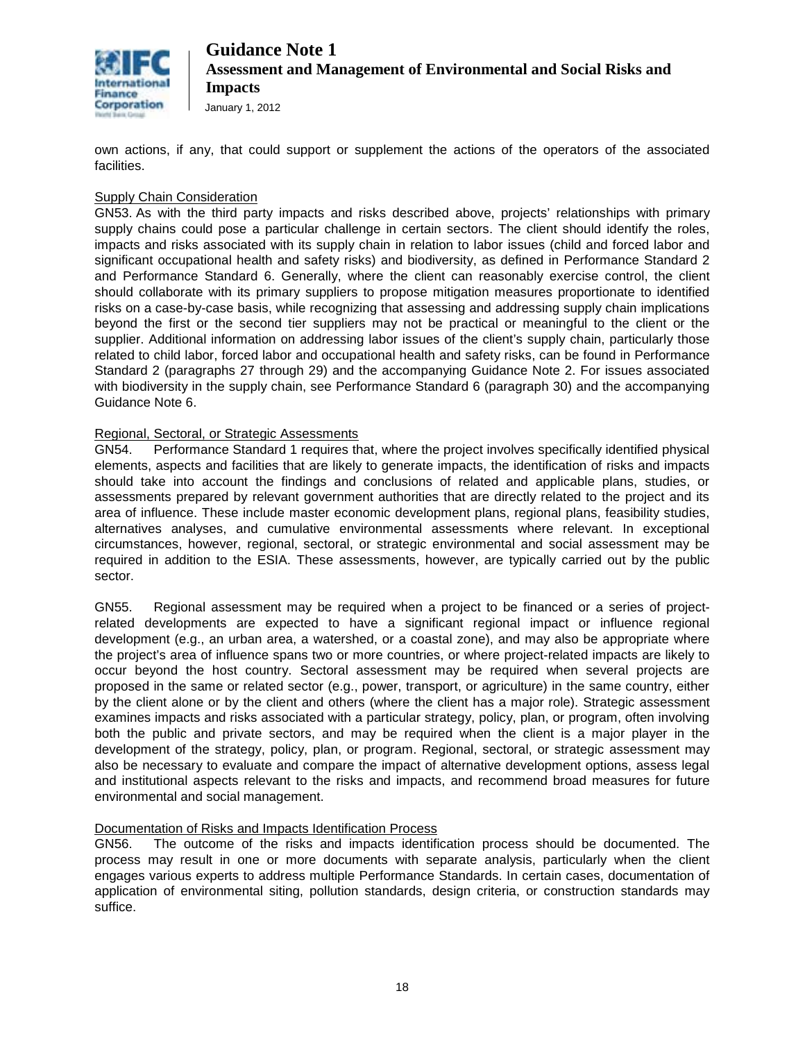

January 1, 2012

own actions, if any, that could support or supplement the actions of the operators of the associated facilities.

#### Supply Chain Consideration

GN53. As with the third party impacts and risks described above, projects' relationships with primary supply chains could pose a particular challenge in certain sectors. The client should identify the roles, impacts and risks associated with its supply chain in relation to labor issues (child and forced labor and significant occupational health and safety risks) and biodiversity, as defined in Performance Standard 2 and Performance Standard 6. Generally, where the client can reasonably exercise control, the client should collaborate with its primary suppliers to propose mitigation measures proportionate to identified risks on a case-by-case basis, while recognizing that assessing and addressing supply chain implications beyond the first or the second tier suppliers may not be practical or meaningful to the client or the supplier. Additional information on addressing labor issues of the client's supply chain, particularly those related to child labor, forced labor and occupational health and safety risks, can be found in Performance Standard 2 (paragraphs 27 through 29) and the accompanying Guidance Note 2. For issues associated with biodiversity in the supply chain, see Performance Standard 6 (paragraph 30) and the accompanying Guidance Note 6.

#### Regional, Sectoral, or Strategic Assessments

GN54. Performance Standard 1 requires that, where the project involves specifically identified physical elements, aspects and facilities that are likely to generate impacts, the identification of risks and impacts should take into account the findings and conclusions of related and applicable plans, studies, or assessments prepared by relevant government authorities that are directly related to the project and its area of influence. These include master economic development plans, regional plans, feasibility studies, alternatives analyses, and cumulative environmental assessments where relevant. In exceptional circumstances, however, regional, sectoral, or strategic environmental and social assessment may be required in addition to the ESIA. These assessments, however, are typically carried out by the public sector.

GN55. Regional assessment may be required when a project to be financed or a series of projectrelated developments are expected to have a significant regional impact or influence regional development (e.g., an urban area, a watershed, or a coastal zone), and may also be appropriate where the project's area of influence spans two or more countries, or where project-related impacts are likely to occur beyond the host country. Sectoral assessment may be required when several projects are proposed in the same or related sector (e.g., power, transport, or agriculture) in the same country, either by the client alone or by the client and others (where the client has a major role). Strategic assessment examines impacts and risks associated with a particular strategy, policy, plan, or program, often involving both the public and private sectors, and may be required when the client is a major player in the development of the strategy, policy, plan, or program. Regional, sectoral, or strategic assessment may also be necessary to evaluate and compare the impact of alternative development options, assess legal and institutional aspects relevant to the risks and impacts, and recommend broad measures for future environmental and social management.

#### Documentation of Risks and Impacts Identification Process

GN56. The outcome of the risks and impacts identification process should be documented. The process may result in one or more documents with separate analysis, particularly when the client engages various experts to address multiple Performance Standards. In certain cases, documentation of application of environmental siting, pollution standards, design criteria, or construction standards may suffice.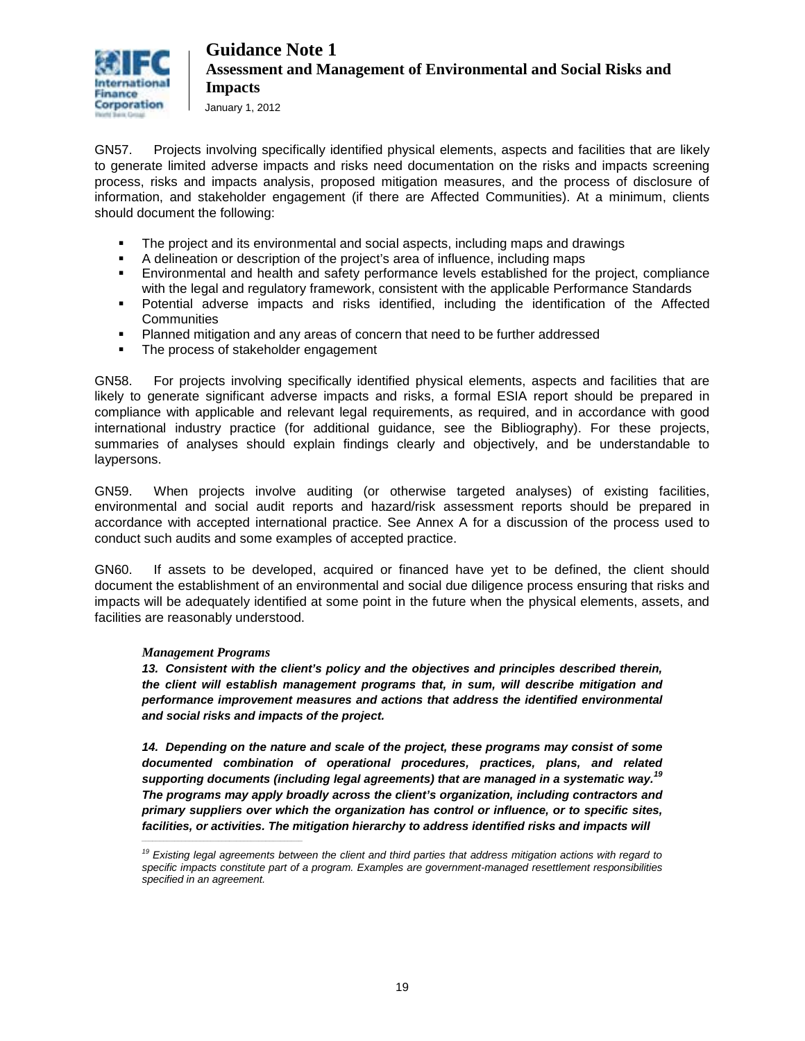

GN57. Projects involving specifically identified physical elements, aspects and facilities that are likely to generate limited adverse impacts and risks need documentation on the risks and impacts screening process, risks and impacts analysis, proposed mitigation measures, and the process of disclosure of information, and stakeholder engagement (if there are Affected Communities). At a minimum, clients should document the following:

- The project and its environmental and social aspects, including maps and drawings
- A delineation or description of the project's area of influence, including maps<br>Finyironmental and health and safety performance levels established for the
- Environmental and health and safety performance levels established for the project, compliance with the legal and regulatory framework, consistent with the applicable Performance Standards
- Potential adverse impacts and risks identified, including the identification of the Affected **Communities**
- Planned mitigation and any areas of concern that need to be further addressed
- The process of stakeholder engagement

GN58. For projects involving specifically identified physical elements, aspects and facilities that are likely to generate significant adverse impacts and risks, a formal ESIA report should be prepared in compliance with applicable and relevant legal requirements, as required, and in accordance with good international industry practice (for additional guidance, see the Bibliography). For these projects, summaries of analyses should explain findings clearly and objectively, and be understandable to laypersons.

GN59. When projects involve auditing (or otherwise targeted analyses) of existing facilities, environmental and social audit reports and hazard/risk assessment reports should be prepared in accordance with accepted international practice. See Annex A for a discussion of the process used to conduct such audits and some examples of accepted practice.

GN60. If assets to be developed, acquired or financed have yet to be defined, the client should document the establishment of an environmental and social due diligence process ensuring that risks and impacts will be adequately identified at some point in the future when the physical elements, assets, and facilities are reasonably understood.

#### *Management Programs*

*\_\_\_\_\_\_\_\_\_\_\_\_\_\_\_\_\_\_\_\_\_\_\_\_\_\_\_\_\_\_\_\_\_\_\_\_\_\_\_\_\_\_\_\_*

*13. Consistent with the client's policy and the objectives and principles described therein, the client will establish management programs that, in sum, will describe mitigation and performance improvement measures and actions that address the identified environmental and social risks and impacts of the project.* 

*14. Depending on the nature and scale of the project, these programs may consist of some documented combination of operational procedures, practices, plans, and related supporting documents (including legal agreements) that are managed in a systematic way.<sup>19</sup> The programs may apply broadly across the client's organization, including contractors and primary suppliers over which the organization has control or influence, or to specific sites,*  facilities, or activities. The mitigation hierarchy to address identified risks and impacts will

*<sup>19</sup> Existing legal agreements between the client and third parties that address mitigation actions with regard to specific impacts constitute part of a program. Examples are government-managed resettlement responsibilities specified in an agreement.*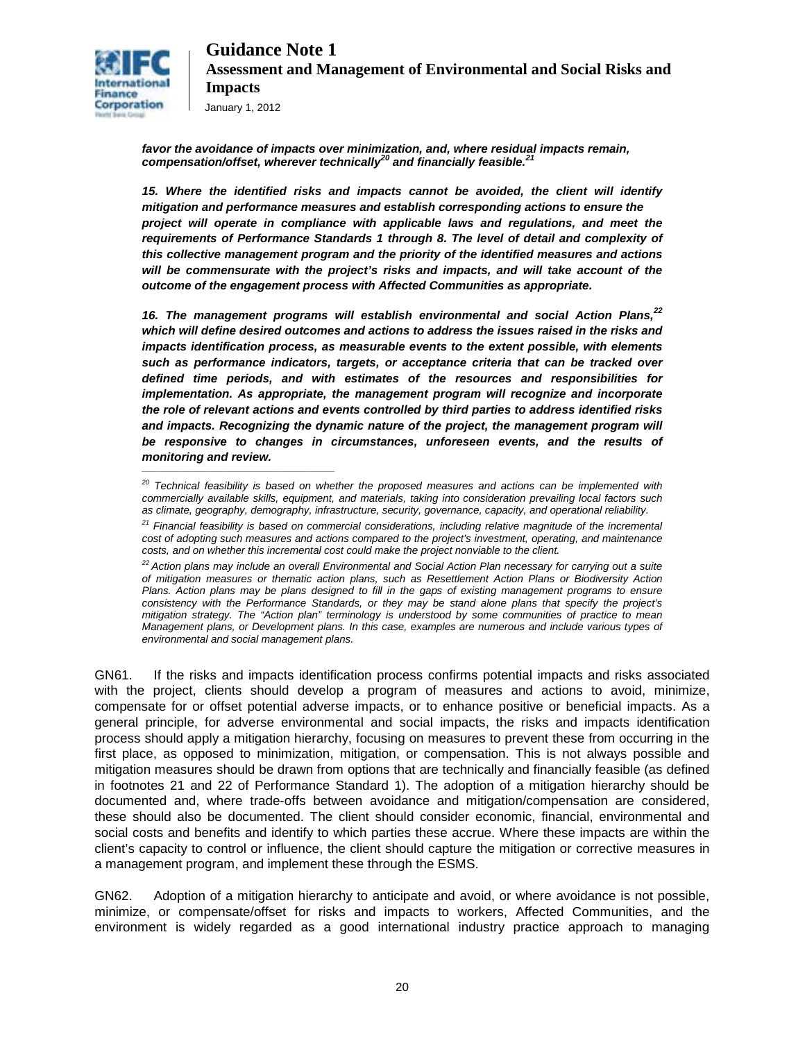

*favor the avoidance of impacts over minimization, and, where residual impacts remain, compensation/offset, wherever technically<sup>20</sup> and financially feasible.<sup>21</sup>*

*15. Where the identified risks and impacts cannot be avoided, the client will identify mitigation and performance measures and establish corresponding actions to ensure the project will operate in compliance with applicable laws and regulations, and meet the requirements of Performance Standards 1 through 8. The level of detail and complexity of this collective management program and the priority of the identified measures and actions will be commensurate with the project's risks and impacts, and will take account of the outcome of the engagement process with Affected Communities as appropriate.* 

*16. The management programs will establish environmental and social Action Plans,22 which will define desired outcomes and actions to address the issues raised in the risks and impacts identification process, as measurable events to the extent possible, with elements such as performance indicators, targets, or acceptance criteria that can be tracked over defined time periods, and with estimates of the resources and responsibilities for implementation. As appropriate, the management program will recognize and incorporate the role of relevant actions and events controlled by third parties to address identified risks and impacts. Recognizing the dynamic nature of the project, the management program will be responsive to changes in circumstances, unforeseen events, and the results of monitoring and review.* 

GN61. If the risks and impacts identification process confirms potential impacts and risks associated with the project, clients should develop a program of measures and actions to avoid, minimize, compensate for or offset potential adverse impacts, or to enhance positive or beneficial impacts. As a general principle, for adverse environmental and social impacts, the risks and impacts identification process should apply a mitigation hierarchy, focusing on measures to prevent these from occurring in the first place, as opposed to minimization, mitigation, or compensation. This is not always possible and mitigation measures should be drawn from options that are technically and financially feasible (as defined in footnotes 21 and 22 of Performance Standard 1). The adoption of a mitigation hierarchy should be documented and, where trade-offs between avoidance and mitigation/compensation are considered, these should also be documented. The client should consider economic, financial, environmental and social costs and benefits and identify to which parties these accrue. Where these impacts are within the client's capacity to control or influence, the client should capture the mitigation or corrective measures in a management program, and implement these through the ESMS.

GN62. Adoption of a mitigation hierarchy to anticipate and avoid, or where avoidance is not possible, minimize, or compensate/offset for risks and impacts to workers, Affected Communities, and the environment is widely regarded as a good international industry practice approach to managing

*<sup>20</sup> Technical feasibility is based on whether the proposed measures and actions can be implemented with commercially available skills, equipment, and materials, taking into consideration prevailing local factors such as climate, geography, demography, infrastructure, security, governance, capacity, and operational reliability.* 

*<sup>21</sup> Financial feasibility is based on commercial considerations, including relative magnitude of the incremental cost of adopting such measures and actions compared to the project's investment, operating, and maintenance costs, and on whether this incremental cost could make the project nonviable to the client.* 

*<sup>22</sup> Action plans may include an overall Environmental and Social Action Plan necessary for carrying out a suite of mitigation measures or thematic action plans, such as Resettlement Action Plans or Biodiversity Action Plans. Action plans may be plans designed to fill in the gaps of existing management programs to ensure consistency with the Performance Standards, or they may be stand alone plans that specify the project's mitigation strategy. The "Action plan" terminology is understood by some communities of practice to mean Management plans, or Development plans. In this case, examples are numerous and include various types of environmental and social management plans.*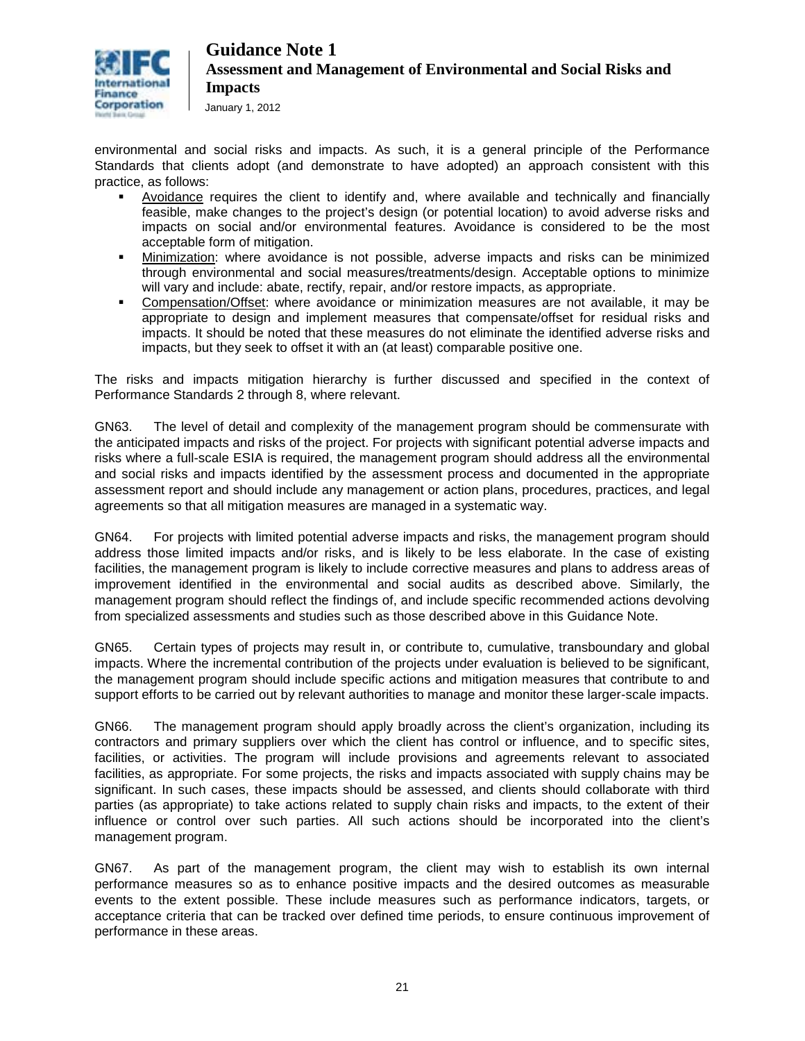

January 1, 2012

environmental and social risks and impacts. As such, it is a general principle of the Performance Standards that clients adopt (and demonstrate to have adopted) an approach consistent with this practice, as follows:

- Avoidance requires the client to identify and, where available and technically and financially feasible, make changes to the project's design (or potential location) to avoid adverse risks and impacts on social and/or environmental features. Avoidance is considered to be the most acceptable form of mitigation.
- Minimization: where avoidance is not possible, adverse impacts and risks can be minimized through environmental and social measures/treatments/design. Acceptable options to minimize will vary and include: abate, rectify, repair, and/or restore impacts, as appropriate.
- Compensation/Offset: where avoidance or minimization measures are not available, it may be appropriate to design and implement measures that compensate/offset for residual risks and impacts. It should be noted that these measures do not eliminate the identified adverse risks and impacts, but they seek to offset it with an (at least) comparable positive one.

The risks and impacts mitigation hierarchy is further discussed and specified in the context of Performance Standards 2 through 8, where relevant.

GN63. The level of detail and complexity of the management program should be commensurate with the anticipated impacts and risks of the project. For projects with significant potential adverse impacts and risks where a full-scale ESIA is required, the management program should address all the environmental and social risks and impacts identified by the assessment process and documented in the appropriate assessment report and should include any management or action plans, procedures, practices, and legal agreements so that all mitigation measures are managed in a systematic way.

GN64. For projects with limited potential adverse impacts and risks, the management program should address those limited impacts and/or risks, and is likely to be less elaborate. In the case of existing facilities, the management program is likely to include corrective measures and plans to address areas of improvement identified in the environmental and social audits as described above. Similarly, the management program should reflect the findings of, and include specific recommended actions devolving from specialized assessments and studies such as those described above in this Guidance Note.

GN65. Certain types of projects may result in, or contribute to, cumulative, transboundary and global impacts. Where the incremental contribution of the projects under evaluation is believed to be significant, the management program should include specific actions and mitigation measures that contribute to and support efforts to be carried out by relevant authorities to manage and monitor these larger-scale impacts.

GN66. The management program should apply broadly across the client's organization, including its contractors and primary suppliers over which the client has control or influence, and to specific sites, facilities, or activities. The program will include provisions and agreements relevant to associated facilities, as appropriate. For some projects, the risks and impacts associated with supply chains may be significant. In such cases, these impacts should be assessed, and clients should collaborate with third parties (as appropriate) to take actions related to supply chain risks and impacts, to the extent of their influence or control over such parties. All such actions should be incorporated into the client's management program.

GN67. As part of the management program, the client may wish to establish its own internal performance measures so as to enhance positive impacts and the desired outcomes as measurable events to the extent possible. These include measures such as performance indicators, targets, or acceptance criteria that can be tracked over defined time periods, to ensure continuous improvement of performance in these areas.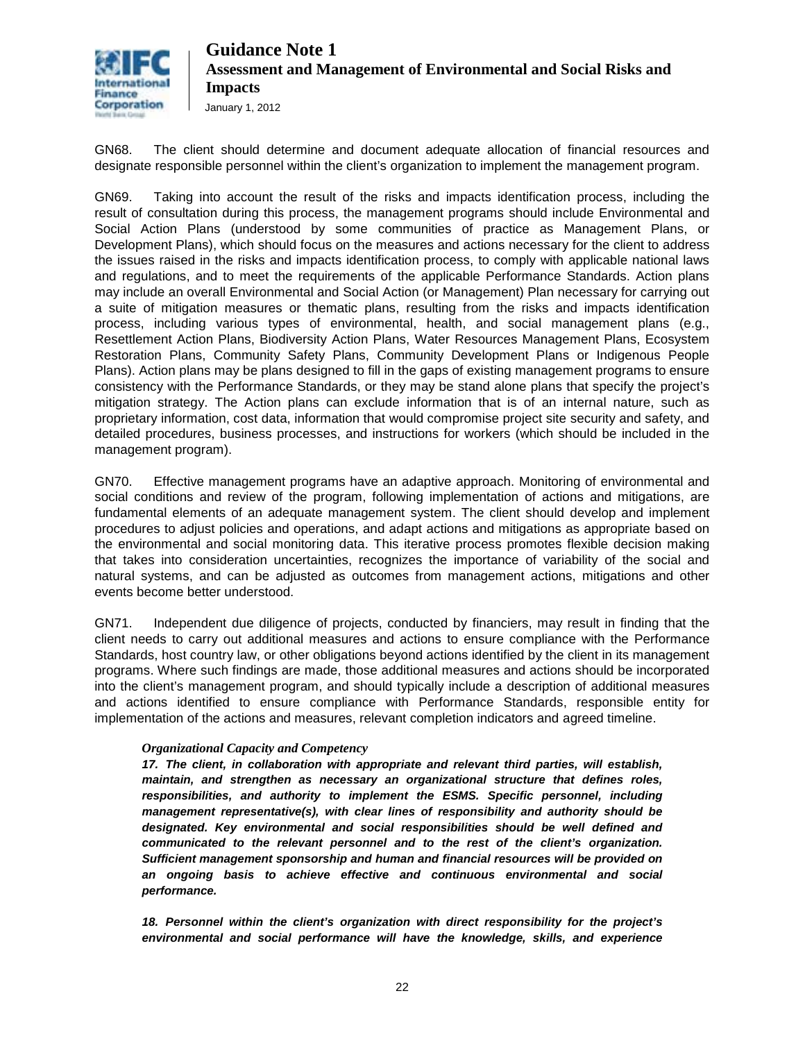

GN68. The client should determine and document adequate allocation of financial resources and designate responsible personnel within the client's organization to implement the management program.

GN69. Taking into account the result of the risks and impacts identification process, including the result of consultation during this process, the management programs should include Environmental and Social Action Plans (understood by some communities of practice as Management Plans, or Development Plans), which should focus on the measures and actions necessary for the client to address the issues raised in the risks and impacts identification process, to comply with applicable national laws and regulations, and to meet the requirements of the applicable Performance Standards. Action plans may include an overall Environmental and Social Action (or Management) Plan necessary for carrying out a suite of mitigation measures or thematic plans, resulting from the risks and impacts identification process, including various types of environmental, health, and social management plans (e.g., Resettlement Action Plans, Biodiversity Action Plans, Water Resources Management Plans, Ecosystem Restoration Plans, Community Safety Plans, Community Development Plans or Indigenous People Plans). Action plans may be plans designed to fill in the gaps of existing management programs to ensure consistency with the Performance Standards, or they may be stand alone plans that specify the project's mitigation strategy. The Action plans can exclude information that is of an internal nature, such as proprietary information, cost data, information that would compromise project site security and safety, and detailed procedures, business processes, and instructions for workers (which should be included in the management program).

GN70. Effective management programs have an adaptive approach. Monitoring of environmental and social conditions and review of the program, following implementation of actions and mitigations, are fundamental elements of an adequate management system. The client should develop and implement procedures to adjust policies and operations, and adapt actions and mitigations as appropriate based on the environmental and social monitoring data. This iterative process promotes flexible decision making that takes into consideration uncertainties, recognizes the importance of variability of the social and natural systems, and can be adjusted as outcomes from management actions, mitigations and other events become better understood.

GN71. Independent due diligence of projects, conducted by financiers, may result in finding that the client needs to carry out additional measures and actions to ensure compliance with the Performance Standards, host country law, or other obligations beyond actions identified by the client in its management programs. Where such findings are made, those additional measures and actions should be incorporated into the client's management program, and should typically include a description of additional measures and actions identified to ensure compliance with Performance Standards, responsible entity for implementation of the actions and measures, relevant completion indicators and agreed timeline.

#### *Organizational Capacity and Competency*

*17. The client, in collaboration with appropriate and relevant third parties, will establish, maintain, and strengthen as necessary an organizational structure that defines roles, responsibilities, and authority to implement the ESMS. Specific personnel, including management representative(s), with clear lines of responsibility and authority should be designated. Key environmental and social responsibilities should be well defined and communicated to the relevant personnel and to the rest of the client's organization. Sufficient management sponsorship and human and financial resources will be provided on an ongoing basis to achieve effective and continuous environmental and social performance.* 

*18. Personnel within the client's organization with direct responsibility for the project's environmental and social performance will have the knowledge, skills, and experience*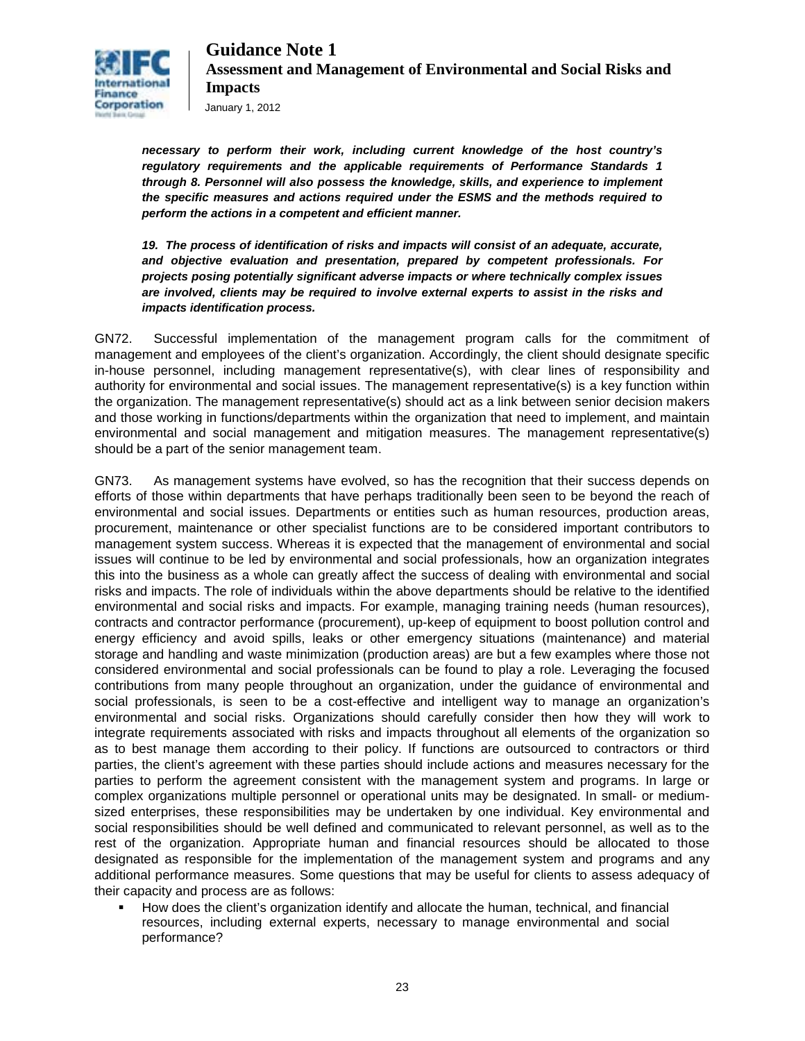

*necessary to perform their work, including current knowledge of the host country's regulatory requirements and the applicable requirements of Performance Standards 1 through 8. Personnel will also possess the knowledge, skills, and experience to implement the specific measures and actions required under the ESMS and the methods required to perform the actions in a competent and efficient manner.* 

*19. The process of identification of risks and impacts will consist of an adequate, accurate, and objective evaluation and presentation, prepared by competent professionals. For projects posing potentially significant adverse impacts or where technically complex issues are involved, clients may be required to involve external experts to assist in the risks and impacts identification process.* 

GN72. Successful implementation of the management program calls for the commitment of management and employees of the client's organization. Accordingly, the client should designate specific in-house personnel, including management representative(s), with clear lines of responsibility and authority for environmental and social issues. The management representative(s) is a key function within the organization. The management representative(s) should act as a link between senior decision makers and those working in functions/departments within the organization that need to implement, and maintain environmental and social management and mitigation measures. The management representative(s) should be a part of the senior management team.

GN73. As management systems have evolved, so has the recognition that their success depends on efforts of those within departments that have perhaps traditionally been seen to be beyond the reach of environmental and social issues. Departments or entities such as human resources, production areas, procurement, maintenance or other specialist functions are to be considered important contributors to management system success. Whereas it is expected that the management of environmental and social issues will continue to be led by environmental and social professionals, how an organization integrates this into the business as a whole can greatly affect the success of dealing with environmental and social risks and impacts. The role of individuals within the above departments should be relative to the identified environmental and social risks and impacts. For example, managing training needs (human resources), contracts and contractor performance (procurement), up-keep of equipment to boost pollution control and energy efficiency and avoid spills, leaks or other emergency situations (maintenance) and material storage and handling and waste minimization (production areas) are but a few examples where those not considered environmental and social professionals can be found to play a role. Leveraging the focused contributions from many people throughout an organization, under the guidance of environmental and social professionals, is seen to be a cost-effective and intelligent way to manage an organization's environmental and social risks. Organizations should carefully consider then how they will work to integrate requirements associated with risks and impacts throughout all elements of the organization so as to best manage them according to their policy. If functions are outsourced to contractors or third parties, the client's agreement with these parties should include actions and measures necessary for the parties to perform the agreement consistent with the management system and programs. In large or complex organizations multiple personnel or operational units may be designated. In small- or mediumsized enterprises, these responsibilities may be undertaken by one individual. Key environmental and social responsibilities should be well defined and communicated to relevant personnel, as well as to the rest of the organization. Appropriate human and financial resources should be allocated to those designated as responsible for the implementation of the management system and programs and any additional performance measures. Some questions that may be useful for clients to assess adequacy of their capacity and process are as follows:

 How does the client's organization identify and allocate the human, technical, and financial resources, including external experts, necessary to manage environmental and social performance?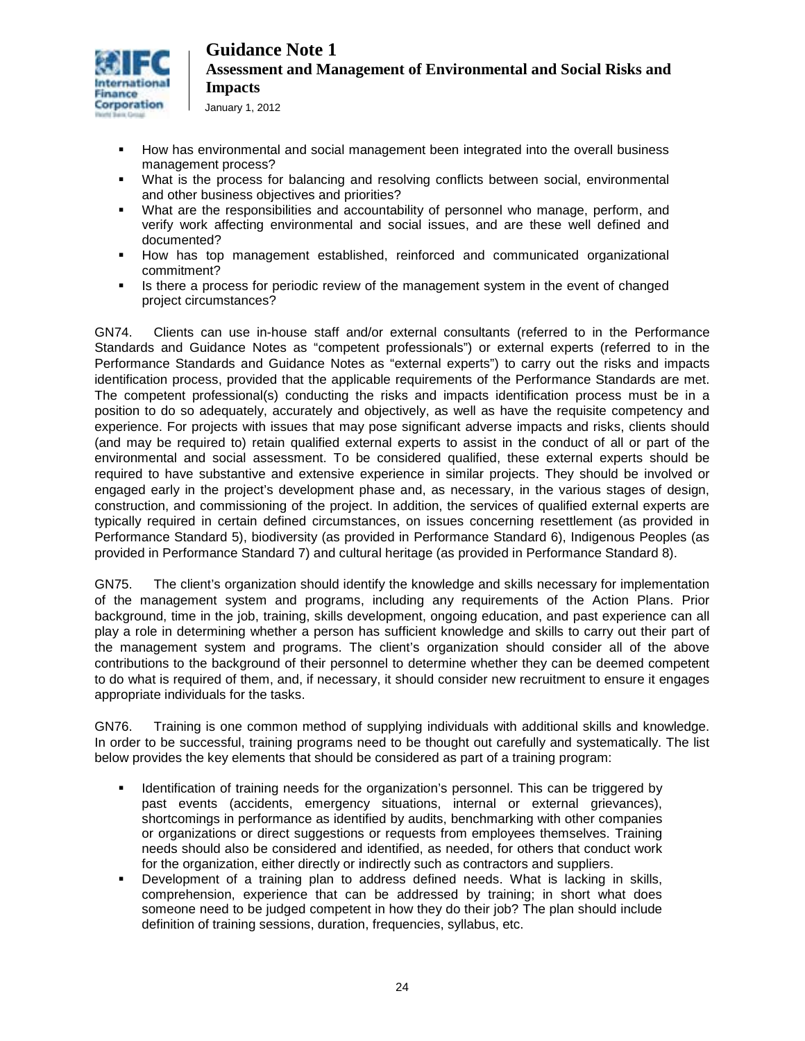

January 1, 2012

- How has environmental and social management been integrated into the overall business management process?
- What is the process for balancing and resolving conflicts between social, environmental and other business objectives and priorities?
- What are the responsibilities and accountability of personnel who manage, perform, and verify work affecting environmental and social issues, and are these well defined and documented?
- How has top management established, reinforced and communicated organizational commitment?
- Is there a process for periodic review of the management system in the event of changed project circumstances?

GN74. Clients can use in-house staff and/or external consultants (referred to in the Performance Standards and Guidance Notes as "competent professionals") or external experts (referred to in the Performance Standards and Guidance Notes as "external experts") to carry out the risks and impacts identification process, provided that the applicable requirements of the Performance Standards are met. The competent professional(s) conducting the risks and impacts identification process must be in a position to do so adequately, accurately and objectively, as well as have the requisite competency and experience. For projects with issues that may pose significant adverse impacts and risks, clients should (and may be required to) retain qualified external experts to assist in the conduct of all or part of the environmental and social assessment. To be considered qualified, these external experts should be required to have substantive and extensive experience in similar projects. They should be involved or engaged early in the project's development phase and, as necessary, in the various stages of design, construction, and commissioning of the project. In addition, the services of qualified external experts are typically required in certain defined circumstances, on issues concerning resettlement (as provided in Performance Standard 5), biodiversity (as provided in Performance Standard 6), Indigenous Peoples (as provided in Performance Standard 7) and cultural heritage (as provided in Performance Standard 8).

GN75. The client's organization should identify the knowledge and skills necessary for implementation of the management system and programs, including any requirements of the Action Plans. Prior background, time in the job, training, skills development, ongoing education, and past experience can all play a role in determining whether a person has sufficient knowledge and skills to carry out their part of the management system and programs. The client's organization should consider all of the above contributions to the background of their personnel to determine whether they can be deemed competent to do what is required of them, and, if necessary, it should consider new recruitment to ensure it engages appropriate individuals for the tasks.

GN76. Training is one common method of supplying individuals with additional skills and knowledge. In order to be successful, training programs need to be thought out carefully and systematically. The list below provides the key elements that should be considered as part of a training program:

- Identification of training needs for the organization's personnel. This can be triggered by past events (accidents, emergency situations, internal or external grievances), shortcomings in performance as identified by audits, benchmarking with other companies or organizations or direct suggestions or requests from employees themselves. Training needs should also be considered and identified, as needed, for others that conduct work for the organization, either directly or indirectly such as contractors and suppliers.
- Development of a training plan to address defined needs. What is lacking in skills, comprehension, experience that can be addressed by training; in short what does someone need to be judged competent in how they do their job? The plan should include definition of training sessions, duration, frequencies, syllabus, etc.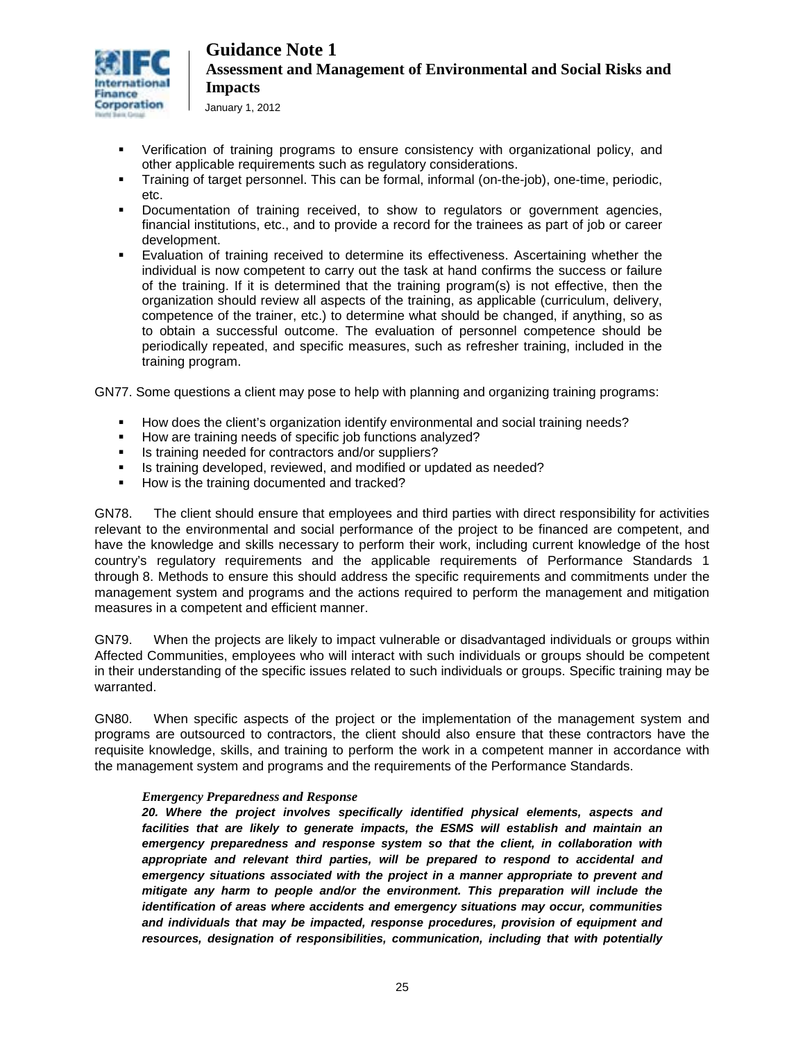

January 1, 2012

- Verification of training programs to ensure consistency with organizational policy, and other applicable requirements such as regulatory considerations.
- Training of target personnel. This can be formal, informal (on-the-job), one-time, periodic, etc.
- Documentation of training received, to show to regulators or government agencies, financial institutions, etc., and to provide a record for the trainees as part of job or career development.
- Evaluation of training received to determine its effectiveness. Ascertaining whether the individual is now competent to carry out the task at hand confirms the success or failure of the training. If it is determined that the training program(s) is not effective, then the organization should review all aspects of the training, as applicable (curriculum, delivery, competence of the trainer, etc.) to determine what should be changed, if anything, so as to obtain a successful outcome. The evaluation of personnel competence should be periodically repeated, and specific measures, such as refresher training, included in the training program.

GN77. Some questions a client may pose to help with planning and organizing training programs:

- How does the client's organization identify environmental and social training needs?
- How are training needs of specific job functions analyzed?
- Is training needed for contractors and/or suppliers?
- Is training developed, reviewed, and modified or updated as needed?
- How is the training documented and tracked?

GN78. The client should ensure that employees and third parties with direct responsibility for activities relevant to the environmental and social performance of the project to be financed are competent, and have the knowledge and skills necessary to perform their work, including current knowledge of the host country's regulatory requirements and the applicable requirements of Performance Standards 1 through 8. Methods to ensure this should address the specific requirements and commitments under the management system and programs and the actions required to perform the management and mitigation measures in a competent and efficient manner.

GN79. When the projects are likely to impact vulnerable or disadvantaged individuals or groups within Affected Communities, employees who will interact with such individuals or groups should be competent in their understanding of the specific issues related to such individuals or groups. Specific training may be warranted.

GN80. When specific aspects of the project or the implementation of the management system and programs are outsourced to contractors, the client should also ensure that these contractors have the requisite knowledge, skills, and training to perform the work in a competent manner in accordance with the management system and programs and the requirements of the Performance Standards.

#### *Emergency Preparedness and Response*

*20. Where the project involves specifically identified physical elements, aspects and facilities that are likely to generate impacts, the ESMS will establish and maintain an emergency preparedness and response system so that the client, in collaboration with*  appropriate and relevant third parties, will be prepared to respond to accidental and *emergency situations associated with the project in a manner appropriate to prevent and mitigate any harm to people and/or the environment. This preparation will include the identification of areas where accidents and emergency situations may occur, communities and individuals that may be impacted, response procedures, provision of equipment and resources, designation of responsibilities, communication, including that with potentially*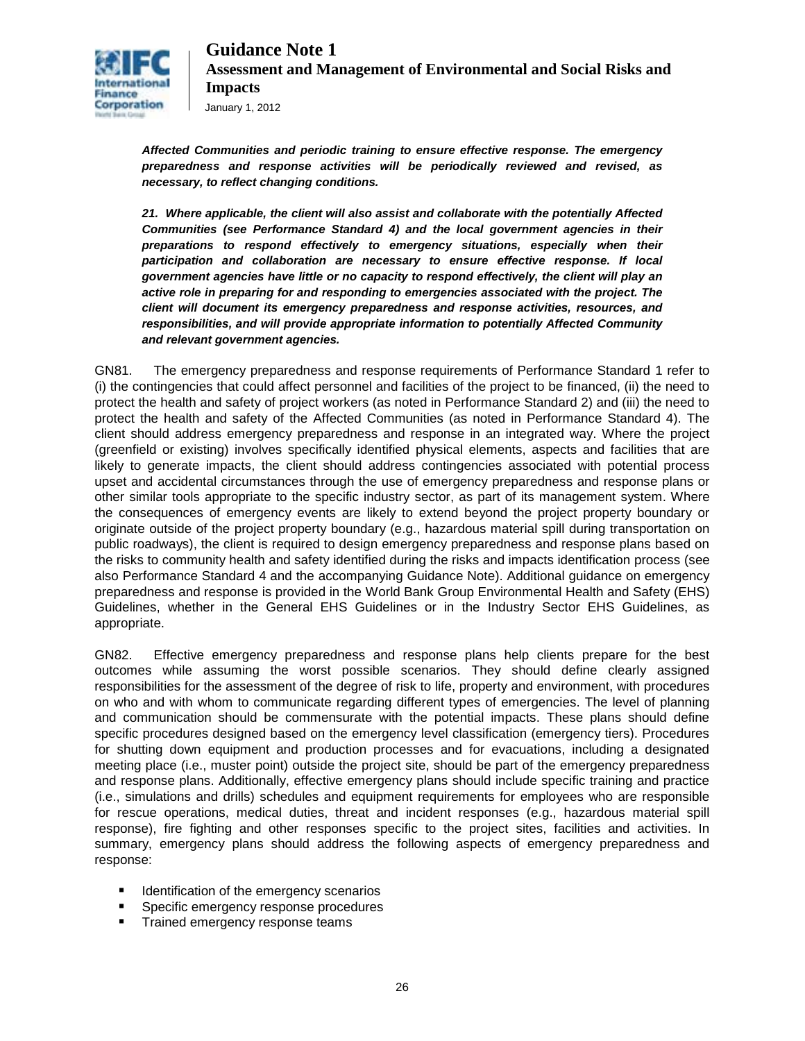

*Affected Communities and periodic training to ensure effective response. The emergency preparedness and response activities will be periodically reviewed and revised, as necessary, to reflect changing conditions.* 

*21. Where applicable, the client will also assist and collaborate with the potentially Affected Communities (see Performance Standard 4) and the local government agencies in their preparations to respond effectively to emergency situations, especially when their participation and collaboration are necessary to ensure effective response. If local government agencies have little or no capacity to respond effectively, the client will play an active role in preparing for and responding to emergencies associated with the project. The client will document its emergency preparedness and response activities, resources, and responsibilities, and will provide appropriate information to potentially Affected Community and relevant government agencies.* 

GN81. The emergency preparedness and response requirements of Performance Standard 1 refer to (i) the contingencies that could affect personnel and facilities of the project to be financed, (ii) the need to protect the health and safety of project workers (as noted in Performance Standard 2) and (iii) the need to protect the health and safety of the Affected Communities (as noted in Performance Standard 4). The client should address emergency preparedness and response in an integrated way. Where the project (greenfield or existing) involves specifically identified physical elements, aspects and facilities that are likely to generate impacts, the client should address contingencies associated with potential process upset and accidental circumstances through the use of emergency preparedness and response plans or other similar tools appropriate to the specific industry sector, as part of its management system. Where the consequences of emergency events are likely to extend beyond the project property boundary or originate outside of the project property boundary (e.g., hazardous material spill during transportation on public roadways), the client is required to design emergency preparedness and response plans based on the risks to community health and safety identified during the risks and impacts identification process (see also Performance Standard 4 and the accompanying Guidance Note). Additional guidance on emergency preparedness and response is provided in the World Bank Group Environmental Health and Safety (EHS) Guidelines, whether in the General EHS Guidelines or in the Industry Sector EHS Guidelines, as appropriate.

GN82. Effective emergency preparedness and response plans help clients prepare for the best outcomes while assuming the worst possible scenarios. They should define clearly assigned responsibilities for the assessment of the degree of risk to life, property and environment, with procedures on who and with whom to communicate regarding different types of emergencies. The level of planning and communication should be commensurate with the potential impacts. These plans should define specific procedures designed based on the emergency level classification (emergency tiers). Procedures for shutting down equipment and production processes and for evacuations, including a designated meeting place (i.e., muster point) outside the project site, should be part of the emergency preparedness and response plans. Additionally, effective emergency plans should include specific training and practice (i.e., simulations and drills) schedules and equipment requirements for employees who are responsible for rescue operations, medical duties, threat and incident responses (e.g., hazardous material spill response), fire fighting and other responses specific to the project sites, facilities and activities. In summary, emergency plans should address the following aspects of emergency preparedness and response:

- **IDENTIFICATE:** Identification of the emergency scenarios
- Specific emergency response procedures
- **Trained emergency response teams**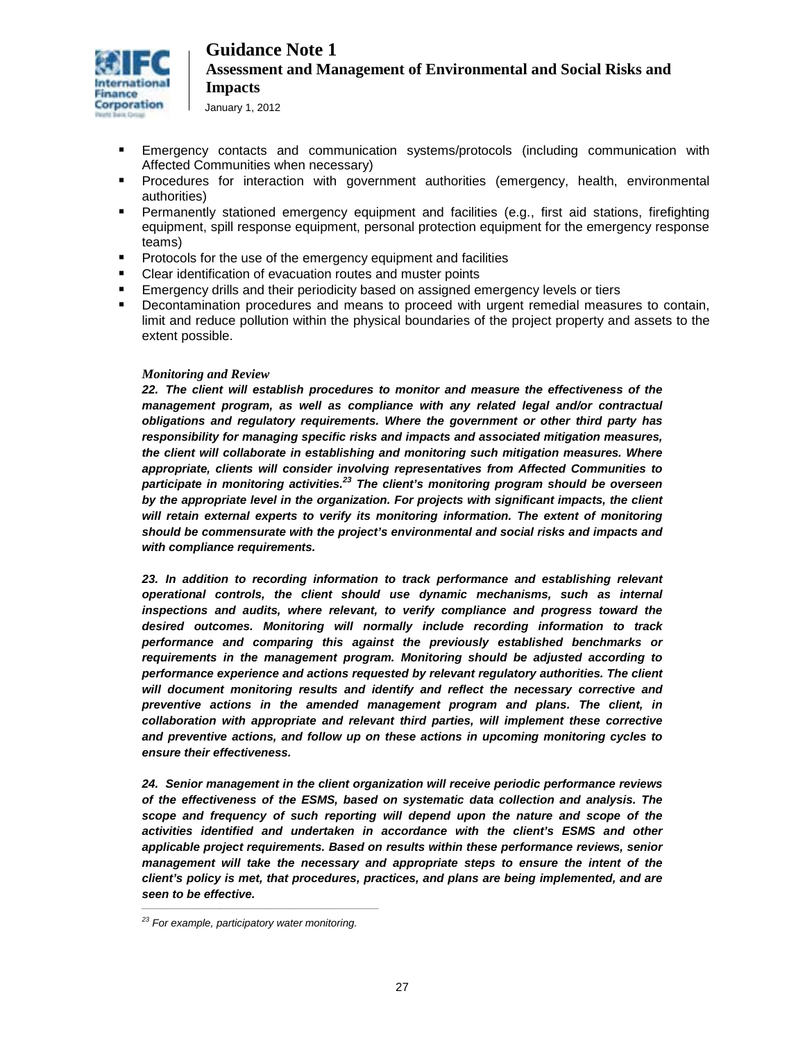

- Emergency contacts and communication systems/protocols (including communication with Affected Communities when necessary)
- Procedures for interaction with government authorities (emergency, health, environmental authorities)
- Permanently stationed emergency equipment and facilities (e.g., first aid stations, firefighting equipment, spill response equipment, personal protection equipment for the emergency response teams)
- Protocols for the use of the emergency equipment and facilities
- **EXECT** Clear identification of evacuation routes and muster points
- **Emergency drills and their periodicity based on assigned emergency levels or tiers**
- Decontamination procedures and means to proceed with urgent remedial measures to contain, limit and reduce pollution within the physical boundaries of the project property and assets to the extent possible.

#### *Monitoring and Review*

*22. The client will establish procedures to monitor and measure the effectiveness of the management program, as well as compliance with any related legal and/or contractual obligations and regulatory requirements. Where the government or other third party has responsibility for managing specific risks and impacts and associated mitigation measures, the client will collaborate in establishing and monitoring such mitigation measures. Where appropriate, clients will consider involving representatives from Affected Communities to participate in monitoring activities.<sup>23</sup> The client's monitoring program should be overseen by the appropriate level in the organization. For projects with significant impacts, the client will retain external experts to verify its monitoring information. The extent of monitoring should be commensurate with the project's environmental and social risks and impacts and with compliance requirements.* 

*23. In addition to recording information to track performance and establishing relevant operational controls, the client should use dynamic mechanisms, such as internal inspections and audits, where relevant, to verify compliance and progress toward the desired outcomes. Monitoring will normally include recording information to track performance and comparing this against the previously established benchmarks or requirements in the management program. Monitoring should be adjusted according to performance experience and actions requested by relevant regulatory authorities. The client will document monitoring results and identify and reflect the necessary corrective and preventive actions in the amended management program and plans. The client, in collaboration with appropriate and relevant third parties, will implement these corrective and preventive actions, and follow up on these actions in upcoming monitoring cycles to ensure their effectiveness.* 

*24. Senior management in the client organization will receive periodic performance reviews of the effectiveness of the ESMS, based on systematic data collection and analysis. The scope and frequency of such reporting will depend upon the nature and scope of the activities identified and undertaken in accordance with the client's ESMS and other applicable project requirements. Based on results within these performance reviews, senior management will take the necessary and appropriate steps to ensure the intent of the client's policy is met, that procedures, practices, and plans are being implemented, and are seen to be effective. \_\_\_\_\_\_\_\_\_\_\_\_\_\_\_\_\_\_\_\_\_\_\_\_\_\_\_\_\_\_\_\_\_\_\_\_\_\_\_\_\_\_\_\_\_\_\_\_\_\_\_\_\_\_*

*<sup>23</sup> For example, participatory water monitoring.*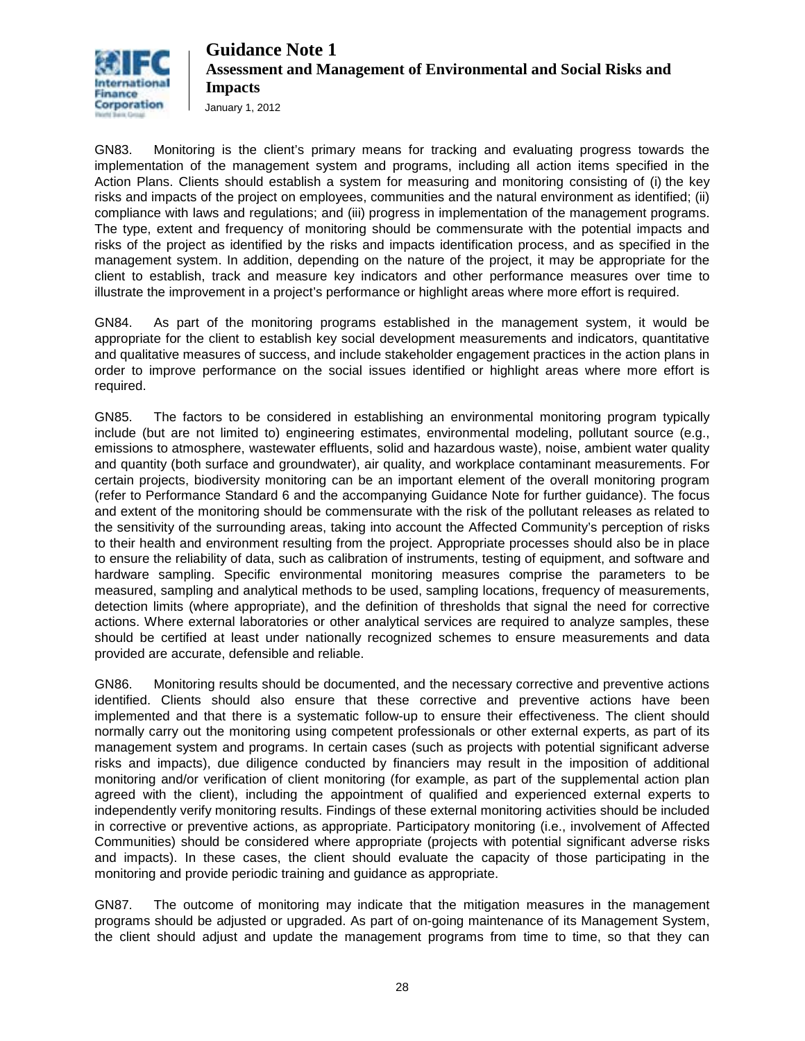

January 1, 2012

GN83. Monitoring is the client's primary means for tracking and evaluating progress towards the implementation of the management system and programs, including all action items specified in the Action Plans. Clients should establish a system for measuring and monitoring consisting of (i) the key risks and impacts of the project on employees, communities and the natural environment as identified; (ii) compliance with laws and regulations; and (iii) progress in implementation of the management programs. The type, extent and frequency of monitoring should be commensurate with the potential impacts and risks of the project as identified by the risks and impacts identification process, and as specified in the management system. In addition, depending on the nature of the project, it may be appropriate for the client to establish, track and measure key indicators and other performance measures over time to illustrate the improvement in a project's performance or highlight areas where more effort is required.

GN84. As part of the monitoring programs established in the management system, it would be appropriate for the client to establish key social development measurements and indicators, quantitative and qualitative measures of success, and include stakeholder engagement practices in the action plans in order to improve performance on the social issues identified or highlight areas where more effort is required.

GN85. The factors to be considered in establishing an environmental monitoring program typically include (but are not limited to) engineering estimates, environmental modeling, pollutant source (e.g., emissions to atmosphere, wastewater effluents, solid and hazardous waste), noise, ambient water quality and quantity (both surface and groundwater), air quality, and workplace contaminant measurements. For certain projects, biodiversity monitoring can be an important element of the overall monitoring program (refer to Performance Standard 6 and the accompanying Guidance Note for further guidance). The focus and extent of the monitoring should be commensurate with the risk of the pollutant releases as related to the sensitivity of the surrounding areas, taking into account the Affected Community's perception of risks to their health and environment resulting from the project. Appropriate processes should also be in place to ensure the reliability of data, such as calibration of instruments, testing of equipment, and software and hardware sampling. Specific environmental monitoring measures comprise the parameters to be measured, sampling and analytical methods to be used, sampling locations, frequency of measurements, detection limits (where appropriate), and the definition of thresholds that signal the need for corrective actions. Where external laboratories or other analytical services are required to analyze samples, these should be certified at least under nationally recognized schemes to ensure measurements and data provided are accurate, defensible and reliable.

GN86. Monitoring results should be documented, and the necessary corrective and preventive actions identified. Clients should also ensure that these corrective and preventive actions have been implemented and that there is a systematic follow-up to ensure their effectiveness. The client should normally carry out the monitoring using competent professionals or other external experts, as part of its management system and programs. In certain cases (such as projects with potential significant adverse risks and impacts), due diligence conducted by financiers may result in the imposition of additional monitoring and/or verification of client monitoring (for example, as part of the supplemental action plan agreed with the client), including the appointment of qualified and experienced external experts to independently verify monitoring results. Findings of these external monitoring activities should be included in corrective or preventive actions, as appropriate. Participatory monitoring (i.e., involvement of Affected Communities) should be considered where appropriate (projects with potential significant adverse risks and impacts). In these cases, the client should evaluate the capacity of those participating in the monitoring and provide periodic training and guidance as appropriate.

GN87. The outcome of monitoring may indicate that the mitigation measures in the management programs should be adjusted or upgraded. As part of on-going maintenance of its Management System, the client should adjust and update the management programs from time to time, so that they can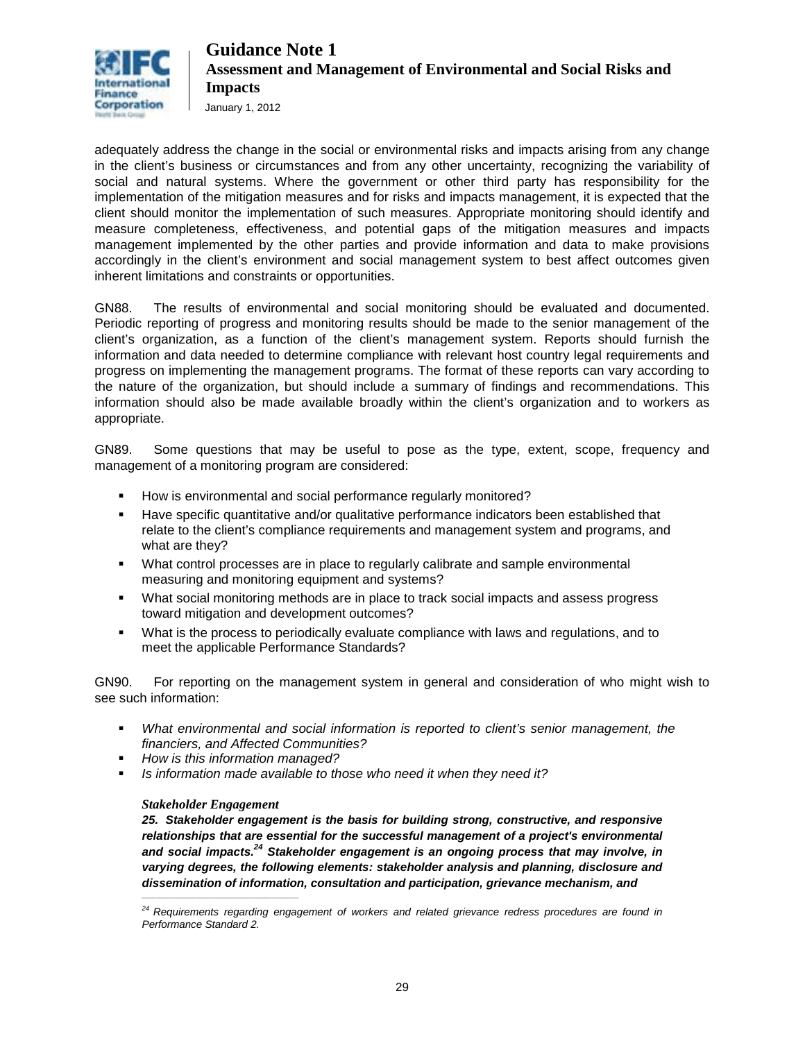

January 1, 2012

adequately address the change in the social or environmental risks and impacts arising from any change in the client's business or circumstances and from any other uncertainty, recognizing the variability of social and natural systems. Where the government or other third party has responsibility for the implementation of the mitigation measures and for risks and impacts management, it is expected that the client should monitor the implementation of such measures. Appropriate monitoring should identify and measure completeness, effectiveness, and potential gaps of the mitigation measures and impacts management implemented by the other parties and provide information and data to make provisions accordingly in the client's environment and social management system to best affect outcomes given inherent limitations and constraints or opportunities.

GN88. The results of environmental and social monitoring should be evaluated and documented. Periodic reporting of progress and monitoring results should be made to the senior management of the client's organization, as a function of the client's management system. Reports should furnish the information and data needed to determine compliance with relevant host country legal requirements and progress on implementing the management programs. The format of these reports can vary according to the nature of the organization, but should include a summary of findings and recommendations. This information should also be made available broadly within the client's organization and to workers as appropriate.

GN89. Some questions that may be useful to pose as the type, extent, scope, frequency and management of a monitoring program are considered:

- How is environmental and social performance regularly monitored?
- Have specific quantitative and/or qualitative performance indicators been established that relate to the client's compliance requirements and management system and programs, and what are they?
- What control processes are in place to regularly calibrate and sample environmental measuring and monitoring equipment and systems?
- What social monitoring methods are in place to track social impacts and assess progress toward mitigation and development outcomes?
- What is the process to periodically evaluate compliance with laws and regulations, and to meet the applicable Performance Standards?

GN90. For reporting on the management system in general and consideration of who might wish to see such information:

- *What environmental and social information is reported to client's senior management, the financiers, and Affected Communities?*
- *How is this information managed?*
- *Is information made available to those who need it when they need it?*

#### *Stakeholder Engagement*

*\_\_\_\_\_\_\_\_\_\_\_\_\_\_\_\_\_\_\_\_\_\_\_\_\_\_\_\_\_\_\_\_\_\_\_\_\_\_\_\_\_\_\_*

*25. Stakeholder engagement is the basis for building strong, constructive, and responsive relationships that are essential for the successful management of a project's environmental and social impacts.24 Stakeholder engagement is an ongoing process that may involve, in varying degrees, the following elements: stakeholder analysis and planning, disclosure and dissemination of information, consultation and participation, grievance mechanism, and*

*<sup>24</sup> Requirements regarding engagement of workers and related grievance redress procedures are found in Performance Standard 2.*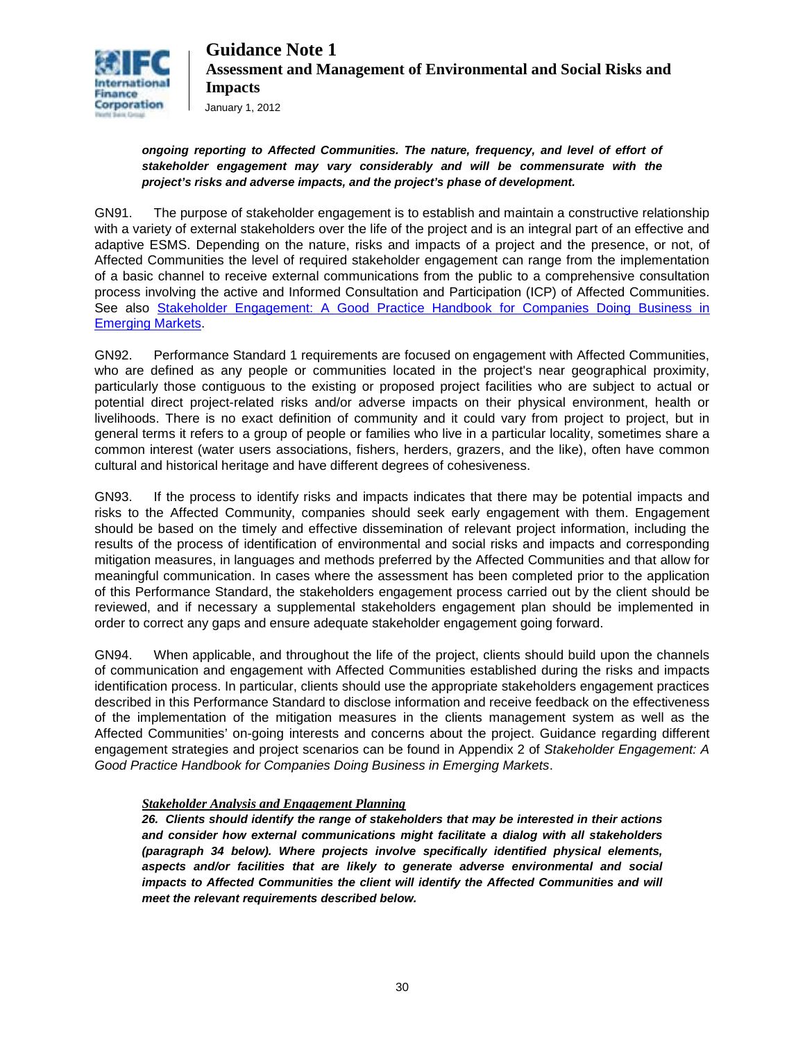

#### *ongoing reporting to Affected Communities. The nature, frequency, and level of effort of stakeholder engagement may vary considerably and will be commensurate with the project's risks and adverse impacts, and the project's phase of development.*

GN91. The purpose of stakeholder engagement is to establish and maintain a constructive relationship with a variety of external stakeholders over the life of the project and is an integral part of an effective and adaptive ESMS. Depending on the nature, risks and impacts of a project and the presence, or not, of Affected Communities the level of required stakeholder engagement can range from the implementation of a basic channel to receive external communications from the public to a comprehensive consultation process involving the active and Informed Consultation and Participation (ICP) of Affected Communities. See also [Stakeholder Engagement: A Good Practice Handbook for Companies Doing Business in](http://www1.ifc.org/wps/wcm/connect/Topics_ext_content/ifc_external_corporate_site/IFC%20Sustainability/Publications/Publications_Handbook_StakeholderEngagement__WCI__1319577185063?id=9036808048d2ea68ba36bf4b02f32852&WCM_Page.ResetAll=TRUE&CACHE=NONE&CONTE)  [Emerging Markets.](http://www1.ifc.org/wps/wcm/connect/Topics_ext_content/ifc_external_corporate_site/IFC%20Sustainability/Publications/Publications_Handbook_StakeholderEngagement__WCI__1319577185063?id=9036808048d2ea68ba36bf4b02f32852&WCM_Page.ResetAll=TRUE&CACHE=NONE&CONTE)

GN92. Performance Standard 1 requirements are focused on engagement with Affected Communities, who are defined as any people or communities located in the project's near geographical proximity, particularly those contiguous to the existing or proposed project facilities who are subject to actual or potential direct project-related risks and/or adverse impacts on their physical environment, health or livelihoods. There is no exact definition of community and it could vary from project to project, but in general terms it refers to a group of people or families who live in a particular locality, sometimes share a common interest (water users associations, fishers, herders, grazers, and the like), often have common cultural and historical heritage and have different degrees of cohesiveness.

GN93. If the process to identify risks and impacts indicates that there may be potential impacts and risks to the Affected Community, companies should seek early engagement with them. Engagement should be based on the timely and effective dissemination of relevant project information, including the results of the process of identification of environmental and social risks and impacts and corresponding mitigation measures, in languages and methods preferred by the Affected Communities and that allow for meaningful communication. In cases where the assessment has been completed prior to the application of this Performance Standard, the stakeholders engagement process carried out by the client should be reviewed, and if necessary a supplemental stakeholders engagement plan should be implemented in order to correct any gaps and ensure adequate stakeholder engagement going forward.

GN94. When applicable, and throughout the life of the project, clients should build upon the channels of communication and engagement with Affected Communities established during the risks and impacts identification process. In particular, clients should use the appropriate stakeholders engagement practices described in this Performance Standard to disclose information and receive feedback on the effectiveness of the implementation of the mitigation measures in the clients management system as well as the Affected Communities' on-going interests and concerns about the project. Guidance regarding different engagement strategies and project scenarios can be found in Appendix 2 of *Stakeholder Engagement: A Good Practice Handbook for Companies Doing Business in Emerging Markets*.

#### *Stakeholder Analysis and Engagement Planning*

*26. Clients should identify the range of stakeholders that may be interested in their actions and consider how external communications might facilitate a dialog with all stakeholders (paragraph 34 below). Where projects involve specifically identified physical elements, aspects and/or facilities that are likely to generate adverse environmental and social*  impacts to Affected Communities the client will identify the Affected Communities and will *meet the relevant requirements described below.*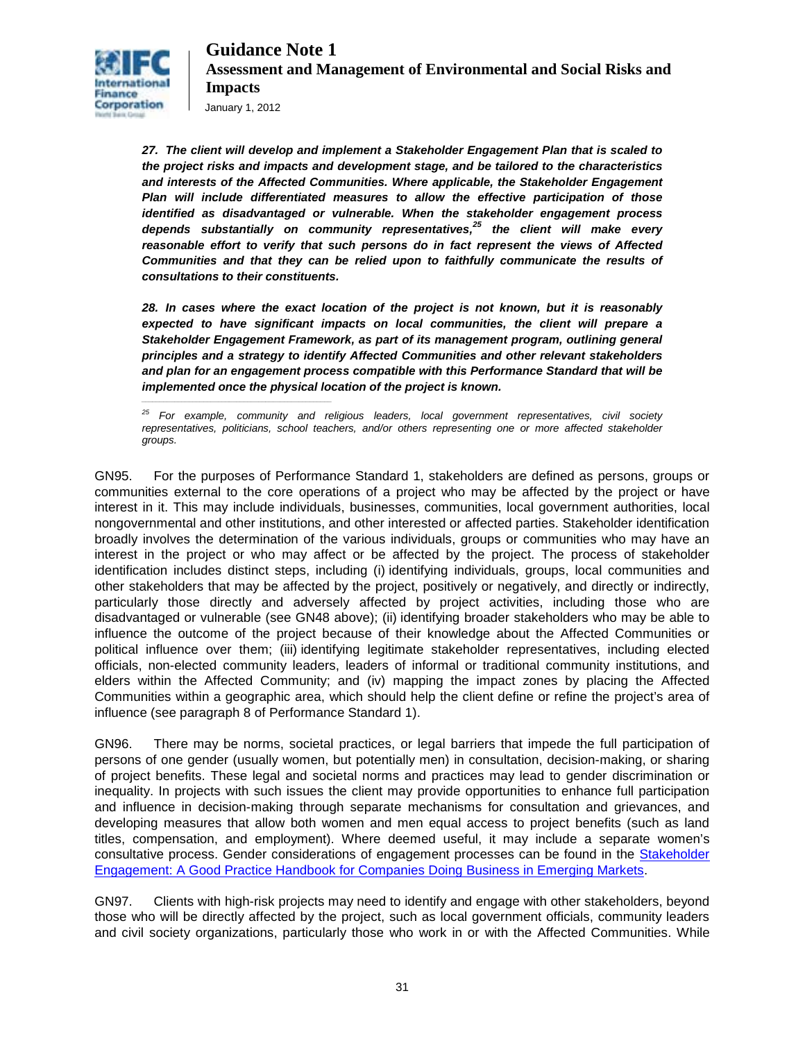

*\_\_\_\_\_\_\_\_\_\_\_\_\_\_\_\_\_\_\_\_\_\_\_\_\_\_\_\_\_\_\_\_\_\_\_\_\_\_\_\_\_\_\_\_\_\_\_\_\_\_\_\_*

*27. The client will develop and implement a Stakeholder Engagement Plan that is scaled to the project risks and impacts and development stage, and be tailored to the characteristics and interests of the Affected Communities. Where applicable, the Stakeholder Engagement Plan will include differentiated measures to allow the effective participation of those identified as disadvantaged or vulnerable. When the stakeholder engagement process depends substantially on community representatives,<sup>25</sup> the client will make every reasonable effort to verify that such persons do in fact represent the views of Affected Communities and that they can be relied upon to faithfully communicate the results of consultations to their constituents.* 

*28. In cases where the exact location of the project is not known, but it is reasonably expected to have significant impacts on local communities, the client will prepare a Stakeholder Engagement Framework, as part of its management program, outlining general principles and a strategy to identify Affected Communities and other relevant stakeholders and plan for an engagement process compatible with this Performance Standard that will be implemented once the physical location of the project is known.* 

*<sup>25</sup> For example, community and religious leaders, local government representatives, civil society representatives, politicians, school teachers, and/or others representing one or more affected stakeholder groups.*

GN95. For the purposes of Performance Standard 1, stakeholders are defined as persons, groups or communities external to the core operations of a project who may be affected by the project or have interest in it. This may include individuals, businesses, communities, local government authorities, local nongovernmental and other institutions, and other interested or affected parties. Stakeholder identification broadly involves the determination of the various individuals, groups or communities who may have an interest in the project or who may affect or be affected by the project. The process of stakeholder identification includes distinct steps, including (i) identifying individuals, groups, local communities and other stakeholders that may be affected by the project, positively or negatively, and directly or indirectly, particularly those directly and adversely affected by project activities, including those who are disadvantaged or vulnerable (see GN48 above); (ii) identifying broader stakeholders who may be able to influence the outcome of the project because of their knowledge about the Affected Communities or political influence over them; (iii) identifying legitimate stakeholder representatives, including elected officials, non-elected community leaders, leaders of informal or traditional community institutions, and elders within the Affected Community; and (iv) mapping the impact zones by placing the Affected Communities within a geographic area, which should help the client define or refine the project's area of influence (see paragraph 8 of Performance Standard 1).

GN96. There may be norms, societal practices, or legal barriers that impede the full participation of persons of one gender (usually women, but potentially men) in consultation, decision-making, or sharing of project benefits. These legal and societal norms and practices may lead to gender discrimination or inequality. In projects with such issues the client may provide opportunities to enhance full participation and influence in decision-making through separate mechanisms for consultation and grievances, and developing measures that allow both women and men equal access to project benefits (such as land titles, compensation, and employment). Where deemed useful, it may include a separate women's consultative process. Gender considerations of engagement processes can be found in the [Stakeholder](http://www1.ifc.org/wps/wcm/connect/Topics_ext_content/ifc_external_corporate_site/IFC%20Sustainability/Publications/Publications_Handbook_StakeholderEngagement__WCI__1319577185063?id=9036808048d2ea68ba36bf4b02f32852&WCM_Page.ResetAll=TRUE&CACHE=NONE&CONTE)  [Engagement: A Good Practice Handbook for Companies Doing Business in Emerging Markets.](http://www1.ifc.org/wps/wcm/connect/Topics_ext_content/ifc_external_corporate_site/IFC%20Sustainability/Publications/Publications_Handbook_StakeholderEngagement__WCI__1319577185063?id=9036808048d2ea68ba36bf4b02f32852&WCM_Page.ResetAll=TRUE&CACHE=NONE&CONTE)

GN97. Clients with high-risk projects may need to identify and engage with other stakeholders, beyond those who will be directly affected by the project, such as local government officials, community leaders and civil society organizations, particularly those who work in or with the Affected Communities. While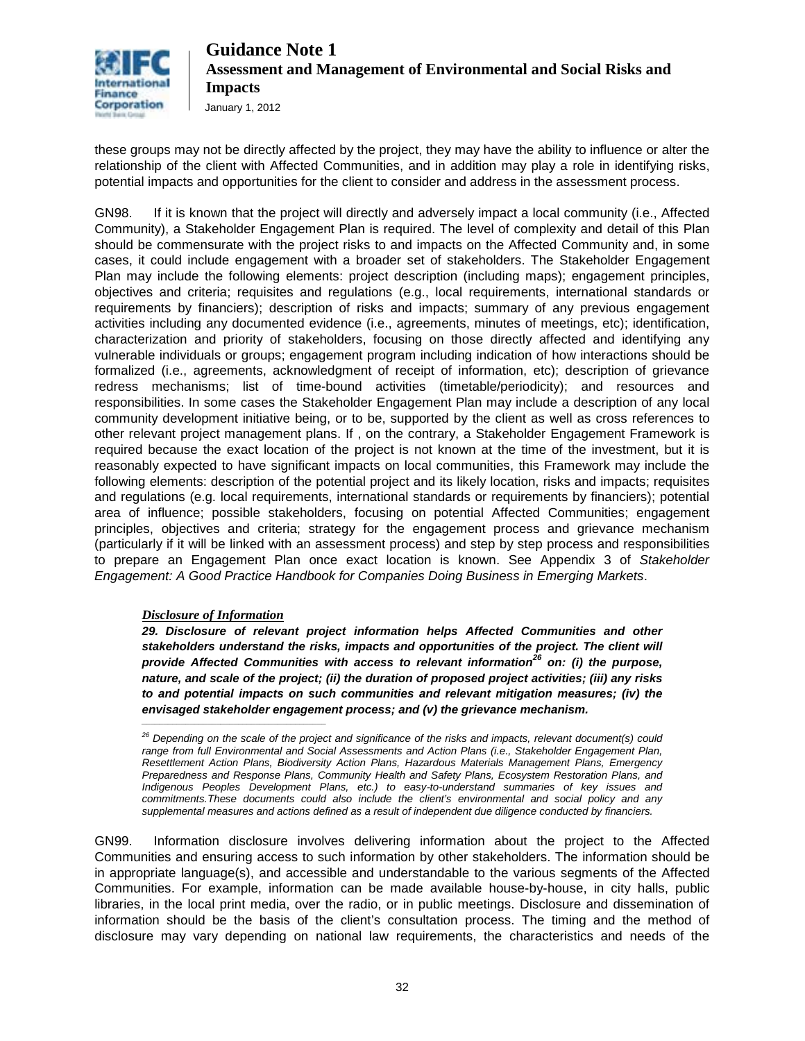

these groups may not be directly affected by the project, they may have the ability to influence or alter the relationship of the client with Affected Communities, and in addition may play a role in identifying risks, potential impacts and opportunities for the client to consider and address in the assessment process.

GN98. If it is known that the project will directly and adversely impact a local community (i.e., Affected Community), a Stakeholder Engagement Plan is required. The level of complexity and detail of this Plan should be commensurate with the project risks to and impacts on the Affected Community and, in some cases, it could include engagement with a broader set of stakeholders. The Stakeholder Engagement Plan may include the following elements: project description (including maps); engagement principles, objectives and criteria; requisites and regulations (e.g., local requirements, international standards or requirements by financiers); description of risks and impacts; summary of any previous engagement activities including any documented evidence (i.e., agreements, minutes of meetings, etc); identification, characterization and priority of stakeholders, focusing on those directly affected and identifying any vulnerable individuals or groups; engagement program including indication of how interactions should be formalized (i.e., agreements, acknowledgment of receipt of information, etc); description of grievance redress mechanisms; list of time-bound activities (timetable/periodicity); and resources and responsibilities. In some cases the Stakeholder Engagement Plan may include a description of any local community development initiative being, or to be, supported by the client as well as cross references to other relevant project management plans. If , on the contrary, a Stakeholder Engagement Framework is required because the exact location of the project is not known at the time of the investment, but it is reasonably expected to have significant impacts on local communities, this Framework may include the following elements: description of the potential project and its likely location, risks and impacts; requisites and regulations (e.g. local requirements, international standards or requirements by financiers); potential area of influence; possible stakeholders, focusing on potential Affected Communities; engagement principles, objectives and criteria; strategy for the engagement process and grievance mechanism (particularly if it will be linked with an assessment process) and step by step process and responsibilities to prepare an Engagement Plan once exact location is known. See Appendix 3 of *Stakeholder Engagement: A Good Practice Handbook for Companies Doing Business in Emerging Markets*.

#### *Disclosure of Information*

*\_\_\_\_\_\_\_\_\_\_\_\_\_\_\_\_\_\_\_\_\_\_\_\_\_\_\_\_\_\_\_\_\_\_\_\_\_\_\_\_\_\_*

*29. Disclosure of relevant project information helps Affected Communities and other stakeholders understand the risks, impacts and opportunities of the project. The client will provide Affected Communities with access to relevant information<sup>26</sup> on: (i) the purpose, nature, and scale of the project; (ii) the duration of proposed project activities; (iii) any risks to and potential impacts on such communities and relevant mitigation measures; (iv) the envisaged stakeholder engagement process; and (v) the grievance mechanism.*

GN99. Information disclosure involves delivering information about the project to the Affected Communities and ensuring access to such information by other stakeholders. The information should be in appropriate language(s), and accessible and understandable to the various segments of the Affected Communities. For example, information can be made available house-by-house, in city halls, public libraries, in the local print media, over the radio, or in public meetings. Disclosure and dissemination of information should be the basis of the client's consultation process. The timing and the method of disclosure may vary depending on national law requirements, the characteristics and needs of the

*<sup>26</sup> Depending on the scale of the project and significance of the risks and impacts, relevant document(s) could range from full Environmental and Social Assessments and Action Plans (i.e., Stakeholder Engagement Plan, Resettlement Action Plans, Biodiversity Action Plans, Hazardous Materials Management Plans, Emergency Preparedness and Response Plans, Community Health and Safety Plans, Ecosystem Restoration Plans, and Indigenous Peoples Development Plans, etc.) to easy-to-understand summaries of key issues and commitments.These documents could also include the client's environmental and social policy and any supplemental measures and actions defined as a result of independent due diligence conducted by financiers.*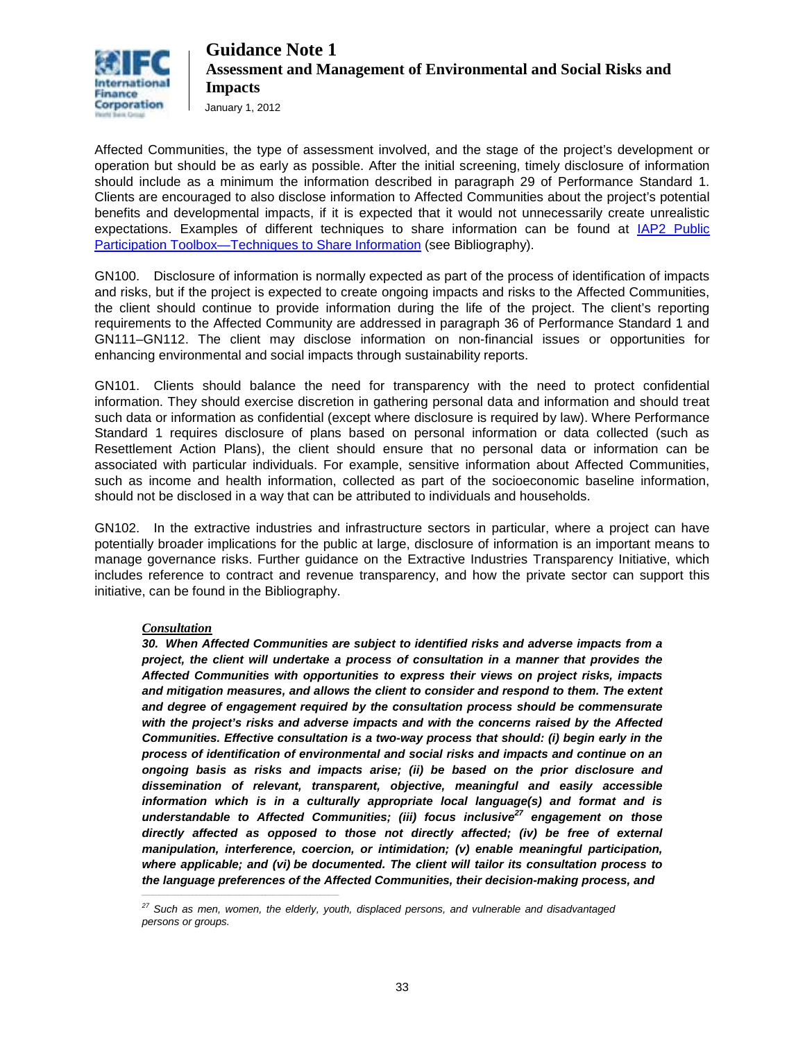

January 1, 2012

Affected Communities, the type of assessment involved, and the stage of the project's development or operation but should be as early as possible. After the initial screening, timely disclosure of information should include as a minimum the information described in paragraph 29 of Performance Standard 1. Clients are encouraged to also disclose information to Affected Communities about the project's potential benefits and developmental impacts, if it is expected that it would not unnecessarily create unrealistic expectations. Examples of different techniques to share information can be found at [IAP2 Public](http://www.iap2.org/associations/4748/files/06Dec_Toolbox.pdf)  [Participation Toolbox—Techniques to Share Information](http://www.iap2.org/associations/4748/files/06Dec_Toolbox.pdf) (see Bibliography).

GN100. Disclosure of information is normally expected as part of the process of identification of impacts and risks, but if the project is expected to create ongoing impacts and risks to the Affected Communities, the client should continue to provide information during the life of the project. The client's reporting requirements to the Affected Community are addressed in paragraph 36 of Performance Standard 1 and GN111–GN112. The client may disclose information on non-financial issues or opportunities for enhancing environmental and social impacts through sustainability reports.

GN101. Clients should balance the need for transparency with the need to protect confidential information. They should exercise discretion in gathering personal data and information and should treat such data or information as confidential (except where disclosure is required by law). Where Performance Standard 1 requires disclosure of plans based on personal information or data collected (such as Resettlement Action Plans), the client should ensure that no personal data or information can be associated with particular individuals. For example, sensitive information about Affected Communities, such as income and health information, collected as part of the socioeconomic baseline information, should not be disclosed in a way that can be attributed to individuals and households.

GN102. In the extractive industries and infrastructure sectors in particular, where a project can have potentially broader implications for the public at large, disclosure of information is an important means to manage governance risks. Further guidance on the Extractive Industries Transparency Initiative, which includes reference to contract and revenue transparency, and how the private sector can support this initiative, can be found in the Bibliography.

#### *Consultation*

*\_\_\_\_\_\_\_\_\_\_\_\_\_\_\_\_\_\_\_\_\_\_\_\_\_\_\_\_\_\_\_\_\_\_\_\_\_\_\_\_\_\_\_\_\_\_\_\_\_\_\_\_\_\_*

*30. When Affected Communities are subject to identified risks and adverse impacts from a project, the client will undertake a process of consultation in a manner that provides the Affected Communities with opportunities to express their views on project risks, impacts and mitigation measures, and allows the client to consider and respond to them. The extent and degree of engagement required by the consultation process should be commensurate with the project's risks and adverse impacts and with the concerns raised by the Affected Communities. Effective consultation is a two-way process that should: (i) begin early in the process of identification of environmental and social risks and impacts and continue on an ongoing basis as risks and impacts arise; (ii) be based on the prior disclosure and dissemination of relevant, transparent, objective, meaningful and easily accessible information which is in a culturally appropriate local language(s) and format and is understandable to Affected Communities; (iii) focus inclusive<sup>27</sup> engagement on those directly affected as opposed to those not directly affected; (iv) be free of external manipulation, interference, coercion, or intimidation; (v) enable meaningful participation, where applicable; and (vi) be documented. The client will tailor its consultation process to the language preferences of the Affected Communities, their decision-making process, and*

*<sup>27</sup> Such as men, women, the elderly, youth, displaced persons, and vulnerable and disadvantaged persons or groups.*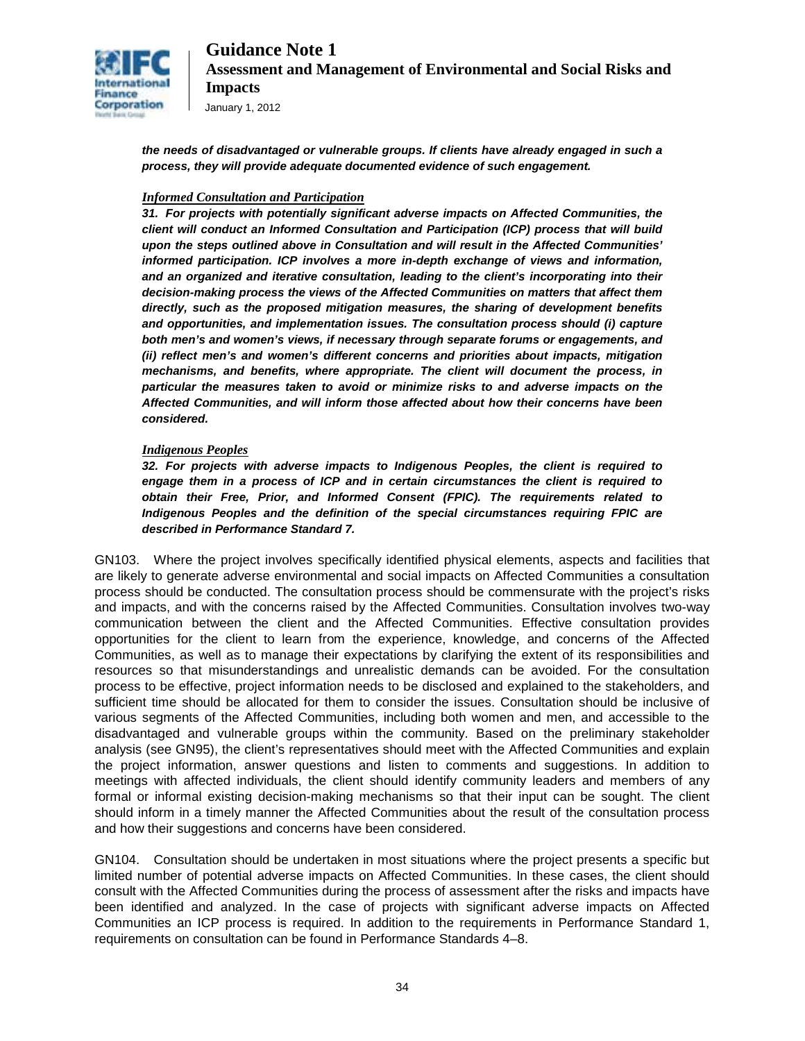

January 1, 2012

*the needs of disadvantaged or vulnerable groups. If clients have already engaged in such a process, they will provide adequate documented evidence of such engagement.*

#### *Informed Consultation and Participation*

*31. For projects with potentially significant adverse impacts on Affected Communities, the client will conduct an Informed Consultation and Participation (ICP) process that will build upon the steps outlined above in Consultation and will result in the Affected Communities' informed participation. ICP involves a more in-depth exchange of views and information, and an organized and iterative consultation, leading to the client's incorporating into their decision-making process the views of the Affected Communities on matters that affect them directly, such as the proposed mitigation measures, the sharing of development benefits and opportunities, and implementation issues. The consultation process should (i) capture both men's and women's views, if necessary through separate forums or engagements, and (ii) reflect men's and women's different concerns and priorities about impacts, mitigation mechanisms, and benefits, where appropriate. The client will document the process, in particular the measures taken to avoid or minimize risks to and adverse impacts on the Affected Communities, and will inform those affected about how their concerns have been considered.* 

#### *Indigenous Peoples*

*32. For projects with adverse impacts to Indigenous Peoples, the client is required to engage them in a process of ICP and in certain circumstances the client is required to obtain their Free, Prior, and Informed Consent (FPIC). The requirements related to Indigenous Peoples and the definition of the special circumstances requiring FPIC are described in Performance Standard 7.* 

GN103. Where the project involves specifically identified physical elements, aspects and facilities that are likely to generate adverse environmental and social impacts on Affected Communities a consultation process should be conducted. The consultation process should be commensurate with the project's risks and impacts, and with the concerns raised by the Affected Communities. Consultation involves two-way communication between the client and the Affected Communities. Effective consultation provides opportunities for the client to learn from the experience, knowledge, and concerns of the Affected Communities, as well as to manage their expectations by clarifying the extent of its responsibilities and resources so that misunderstandings and unrealistic demands can be avoided. For the consultation process to be effective, project information needs to be disclosed and explained to the stakeholders, and sufficient time should be allocated for them to consider the issues. Consultation should be inclusive of various segments of the Affected Communities, including both women and men, and accessible to the disadvantaged and vulnerable groups within the community. Based on the preliminary stakeholder analysis (see GN95), the client's representatives should meet with the Affected Communities and explain the project information, answer questions and listen to comments and suggestions. In addition to meetings with affected individuals, the client should identify community leaders and members of any formal or informal existing decision-making mechanisms so that their input can be sought. The client should inform in a timely manner the Affected Communities about the result of the consultation process and how their suggestions and concerns have been considered.

GN104. Consultation should be undertaken in most situations where the project presents a specific but limited number of potential adverse impacts on Affected Communities. In these cases, the client should consult with the Affected Communities during the process of assessment after the risks and impacts have been identified and analyzed. In the case of projects with significant adverse impacts on Affected Communities an ICP process is required. In addition to the requirements in Performance Standard 1, requirements on consultation can be found in Performance Standards 4–8.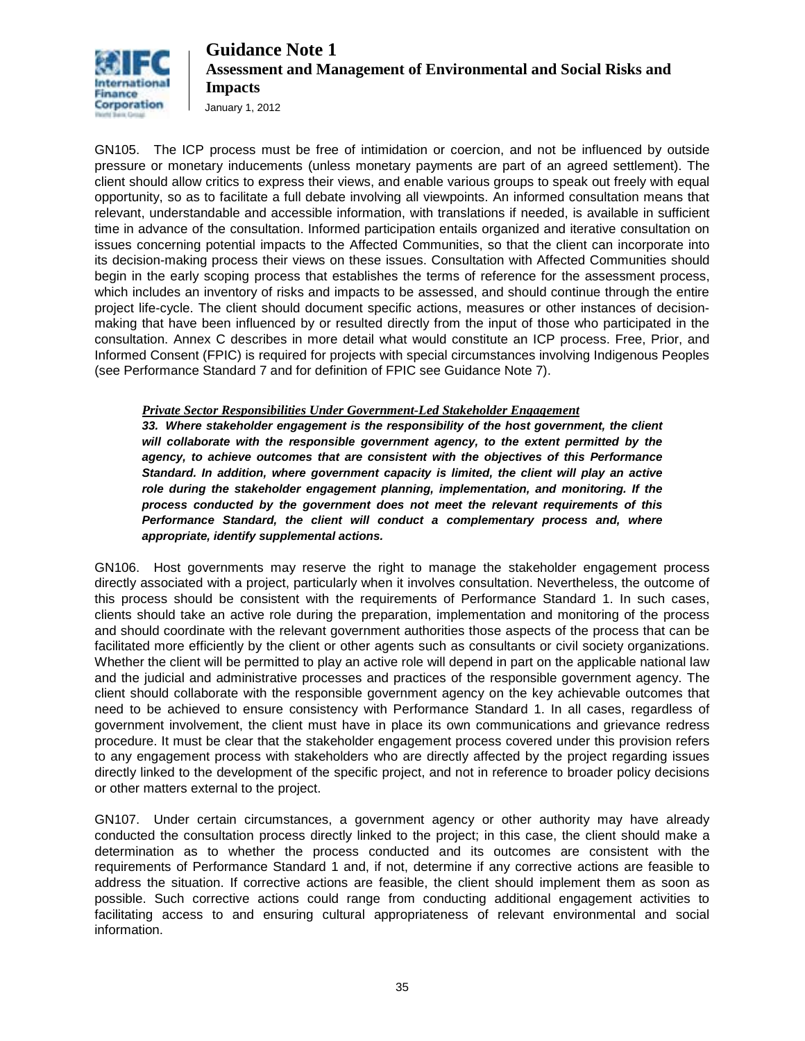

January 1, 2012

GN105. The ICP process must be free of intimidation or coercion, and not be influenced by outside pressure or monetary inducements (unless monetary payments are part of an agreed settlement). The client should allow critics to express their views, and enable various groups to speak out freely with equal opportunity, so as to facilitate a full debate involving all viewpoints. An informed consultation means that relevant, understandable and accessible information, with translations if needed, is available in sufficient time in advance of the consultation. Informed participation entails organized and iterative consultation on issues concerning potential impacts to the Affected Communities, so that the client can incorporate into its decision-making process their views on these issues. Consultation with Affected Communities should begin in the early scoping process that establishes the terms of reference for the assessment process, which includes an inventory of risks and impacts to be assessed, and should continue through the entire project life-cycle. The client should document specific actions, measures or other instances of decisionmaking that have been influenced by or resulted directly from the input of those who participated in the consultation. Annex C describes in more detail what would constitute an ICP process. Free, Prior, and Informed Consent (FPIC) is required for projects with special circumstances involving Indigenous Peoples (see Performance Standard 7 and for definition of FPIC see Guidance Note 7).

*Private Sector Responsibilities Under Government-Led Stakeholder Engagement* 

*33. Where stakeholder engagement is the responsibility of the host government, the client will collaborate with the responsible government agency, to the extent permitted by the agency, to achieve outcomes that are consistent with the objectives of this Performance Standard. In addition, where government capacity is limited, the client will play an active role during the stakeholder engagement planning, implementation, and monitoring. If the process conducted by the government does not meet the relevant requirements of this Performance Standard, the client will conduct a complementary process and, where appropriate, identify supplemental actions.* 

GN106. Host governments may reserve the right to manage the stakeholder engagement process directly associated with a project, particularly when it involves consultation. Nevertheless, the outcome of this process should be consistent with the requirements of Performance Standard 1. In such cases, clients should take an active role during the preparation, implementation and monitoring of the process and should coordinate with the relevant government authorities those aspects of the process that can be facilitated more efficiently by the client or other agents such as consultants or civil society organizations. Whether the client will be permitted to play an active role will depend in part on the applicable national law and the judicial and administrative processes and practices of the responsible government agency. The client should collaborate with the responsible government agency on the key achievable outcomes that need to be achieved to ensure consistency with Performance Standard 1. In all cases, regardless of government involvement, the client must have in place its own communications and grievance redress procedure. It must be clear that the stakeholder engagement process covered under this provision refers to any engagement process with stakeholders who are directly affected by the project regarding issues directly linked to the development of the specific project, and not in reference to broader policy decisions or other matters external to the project.

GN107. Under certain circumstances, a government agency or other authority may have already conducted the consultation process directly linked to the project; in this case, the client should make a determination as to whether the process conducted and its outcomes are consistent with the requirements of Performance Standard 1 and, if not, determine if any corrective actions are feasible to address the situation. If corrective actions are feasible, the client should implement them as soon as possible. Such corrective actions could range from conducting additional engagement activities to facilitating access to and ensuring cultural appropriateness of relevant environmental and social information.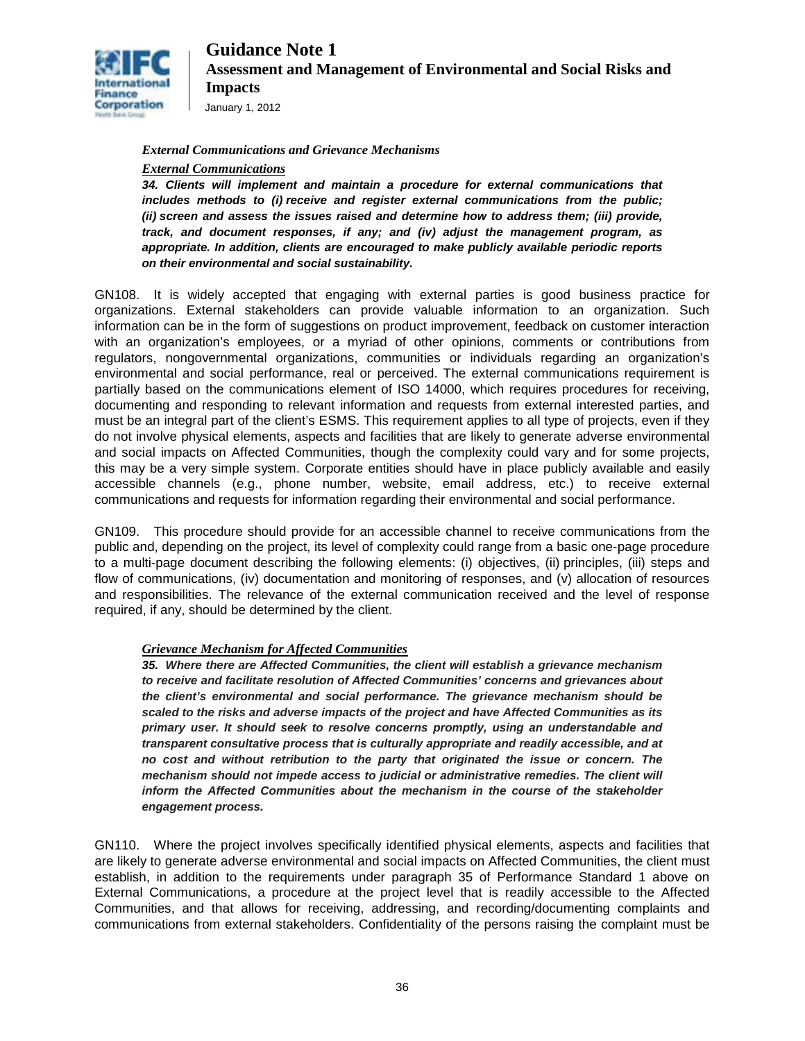

January 1, 2012

#### *External Communications and Grievance Mechanisms*

#### *External Communications*

*34. Clients will implement and maintain a procedure for external communications that includes methods to (i) receive and register external communications from the public; (ii) screen and assess the issues raised and determine how to address them; (iii) provide, track, and document responses, if any; and (iv) adjust the management program, as appropriate. In addition, clients are encouraged to make publicly available periodic reports on their environmental and social sustainability.* 

GN108. It is widely accepted that engaging with external parties is good business practice for organizations. External stakeholders can provide valuable information to an organization. Such information can be in the form of suggestions on product improvement, feedback on customer interaction with an organization's employees, or a myriad of other opinions, comments or contributions from regulators, nongovernmental organizations, communities or individuals regarding an organization's environmental and social performance, real or perceived. The external communications requirement is partially based on the communications element of ISO 14000, which requires procedures for receiving, documenting and responding to relevant information and requests from external interested parties, and must be an integral part of the client's ESMS. This requirement applies to all type of projects, even if they do not involve physical elements, aspects and facilities that are likely to generate adverse environmental and social impacts on Affected Communities, though the complexity could vary and for some projects, this may be a very simple system. Corporate entities should have in place publicly available and easily accessible channels (e.g., phone number, website, email address, etc.) to receive external communications and requests for information regarding their environmental and social performance.

GN109. This procedure should provide for an accessible channel to receive communications from the public and, depending on the project, its level of complexity could range from a basic one-page procedure to a multi-page document describing the following elements: (i) objectives, (ii) principles, (iii) steps and flow of communications, (iv) documentation and monitoring of responses, and (v) allocation of resources and responsibilities. The relevance of the external communication received and the level of response required, if any, should be determined by the client.

#### *Grievance Mechanism for Affected Communities*

*35. Where there are Affected Communities, the client will establish a grievance mechanism to receive and facilitate resolution of Affected Communities' concerns and grievances about the client's environmental and social performance. The grievance mechanism should be scaled to the risks and adverse impacts of the project and have Affected Communities as its primary user. It should seek to resolve concerns promptly, using an understandable and transparent consultative process that is culturally appropriate and readily accessible, and at no cost and without retribution to the party that originated the issue or concern. The mechanism should not impede access to judicial or administrative remedies. The client will inform the Affected Communities about the mechanism in the course of the stakeholder engagement process.* 

GN110. Where the project involves specifically identified physical elements, aspects and facilities that are likely to generate adverse environmental and social impacts on Affected Communities, the client must establish, in addition to the requirements under paragraph 35 of Performance Standard 1 above on External Communications, a procedure at the project level that is readily accessible to the Affected Communities, and that allows for receiving, addressing, and recording/documenting complaints and communications from external stakeholders. Confidentiality of the persons raising the complaint must be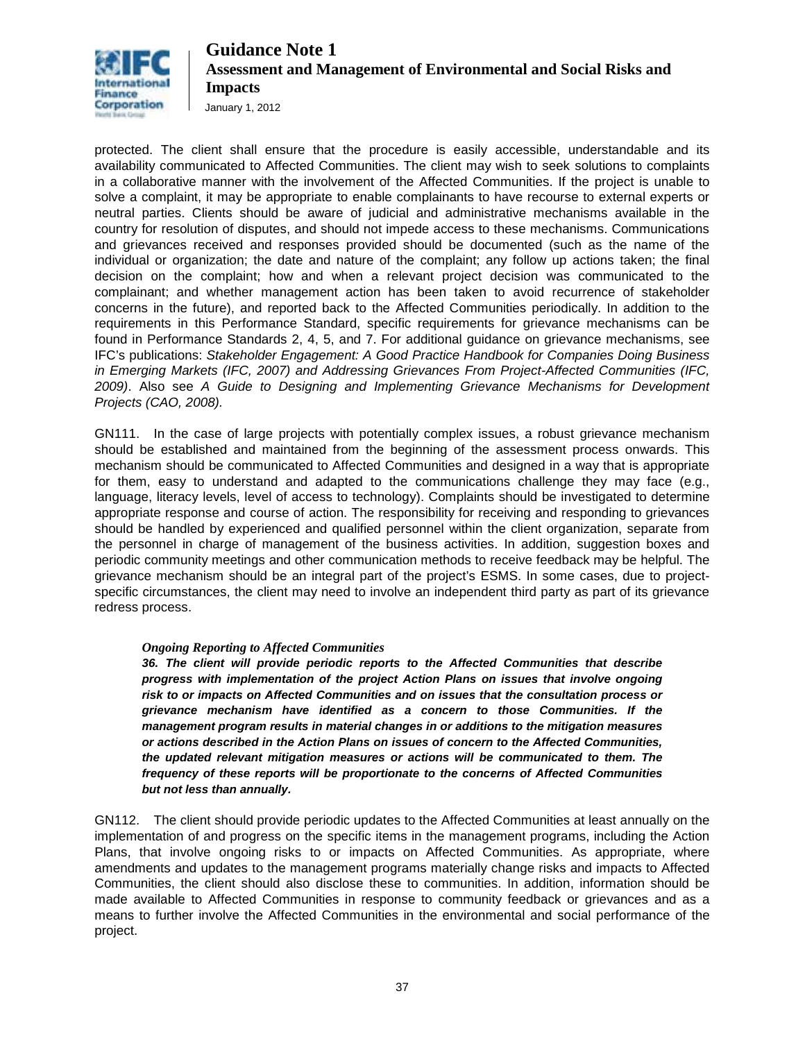

January 1, 2012

protected. The client shall ensure that the procedure is easily accessible, understandable and its availability communicated to Affected Communities. The client may wish to seek solutions to complaints in a collaborative manner with the involvement of the Affected Communities. If the project is unable to solve a complaint, it may be appropriate to enable complainants to have recourse to external experts or neutral parties. Clients should be aware of judicial and administrative mechanisms available in the country for resolution of disputes, and should not impede access to these mechanisms. Communications and grievances received and responses provided should be documented (such as the name of the individual or organization; the date and nature of the complaint; any follow up actions taken; the final decision on the complaint; how and when a relevant project decision was communicated to the complainant; and whether management action has been taken to avoid recurrence of stakeholder concerns in the future), and reported back to the Affected Communities periodically. In addition to the requirements in this Performance Standard, specific requirements for grievance mechanisms can be found in Performance Standards 2, 4, 5, and 7. For additional guidance on grievance mechanisms, see IFC's publications: *Stakeholder Engagement: A Good Practice Handbook for Companies Doing Business in Emerging Markets (IFC, 2007) and Addressing [Grievances From Project-Affected Communities \(IFC,](http://www.ifc.org/ifcext/sustainability.nsf/AttachmentsByTitle/p_GrievanceMechanisms/$FILE/IFC+Grievance+Mechanisms.pdf)  [2009\)](http://www.ifc.org/ifcext/sustainability.nsf/AttachmentsByTitle/p_GrievanceMechanisms/$FILE/IFC+Grievance+Mechanisms.pdf)*. Also see *A Guide to Designing and Implementing Grievance Mechanisms for Development Projects (CAO, 2008).* 

GN111. In the case of large projects with potentially complex issues, a robust grievance mechanism should be established and maintained from the beginning of the assessment process onwards. This mechanism should be communicated to Affected Communities and designed in a way that is appropriate for them, easy to understand and adapted to the communications challenge they may face (e.g., language, literacy levels, level of access to technology). Complaints should be investigated to determine appropriate response and course of action. The responsibility for receiving and responding to grievances should be handled by experienced and qualified personnel within the client organization, separate from the personnel in charge of management of the business activities. In addition, suggestion boxes and periodic community meetings and other communication methods to receive feedback may be helpful. The grievance mechanism should be an integral part of the project's ESMS. In some cases, due to projectspecific circumstances, the client may need to involve an independent third party as part of its grievance redress process.

#### *Ongoing Reporting to Affected Communities*

*36. The client will provide periodic reports to the Affected Communities that describe progress with implementation of the project Action Plans on issues that involve ongoing risk to or impacts on Affected Communities and on issues that the consultation process or grievance mechanism have identified as a concern to those Communities. If the management program results in material changes in or additions to the mitigation measures or actions described in the Action Plans on issues of concern to the Affected Communities, the updated relevant mitigation measures or actions will be communicated to them. The frequency of these reports will be proportionate to the concerns of Affected Communities but not less than annually.* 

GN112. The client should provide periodic updates to the Affected Communities at least annually on the implementation of and progress on the specific items in the management programs, including the Action Plans, that involve ongoing risks to or impacts on Affected Communities. As appropriate, where amendments and updates to the management programs materially change risks and impacts to Affected Communities, the client should also disclose these to communities. In addition, information should be made available to Affected Communities in response to community feedback or grievances and as a means to further involve the Affected Communities in the environmental and social performance of the project.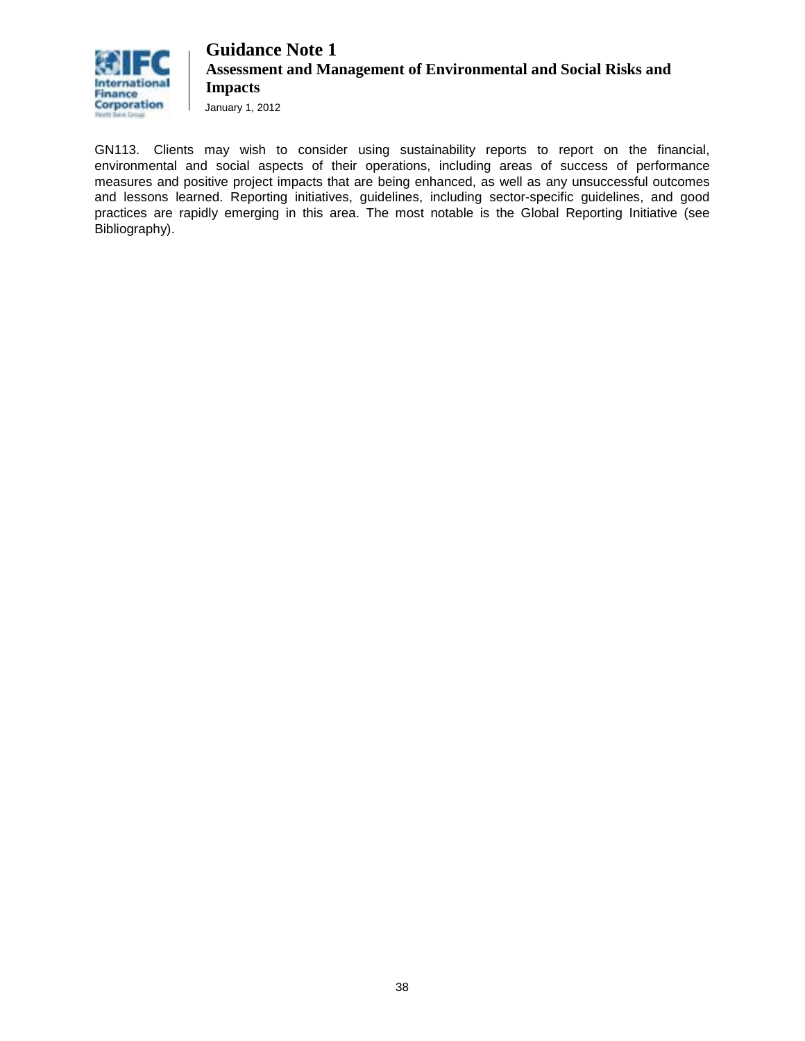

January 1, 2012

GN113. Clients may wish to consider using sustainability reports to report on the financial, environmental and social aspects of their operations, including areas of success of performance measures and positive project impacts that are being enhanced, as well as any unsuccessful outcomes and lessons learned. Reporting initiatives, guidelines, including sector-specific guidelines, and good practices are rapidly emerging in this area. The most notable is the Global Reporting Initiative (see Bibliography).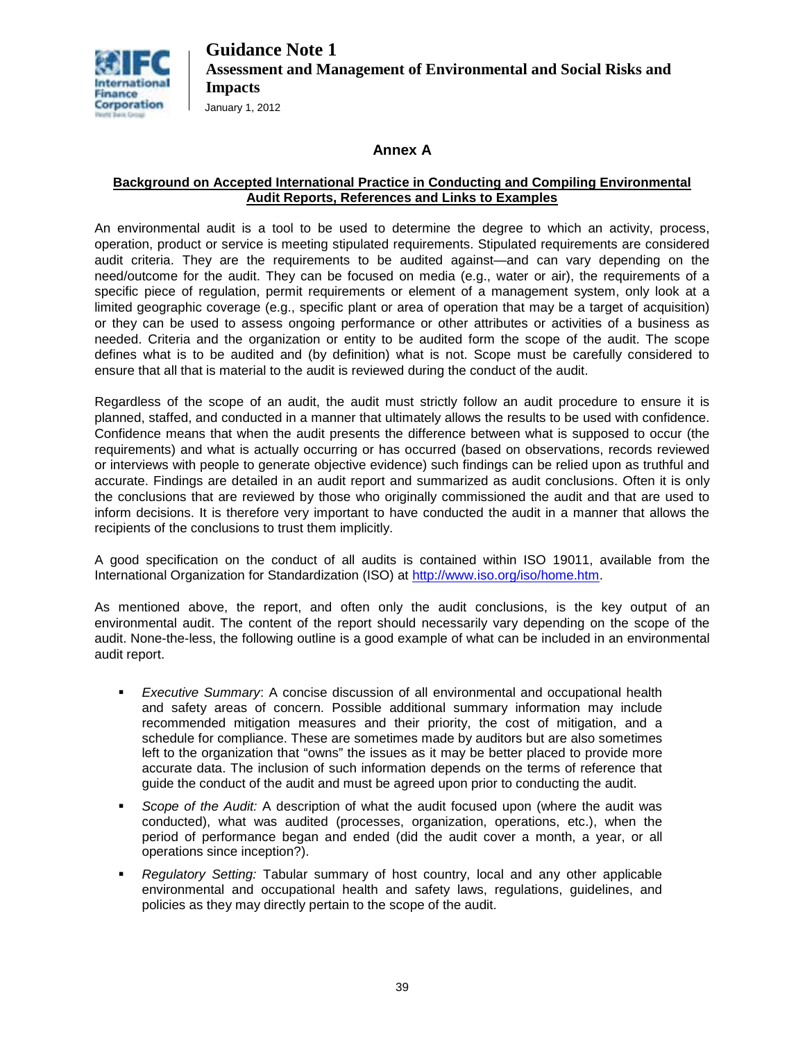

### **Annex A**

#### **Background on Accepted International Practice in Conducting and Compiling Environmental Audit Reports, References and Links to Examples**

An environmental audit is a tool to be used to determine the degree to which an activity, process, operation, product or service is meeting stipulated requirements. Stipulated requirements are considered audit criteria. They are the requirements to be audited against—and can vary depending on the need/outcome for the audit. They can be focused on media (e.g., water or air), the requirements of a specific piece of regulation, permit requirements or element of a management system, only look at a limited geographic coverage (e.g., specific plant or area of operation that may be a target of acquisition) or they can be used to assess ongoing performance or other attributes or activities of a business as needed. Criteria and the organization or entity to be audited form the scope of the audit. The scope defines what is to be audited and (by definition) what is not. Scope must be carefully considered to ensure that all that is material to the audit is reviewed during the conduct of the audit.

Regardless of the scope of an audit, the audit must strictly follow an audit procedure to ensure it is planned, staffed, and conducted in a manner that ultimately allows the results to be used with confidence. Confidence means that when the audit presents the difference between what is supposed to occur (the requirements) and what is actually occurring or has occurred (based on observations, records reviewed or interviews with people to generate objective evidence) such findings can be relied upon as truthful and accurate. Findings are detailed in an audit report and summarized as audit conclusions. Often it is only the conclusions that are reviewed by those who originally commissioned the audit and that are used to inform decisions. It is therefore very important to have conducted the audit in a manner that allows the recipients of the conclusions to trust them implicitly.

A good specification on the conduct of all audits is contained within ISO 19011, available from the International Organization for Standardization (ISO) at [http://www.iso.org/iso/home.htm.](http://www.iso.org/iso/home.htm)

As mentioned above, the report, and often only the audit conclusions, is the key output of an environmental audit. The content of the report should necessarily vary depending on the scope of the audit. None-the-less, the following outline is a good example of what can be included in an environmental audit report.

- *Executive Summary*: A concise discussion of all environmental and occupational health and safety areas of concern. Possible additional summary information may include recommended mitigation measures and their priority, the cost of mitigation, and a schedule for compliance. These are sometimes made by auditors but are also sometimes left to the organization that "owns" the issues as it may be better placed to provide more accurate data. The inclusion of such information depends on the terms of reference that guide the conduct of the audit and must be agreed upon prior to conducting the audit.
- *Scope of the Audit:* A description of what the audit focused upon (where the audit was conducted), what was audited (processes, organization, operations, etc.), when the period of performance began and ended (did the audit cover a month, a year, or all operations since inception?).
- *Regulatory Setting:* Tabular summary of host country, local and any other applicable environmental and occupational health and safety laws, regulations, guidelines, and policies as they may directly pertain to the scope of the audit.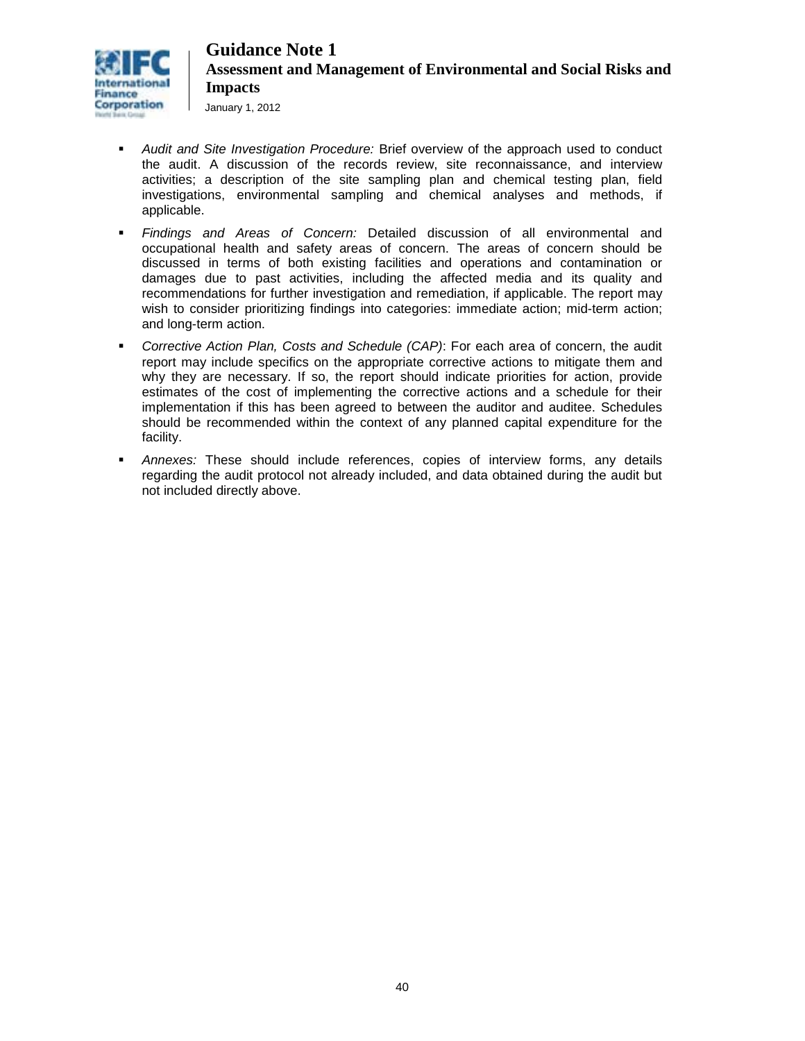

January 1, 2012

- *Audit and Site Investigation Procedure:* Brief overview of the approach used to conduct the audit. A discussion of the records review, site reconnaissance, and interview activities; a description of the site sampling plan and chemical testing plan, field investigations, environmental sampling and chemical analyses and methods, if applicable.
- *Findings and Areas of Concern:* Detailed discussion of all environmental and occupational health and safety areas of concern. The areas of concern should be discussed in terms of both existing facilities and operations and contamination or damages due to past activities, including the affected media and its quality and recommendations for further investigation and remediation, if applicable. The report may wish to consider prioritizing findings into categories: immediate action; mid-term action; and long-term action.
- *Corrective Action Plan, Costs and Schedule (CAP)*: For each area of concern, the audit report may include specifics on the appropriate corrective actions to mitigate them and why they are necessary. If so, the report should indicate priorities for action, provide estimates of the cost of implementing the corrective actions and a schedule for their implementation if this has been agreed to between the auditor and auditee. Schedules should be recommended within the context of any planned capital expenditure for the facility.
- *Annexes:* These should include references, copies of interview forms, any details regarding the audit protocol not already included, and data obtained during the audit but not included directly above.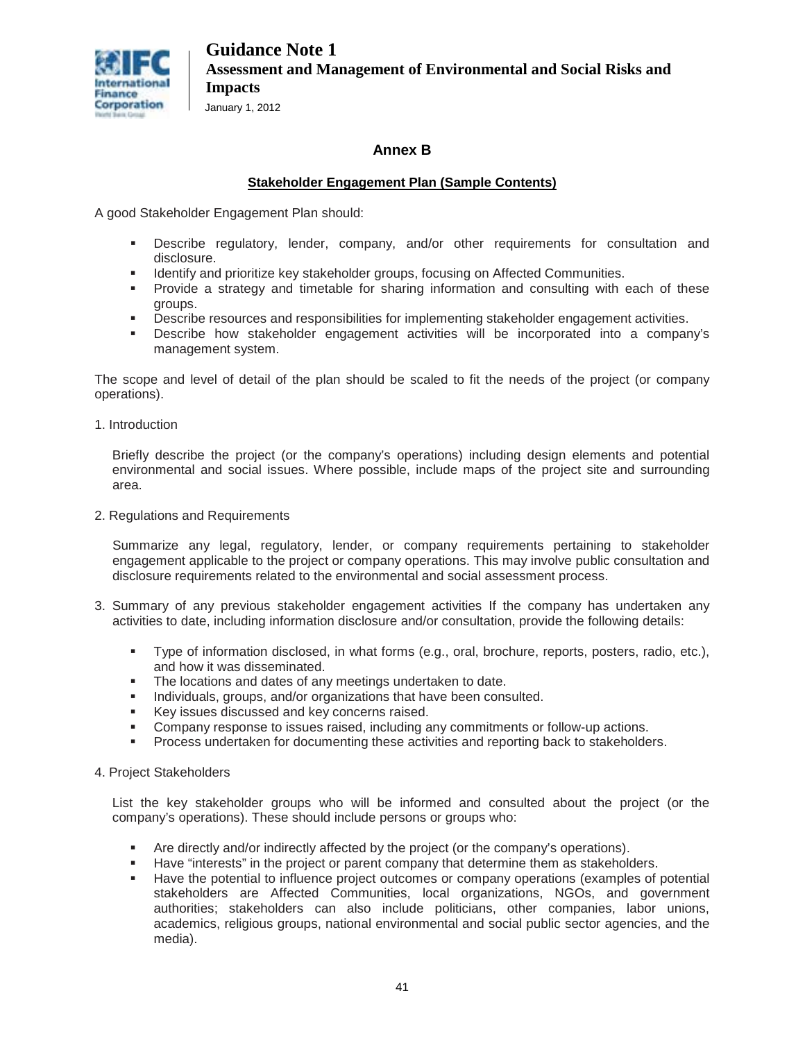

January 1, 2012

### **Annex B**

### **Stakeholder Engagement Plan (Sample Contents)**

A good Stakeholder Engagement Plan should:

- Describe regulatory, lender, company, and/or other requirements for consultation and disclosure.
- Identify and prioritize key stakeholder groups, focusing on Affected Communities.
- Provide a strategy and timetable for sharing information and consulting with each of these groups.
- **Describe resources and responsibilities for implementing stakeholder engagement activities.**
- Describe how stakeholder engagement activities will be incorporated into a company's management system.

The scope and level of detail of the plan should be scaled to fit the needs of the project (or company operations).

1. Introduction

Briefly describe the project (or the company's operations) including design elements and potential environmental and social issues. Where possible, include maps of the project site and surrounding area.

2. Regulations and Requirements

Summarize any legal, regulatory, lender, or company requirements pertaining to stakeholder engagement applicable to the project or company operations. This may involve public consultation and disclosure requirements related to the environmental and social assessment process.

- 3. Summary of any previous stakeholder engagement activities If the company has undertaken any activities to date, including information disclosure and/or consultation, provide the following details:
	- Type of information disclosed, in what forms (e.g., oral, brochure, reports, posters, radio, etc.), and how it was disseminated.
	- The locations and dates of any meetings undertaken to date.
	- **Individuals, groups, and/or organizations that have been consulted.**
	- Key issues discussed and key concerns raised.
	- Company response to issues raised, including any commitments or follow-up actions.
	- Process undertaken for documenting these activities and reporting back to stakeholders.
- 4. Project Stakeholders

List the key stakeholder groups who will be informed and consulted about the project (or the company's operations). These should include persons or groups who:

- Are directly and/or indirectly affected by the project (or the company's operations).
- Have "interests" in the project or parent company that determine them as stakeholders.
- Have the potential to influence project outcomes or company operations (examples of potential stakeholders are Affected Communities, local organizations, NGOs, and government authorities; stakeholders can also include politicians, other companies, labor unions, academics, religious groups, national environmental and social public sector agencies, and the media).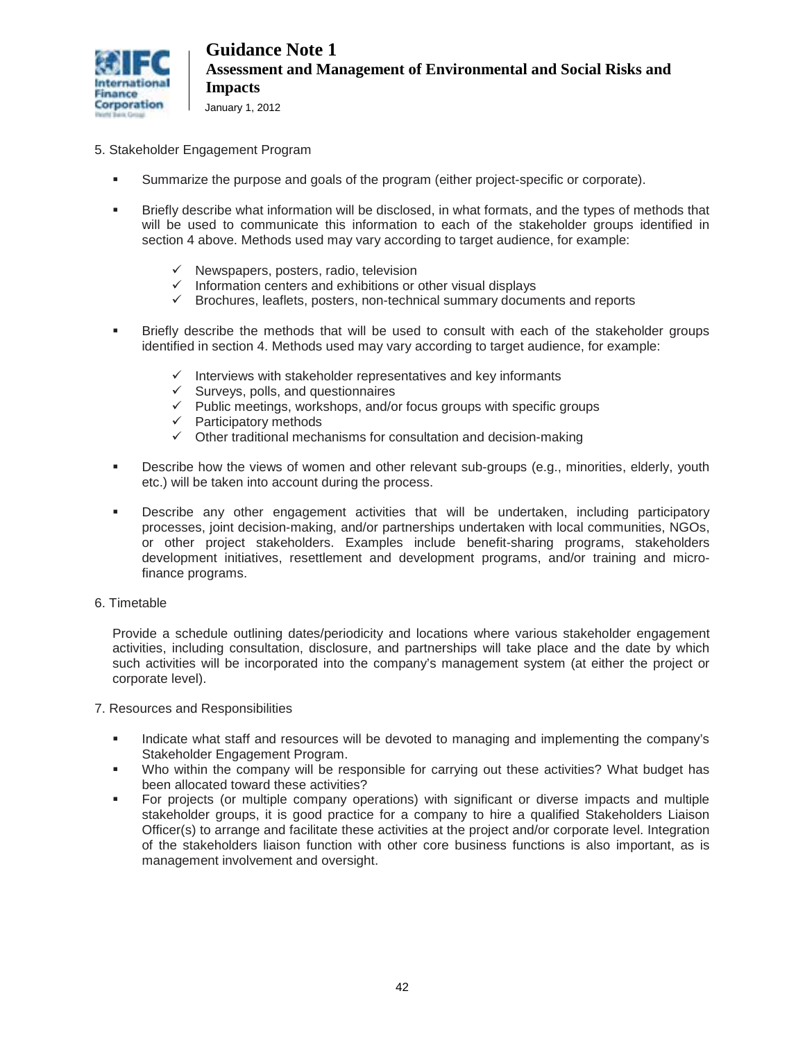

- 5. Stakeholder Engagement Program
	- Summarize the purpose and goals of the program (either project-specific or corporate).
	- **Briefly describe what information will be disclosed, in what formats, and the types of methods that** will be used to communicate this information to each of the stakeholder groups identified in section 4 above. Methods used may vary according to target audience, for example:
		- $\checkmark$  Newspapers, posters, radio, television
		- $\checkmark$  Information centers and exhibitions or other visual displays
		- $\checkmark$  Brochures, leaflets, posters, non-technical summary documents and reports
	- Briefly describe the methods that will be used to consult with each of the stakeholder groups identified in section 4. Methods used may vary according to target audience, for example:
		- $\checkmark$  Interviews with stakeholder representatives and key informants
		- $\checkmark$  Surveys, polls, and questionnaires
		- $\checkmark$  Public meetings, workshops, and/or focus groups with specific groups
		- $\checkmark$  Participatory methods
		- $\checkmark$  Other traditional mechanisms for consultation and decision-making
	- **Describe how the views of women and other relevant sub-groups (e.g., minorities, elderly, youth** etc.) will be taken into account during the process.
	- Describe any other engagement activities that will be undertaken, including participatory processes, joint decision-making, and/or partnerships undertaken with local communities, NGOs, or other project stakeholders. Examples include benefit-sharing programs, stakeholders development initiatives, resettlement and development programs, and/or training and microfinance programs.
- 6. Timetable

Provide a schedule outlining dates/periodicity and locations where various stakeholder engagement activities, including consultation, disclosure, and partnerships will take place and the date by which such activities will be incorporated into the company's management system (at either the project or corporate level).

- 7. Resources and Responsibilities
	- Indicate what staff and resources will be devoted to managing and implementing the company's Stakeholder Engagement Program.
	- Who within the company will be responsible for carrying out these activities? What budget has been allocated toward these activities?
	- For projects (or multiple company operations) with significant or diverse impacts and multiple stakeholder groups, it is good practice for a company to hire a qualified Stakeholders Liaison Officer(s) to arrange and facilitate these activities at the project and/or corporate level. Integration of the stakeholders liaison function with other core business functions is also important, as is management involvement and oversight.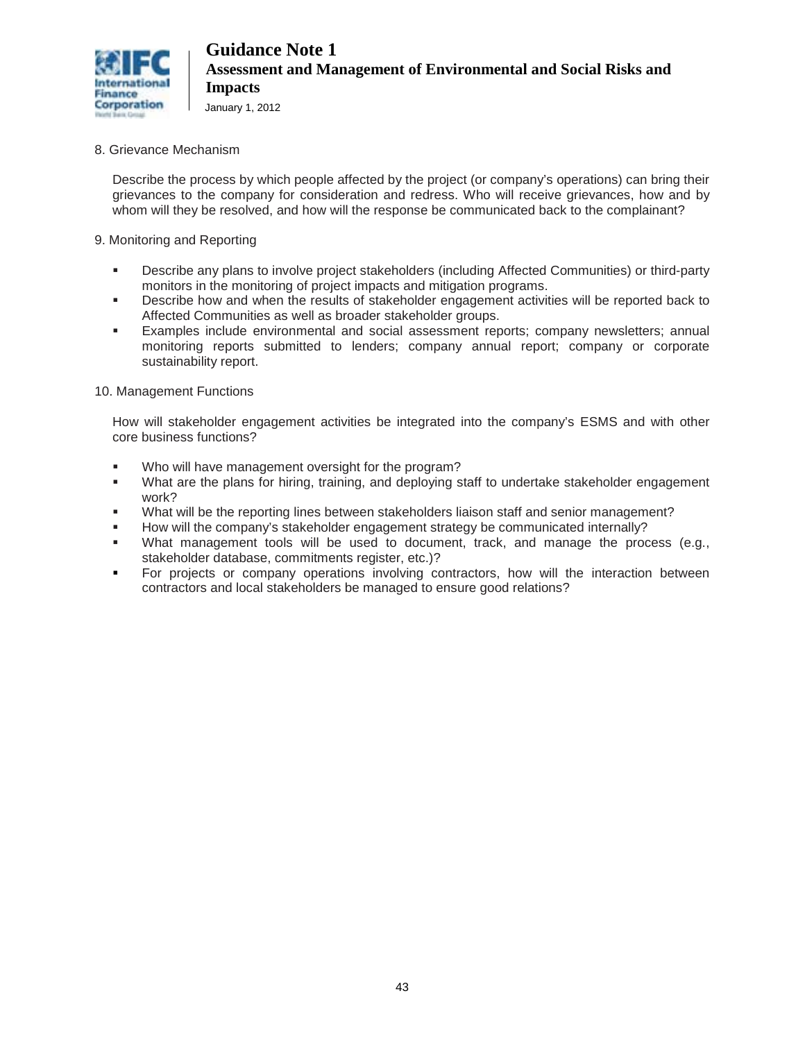

#### 8. Grievance Mechanism

Describe the process by which people affected by the project (or company's operations) can bring their grievances to the company for consideration and redress. Who will receive grievances, how and by whom will they be resolved, and how will the response be communicated back to the complainant?

#### 9. Monitoring and Reporting

- Describe any plans to involve project stakeholders (including Affected Communities) or third-party monitors in the monitoring of project impacts and mitigation programs.
- **Describe how and when the results of stakeholder engagement activities will be reported back to** Affected Communities as well as broader stakeholder groups.
- Examples include environmental and social assessment reports; company newsletters; annual monitoring reports submitted to lenders; company annual report; company or corporate sustainability report.

#### 10. Management Functions

How will stakeholder engagement activities be integrated into the company's ESMS and with other core business functions?

- Who will have management oversight for the program?
- What are the plans for hiring, training, and deploying staff to undertake stakeholder engagement work?
- What will be the reporting lines between stakeholders liaison staff and senior management?
- How will the company's stakeholder engagement strategy be communicated internally?
- What management tools will be used to document, track, and manage the process (e.g., stakeholder database, commitments register, etc.)?
- For projects or company operations involving contractors, how will the interaction between contractors and local stakeholders be managed to ensure good relations?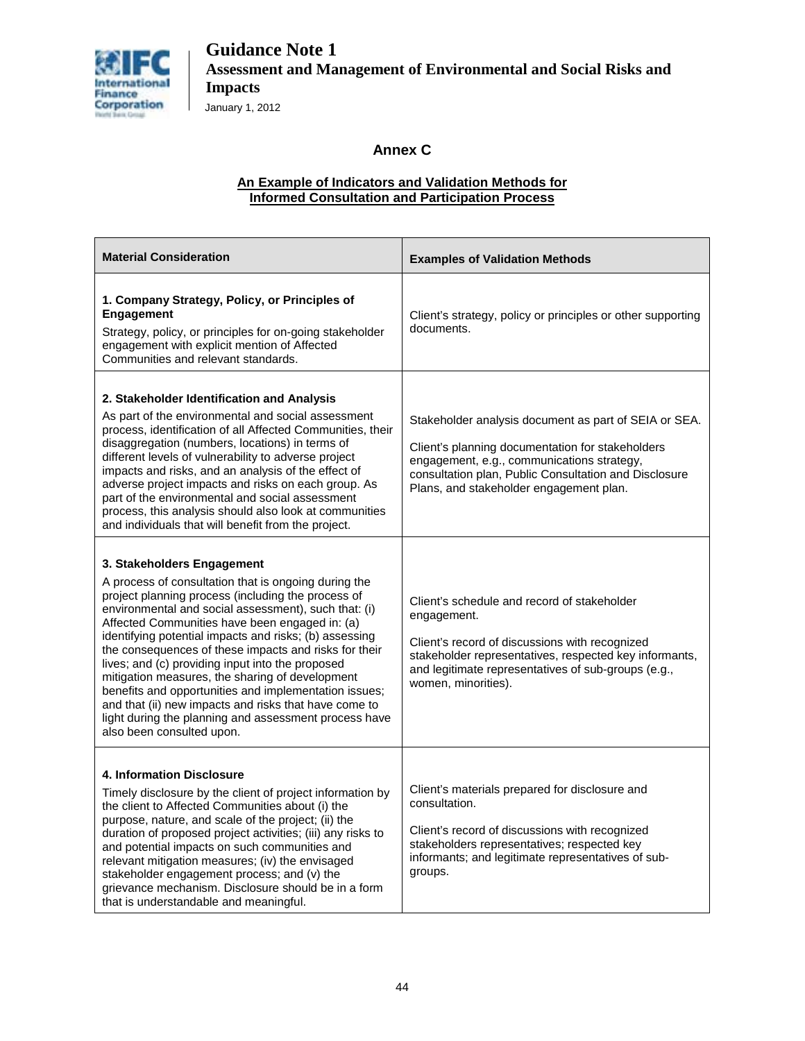

January 1, 2012

### **Annex C**

#### **An Example of Indicators and Validation Methods for Informed Consultation and Participation Process**

| <b>Material Consideration</b>                                                                                                                                                                                                                                                                                                                                                                                                                                                                                                                                                                                                                                                        | <b>Examples of Validation Methods</b>                                                                                                                                                                                                                       |
|--------------------------------------------------------------------------------------------------------------------------------------------------------------------------------------------------------------------------------------------------------------------------------------------------------------------------------------------------------------------------------------------------------------------------------------------------------------------------------------------------------------------------------------------------------------------------------------------------------------------------------------------------------------------------------------|-------------------------------------------------------------------------------------------------------------------------------------------------------------------------------------------------------------------------------------------------------------|
| 1. Company Strategy, Policy, or Principles of<br>Engagement<br>Strategy, policy, or principles for on-going stakeholder<br>engagement with explicit mention of Affected<br>Communities and relevant standards.                                                                                                                                                                                                                                                                                                                                                                                                                                                                       | Client's strategy, policy or principles or other supporting<br>documents.                                                                                                                                                                                   |
| 2. Stakeholder Identification and Analysis<br>As part of the environmental and social assessment<br>process, identification of all Affected Communities, their<br>disaggregation (numbers, locations) in terms of<br>different levels of vulnerability to adverse project<br>impacts and risks, and an analysis of the effect of<br>adverse project impacts and risks on each group. As<br>part of the environmental and social assessment<br>process, this analysis should also look at communities<br>and individuals that will benefit from the project.                                                                                                                          | Stakeholder analysis document as part of SEIA or SEA.<br>Client's planning documentation for stakeholders<br>engagement, e.g., communications strategy,<br>consultation plan, Public Consultation and Disclosure<br>Plans, and stakeholder engagement plan. |
| 3. Stakeholders Engagement<br>A process of consultation that is ongoing during the<br>project planning process (including the process of<br>environmental and social assessment), such that: (i)<br>Affected Communities have been engaged in: (a)<br>identifying potential impacts and risks; (b) assessing<br>the consequences of these impacts and risks for their<br>lives; and (c) providing input into the proposed<br>mitigation measures, the sharing of development<br>benefits and opportunities and implementation issues;<br>and that (ii) new impacts and risks that have come to<br>light during the planning and assessment process have<br>also been consulted upon. | Client's schedule and record of stakeholder<br>engagement.<br>Client's record of discussions with recognized<br>stakeholder representatives, respected key informants,<br>and legitimate representatives of sub-groups (e.g.,<br>women, minorities).        |
| 4. Information Disclosure<br>Timely disclosure by the client of project information by<br>the client to Affected Communities about (i) the<br>purpose, nature, and scale of the project; (ii) the<br>duration of proposed project activities; (iii) any risks to<br>and potential impacts on such communities and<br>relevant mitigation measures; (iv) the envisaged<br>stakeholder engagement process; and (v) the<br>grievance mechanism. Disclosure should be in a form<br>that is understandable and meaningful.                                                                                                                                                                | Client's materials prepared for disclosure and<br>consultation.<br>Client's record of discussions with recognized<br>stakeholders representatives; respected key<br>informants; and legitimate representatives of sub-<br>groups.                           |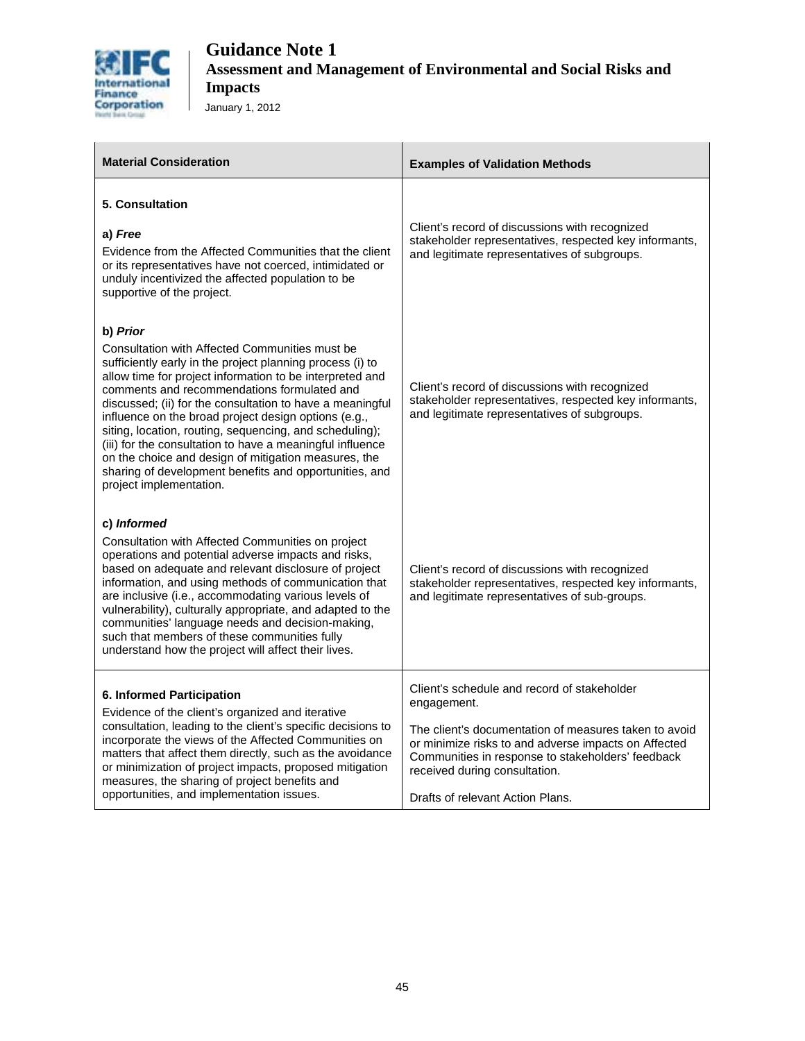

| <b>Material Consideration</b>                                                                                                                                                                                                                                                                                                                                                                                                                                                                                                                                                                                                | <b>Examples of Validation Methods</b>                                                                                                                                                                                                                                                                 |
|------------------------------------------------------------------------------------------------------------------------------------------------------------------------------------------------------------------------------------------------------------------------------------------------------------------------------------------------------------------------------------------------------------------------------------------------------------------------------------------------------------------------------------------------------------------------------------------------------------------------------|-------------------------------------------------------------------------------------------------------------------------------------------------------------------------------------------------------------------------------------------------------------------------------------------------------|
| 5. Consultation<br>a) Free<br>Evidence from the Affected Communities that the client<br>or its representatives have not coerced, intimidated or<br>unduly incentivized the affected population to be<br>supportive of the project.                                                                                                                                                                                                                                                                                                                                                                                           | Client's record of discussions with recognized<br>stakeholder representatives, respected key informants,<br>and legitimate representatives of subgroups.                                                                                                                                              |
| b) Prior<br>Consultation with Affected Communities must be<br>sufficiently early in the project planning process (i) to<br>allow time for project information to be interpreted and<br>comments and recommendations formulated and<br>discussed; (ii) for the consultation to have a meaningful<br>influence on the broad project design options (e.g.,<br>siting, location, routing, sequencing, and scheduling);<br>(iii) for the consultation to have a meaningful influence<br>on the choice and design of mitigation measures, the<br>sharing of development benefits and opportunities, and<br>project implementation. | Client's record of discussions with recognized<br>stakeholder representatives, respected key informants,<br>and legitimate representatives of subgroups.                                                                                                                                              |
| c) Informed<br>Consultation with Affected Communities on project<br>operations and potential adverse impacts and risks,<br>based on adequate and relevant disclosure of project<br>information, and using methods of communication that<br>are inclusive (i.e., accommodating various levels of<br>vulnerability), culturally appropriate, and adapted to the<br>communities' language needs and decision-making,<br>such that members of these communities fully<br>understand how the project will affect their lives.                                                                                                     | Client's record of discussions with recognized<br>stakeholder representatives, respected key informants,<br>and legitimate representatives of sub-groups.                                                                                                                                             |
| 6. Informed Participation<br>Evidence of the client's organized and iterative<br>consultation, leading to the client's specific decisions to<br>incorporate the views of the Affected Communities on<br>matters that affect them directly, such as the avoidance<br>or minimization of project impacts, proposed mitigation<br>measures, the sharing of project benefits and<br>opportunities, and implementation issues.                                                                                                                                                                                                    | Client's schedule and record of stakeholder<br>engagement.<br>The client's documentation of measures taken to avoid<br>or minimize risks to and adverse impacts on Affected<br>Communities in response to stakeholders' feedback<br>received during consultation.<br>Drafts of relevant Action Plans. |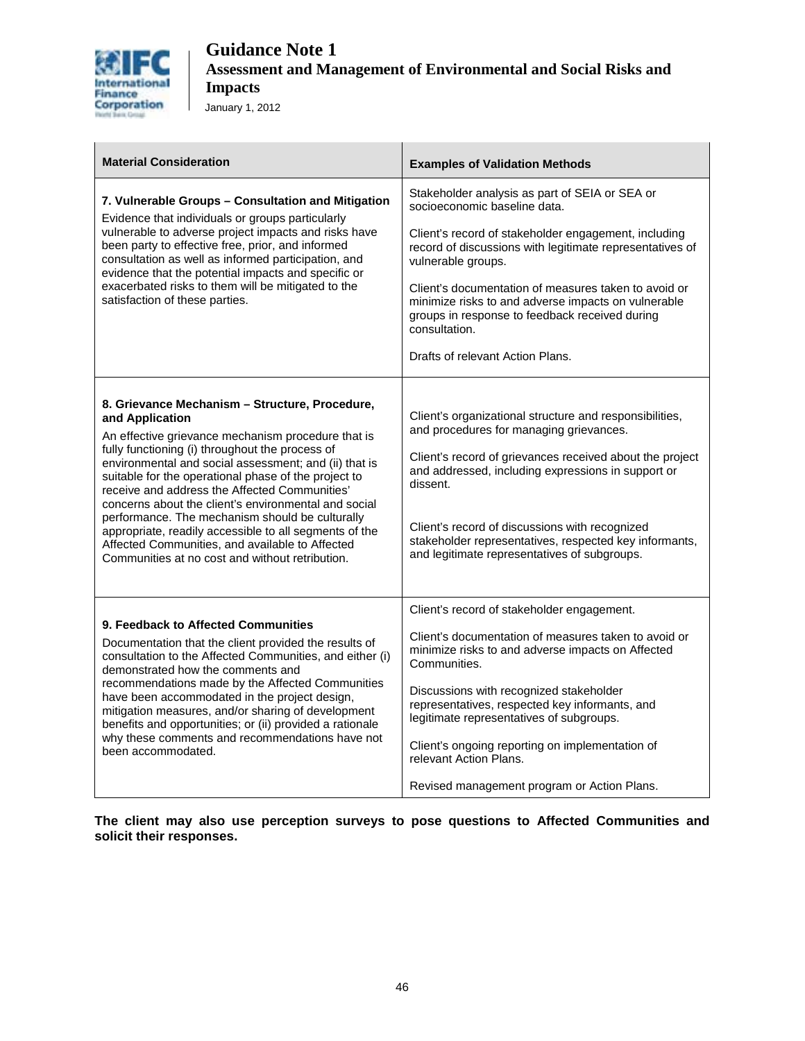

| <b>Material Consideration</b>                                                                                                                                                                                                                                                                                                                                                                                                                                                                                                                                                                                           | <b>Examples of Validation Methods</b>                                                                                                                                                                                                                                                                                                                                                                                                          |
|-------------------------------------------------------------------------------------------------------------------------------------------------------------------------------------------------------------------------------------------------------------------------------------------------------------------------------------------------------------------------------------------------------------------------------------------------------------------------------------------------------------------------------------------------------------------------------------------------------------------------|------------------------------------------------------------------------------------------------------------------------------------------------------------------------------------------------------------------------------------------------------------------------------------------------------------------------------------------------------------------------------------------------------------------------------------------------|
| 7. Vulnerable Groups - Consultation and Mitigation<br>Evidence that individuals or groups particularly<br>vulnerable to adverse project impacts and risks have<br>been party to effective free, prior, and informed<br>consultation as well as informed participation, and<br>evidence that the potential impacts and specific or<br>exacerbated risks to them will be mitigated to the<br>satisfaction of these parties.                                                                                                                                                                                               | Stakeholder analysis as part of SEIA or SEA or<br>socioeconomic baseline data.<br>Client's record of stakeholder engagement, including<br>record of discussions with legitimate representatives of<br>vulnerable groups.<br>Client's documentation of measures taken to avoid or<br>minimize risks to and adverse impacts on vulnerable<br>groups in response to feedback received during<br>consultation.<br>Drafts of relevant Action Plans. |
| 8. Grievance Mechanism - Structure, Procedure,<br>and Application<br>An effective grievance mechanism procedure that is<br>fully functioning (i) throughout the process of<br>environmental and social assessment; and (ii) that is<br>suitable for the operational phase of the project to<br>receive and address the Affected Communities'<br>concerns about the client's environmental and social<br>performance. The mechanism should be culturally<br>appropriate, readily accessible to all segments of the<br>Affected Communities, and available to Affected<br>Communities at no cost and without retribution. | Client's organizational structure and responsibilities,<br>and procedures for managing grievances.<br>Client's record of grievances received about the project<br>and addressed, including expressions in support or<br>dissent.<br>Client's record of discussions with recognized<br>stakeholder representatives, respected key informants,<br>and legitimate representatives of subgroups.                                                   |
| 9. Feedback to Affected Communities<br>Documentation that the client provided the results of<br>consultation to the Affected Communities, and either (i)<br>demonstrated how the comments and<br>recommendations made by the Affected Communities<br>have been accommodated in the project design,<br>mitigation measures, and/or sharing of development<br>benefits and opportunities; or (ii) provided a rationale<br>why these comments and recommendations have not<br>been accommodated.                                                                                                                           | Client's record of stakeholder engagement.<br>Client's documentation of measures taken to avoid or<br>minimize risks to and adverse impacts on Affected<br>Communities.<br>Discussions with recognized stakeholder<br>representatives, respected key informants, and<br>legitimate representatives of subgroups.<br>Client's ongoing reporting on implementation of<br>relevant Action Plans.<br>Revised management program or Action Plans.   |

**The client may also use perception surveys to pose questions to Affected Communities and solicit their responses.**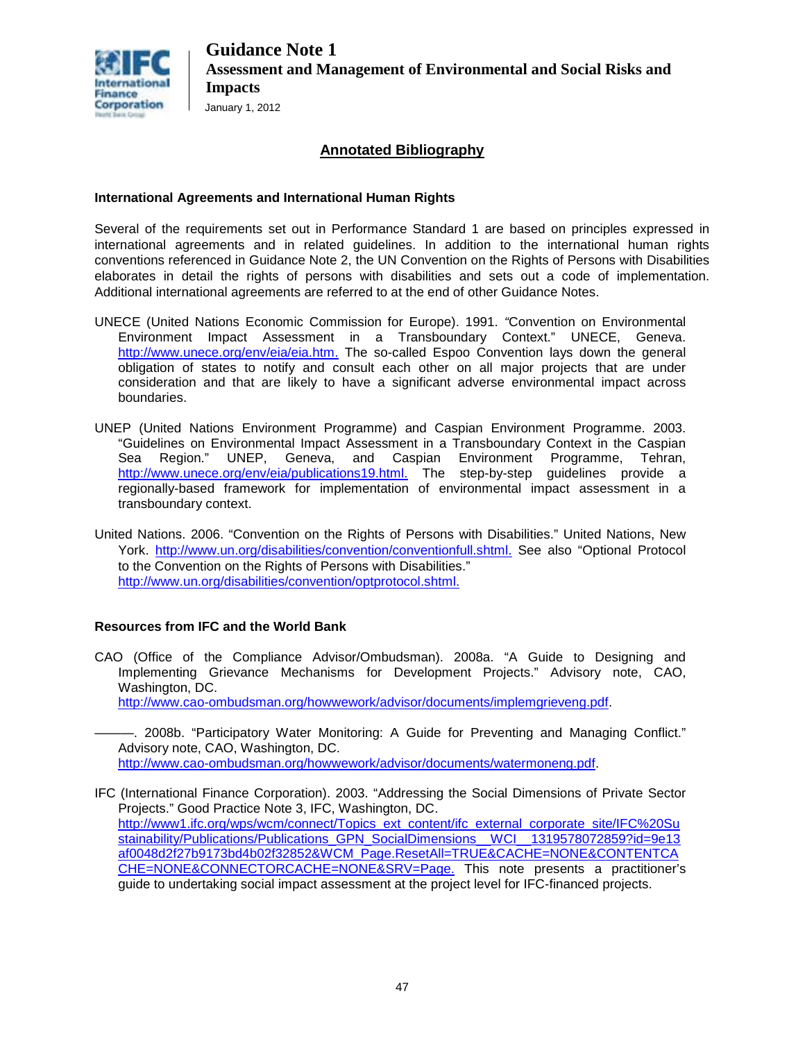

### **Annotated Bibliography**

#### **International Agreements and International Human Rights**

Several of the requirements set out in Performance Standard 1 are based on principles expressed in international agreements and in related guidelines. In addition to the international human rights conventions referenced in Guidance Note 2, the UN Convention on the Rights of Persons with Disabilities elaborates in detail the rights of persons with disabilities and sets out a code of implementation. Additional international agreements are referred to at the end of other Guidance Notes.

- UNECE (United Nations Economic Commission for Europe). 1991. *"*Convention on Environmental Environment Impact Assessment in a Transboundary Context." UNECE, Geneva. [http://www.unece.org/env/eia/eia.htm.](http://www.unece.org/env/eia/eia.html) The so-called Espoo Convention lays down the general obligation of states to notify and consult each other on all major projects that are under consideration and that are likely to have a significant adverse environmental impact across boundaries.
- UNEP (United Nations Environment Programme) and Caspian Environment Programme. 2003. "Guidelines on Environmental Impact Assessment in a Transboundary Context in the Caspian<br>Sea Region." UNEP. Geneva. and Caspian Environment Programme. Tehran. Region." UNEP, Geneva, and Caspian Environment Programme, Tehran, [http://www.unece.org/env/eia/publications19.html.](http://www.unece.org/env/eia/publications19.html) The step-by-step guidelines provide a regionally-based framework for implementation of environmental impact assessment in a transboundary context.
- United Nations. 2006. "Convention on the Rights of Persons with Disabilities." United Nations, New York. [http://www.un.org/disabilities/convention/conventionfull.shtml.](http://www.un.org/disabilities/convention/conventionfull.shtml) See also "Optional Protocol to the Convention on the Rights of Persons with Disabilities." [http://www.un.org/disabilities/convention/optprotocol.shtml.](http://www.un.org/disabilities/convention/optprotocol.shtml)

#### **Resources from IFC and the World Bank**

CAO (Office of the Compliance Advisor/Ombudsman). 2008a. "A Guide to Designing and Implementing Grievance Mechanisms for Development Projects." Advisory note, CAO, Washington, DC. [http://www.cao-ombudsman.org/howwework/advisor/documents/implemgrieveng.pdf.](http://www.cao-ombudsman.org/howwework/advisor/documents/implemgrieveng.pdf)

-. 2008b. "Participatory Water Monitoring: A Guide for Preventing and Managing Conflict." Advisory note, CAO, Washington, DC. [http://www.cao-ombudsman.org/howwework/advisor/documents/watermoneng.pdf.](http://www.cao-ombudsman.org/howwework/advisor/documents/watermoneng.pdf)

IFC (International Finance Corporation). 2003. "Addressing the Social Dimensions of Private Sector Projects." Good Practice Note 3, IFC, Washington, DC. [http://www1.ifc.org/wps/wcm/connect/Topics\\_ext\\_content/ifc\\_external\\_corporate\\_site/IFC%20Su](http://www1.ifc.org/wps/wcm/connect/Topics_ext_content/ifc_external_corporate_site/IFC%20Sustainability/Publications/Publications_GPN_SocialDimensions__WCI__1319578072859?id=9e13af0048d2f27b9173bd4b02f32852&WCM_Page.ResetAll=TRUE&CACHE=NONE&CONTENTCACHE=NONE&CONNECTORCACHE=NONE&SRV=Page) [stainability/Publications/Publications\\_GPN\\_SocialDimensions\\_\\_WCI\\_\\_1319578072859?id=9e13](http://www1.ifc.org/wps/wcm/connect/Topics_ext_content/ifc_external_corporate_site/IFC%20Sustainability/Publications/Publications_GPN_SocialDimensions__WCI__1319578072859?id=9e13af0048d2f27b9173bd4b02f32852&WCM_Page.ResetAll=TRUE&CACHE=NONE&CONTENTCACHE=NONE&CONNECTORCACHE=NONE&SRV=Page) [af0048d2f27b9173bd4b02f32852&WCM\\_Page.ResetAll=TRUE&CACHE=NONE&CONTENTCA](http://www1.ifc.org/wps/wcm/connect/Topics_ext_content/ifc_external_corporate_site/IFC%20Sustainability/Publications/Publications_GPN_SocialDimensions__WCI__1319578072859?id=9e13af0048d2f27b9173bd4b02f32852&WCM_Page.ResetAll=TRUE&CACHE=NONE&CONTENTCACHE=NONE&CONNECTORCACHE=NONE&SRV=Page) [CHE=NONE&CONNECTORCACHE=NONE&SRV=Page.](http://www1.ifc.org/wps/wcm/connect/Topics_ext_content/ifc_external_corporate_site/IFC%20Sustainability/Publications/Publications_GPN_SocialDimensions__WCI__1319578072859?id=9e13af0048d2f27b9173bd4b02f32852&WCM_Page.ResetAll=TRUE&CACHE=NONE&CONTENTCACHE=NONE&CONNECTORCACHE=NONE&SRV=Page) This note presents a practitioner's guide to undertaking social impact assessment at the project level for IFC-financed projects.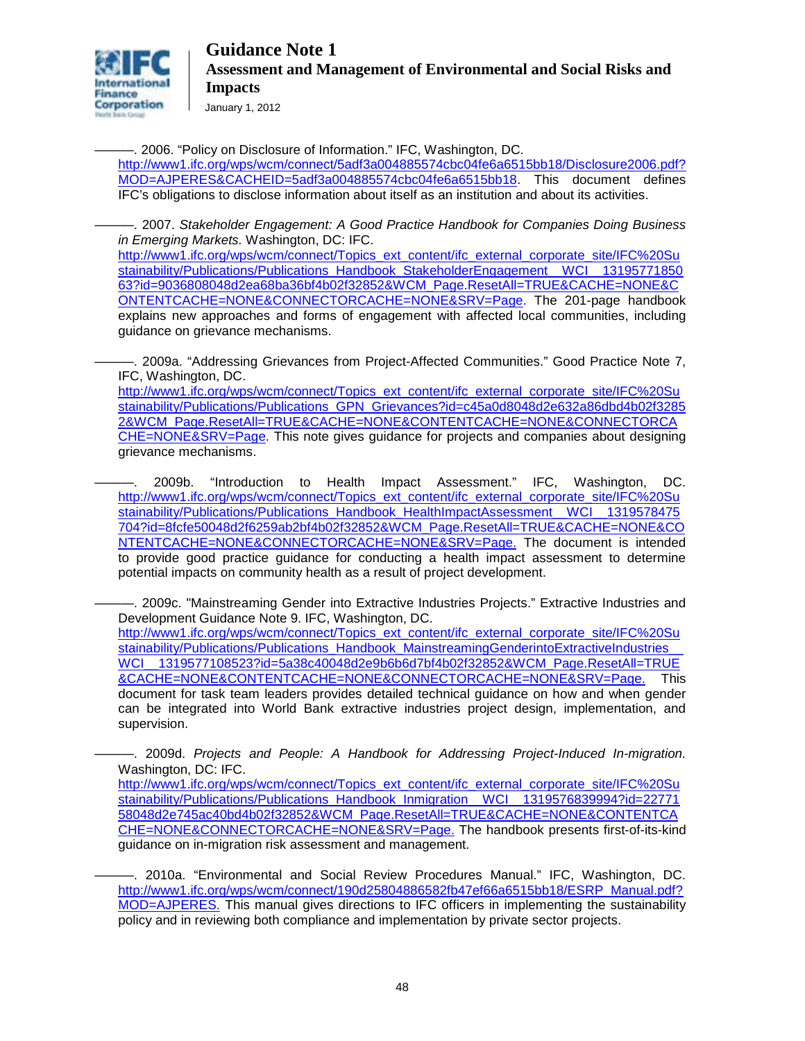

January 1, 2012

———. 2006. "Policy on Disclosure of Information." IFC, Washington, DC. [http://www1.ifc.org/wps/wcm/connect/5adf3a004885574cbc04fe6a6515bb18/Disclosure2006.pdf?](http://www1.ifc.org/wps/wcm/connect/5adf3a004885574cbc04fe6a6515bb18/Disclosure2006.pdf?MOD=AJPERES&CACHEID=5adf3a004885574cbc04fe6a6515bb18)

[MOD=AJPERES&CACHEID=5adf3a004885574cbc04fe6a6515bb18.](http://www1.ifc.org/wps/wcm/connect/5adf3a004885574cbc04fe6a6515bb18/Disclosure2006.pdf?MOD=AJPERES&CACHEID=5adf3a004885574cbc04fe6a6515bb18) This document defines IFC's obligations to disclose information about itself as an institution and about its activities.

———. 2007. *Stakeholder Engagement: A Good Practice Handbook for Companies Doing Business in Emerging Markets.* Washington, DC: IFC.

[http://www1.ifc.org/wps/wcm/connect/Topics\\_ext\\_content/ifc\\_external\\_corporate\\_site/IFC%20Su](http://www1.ifc.org/wps/wcm/connect/Topics_ext_content/ifc_external_corporate_site/IFC%20Sustainability/Publications/Publications_Handbook_StakeholderEngagement__WCI__1319577185063?id=9036808048d2ea68ba36bf4b02f32852&WCM_Page.ResetAll=TRUE&CACHE=NONE&CONTENTCACHE=NONE&CONNECTORCACHE=NONE&SRV=Page) [stainability/Publications/Publications\\_Handbook\\_StakeholderEngagement\\_\\_WCI\\_\\_13195771850](http://www1.ifc.org/wps/wcm/connect/Topics_ext_content/ifc_external_corporate_site/IFC%20Sustainability/Publications/Publications_Handbook_StakeholderEngagement__WCI__1319577185063?id=9036808048d2ea68ba36bf4b02f32852&WCM_Page.ResetAll=TRUE&CACHE=NONE&CONTENTCACHE=NONE&CONNECTORCACHE=NONE&SRV=Page) [63?id=9036808048d2ea68ba36bf4b02f32852&WCM\\_Page.ResetAll=TRUE&CACHE=NONE&C](http://www1.ifc.org/wps/wcm/connect/Topics_ext_content/ifc_external_corporate_site/IFC%20Sustainability/Publications/Publications_Handbook_StakeholderEngagement__WCI__1319577185063?id=9036808048d2ea68ba36bf4b02f32852&WCM_Page.ResetAll=TRUE&CACHE=NONE&CONTENTCACHE=NONE&CONNECTORCACHE=NONE&SRV=Page) [ONTENTCACHE=NONE&CONNECTORCACHE=NONE&SRV=Page.](http://www1.ifc.org/wps/wcm/connect/Topics_ext_content/ifc_external_corporate_site/IFC%20Sustainability/Publications/Publications_Handbook_StakeholderEngagement__WCI__1319577185063?id=9036808048d2ea68ba36bf4b02f32852&WCM_Page.ResetAll=TRUE&CACHE=NONE&CONTENTCACHE=NONE&CONNECTORCACHE=NONE&SRV=Page) The 201-page handbook explains new approaches and forms of engagement with affected local communities, including guidance on grievance mechanisms.

-. 2009a. "Addressing Grievances from Project-Affected Communities." Good Practice Note 7, IFC, Washington, DC.

[http://www1.ifc.org/wps/wcm/connect/Topics\\_ext\\_content/ifc\\_external\\_corporate\\_site/IFC%20Su](http://www1.ifc.org/wps/wcm/connect/Topics_ext_content/ifc_external_corporate_site/IFC%20Sustainability/Publications/Publications_GPN_Grievances?id=c45a0d8048d2e632a86dbd4b02f32852&WCM_Page.ResetAll=TRUE&CACHE=NONE&CONTENTCACHE=NONE&CONNECTORCACHE=NONE&SRV=Page) [stainability/Publications/Publications\\_GPN\\_Grievances?id=c45a0d8048d2e632a86dbd4b02f3285](http://www1.ifc.org/wps/wcm/connect/Topics_ext_content/ifc_external_corporate_site/IFC%20Sustainability/Publications/Publications_GPN_Grievances?id=c45a0d8048d2e632a86dbd4b02f32852&WCM_Page.ResetAll=TRUE&CACHE=NONE&CONTENTCACHE=NONE&CONNECTORCACHE=NONE&SRV=Page) [2&WCM\\_Page.ResetAll=TRUE&CACHE=NONE&CONTENTCACHE=NONE&CONNECTORCA](http://www1.ifc.org/wps/wcm/connect/Topics_ext_content/ifc_external_corporate_site/IFC%20Sustainability/Publications/Publications_GPN_Grievances?id=c45a0d8048d2e632a86dbd4b02f32852&WCM_Page.ResetAll=TRUE&CACHE=NONE&CONTENTCACHE=NONE&CONNECTORCACHE=NONE&SRV=Page) [CHE=NONE&SRV=Page.](http://www1.ifc.org/wps/wcm/connect/Topics_ext_content/ifc_external_corporate_site/IFC%20Sustainability/Publications/Publications_GPN_Grievances?id=c45a0d8048d2e632a86dbd4b02f32852&WCM_Page.ResetAll=TRUE&CACHE=NONE&CONTENTCACHE=NONE&CONNECTORCACHE=NONE&SRV=Page) This note gives guidance for projects and companies about designing grievance mechanisms.

———. 2009b. "Introduction to Health Impact Assessment." IFC, Washington, DC. [http://www1.ifc.org/wps/wcm/connect/Topics\\_ext\\_content/ifc\\_external\\_corporate\\_site/IFC%20Su](http://www1.ifc.org/wps/wcm/connect/Topics_ext_content/ifc_external_corporate_site/IFC%20Sustainability/Publications/Publications_Handbook_HealthImpactAssessment__WCI__1319578475704?id=8fcfe50048d2f6259ab2bf4b02f32852&WCM_Page.ResetAll=TRUE&CACHE=NONE&CONTENTCACHE=NONE&CONNECTORCACHE=NONE&SRV=Page) stainability/Publications/Publications\_Handbook\_HealthImpactAssessment\_WCI\_1319578475 [704?id=8fcfe50048d2f6259ab2bf4b02f32852&WCM\\_Page.ResetAll=TRUE&CACHE=NONE&CO](http://www1.ifc.org/wps/wcm/connect/Topics_ext_content/ifc_external_corporate_site/IFC%20Sustainability/Publications/Publications_Handbook_HealthImpactAssessment__WCI__1319578475704?id=8fcfe50048d2f6259ab2bf4b02f32852&WCM_Page.ResetAll=TRUE&CACHE=NONE&CONTENTCACHE=NONE&CONNECTORCACHE=NONE&SRV=Page) [NTENTCACHE=NONE&CONNECTORCACHE=NONE&SRV=Page.](http://www1.ifc.org/wps/wcm/connect/Topics_ext_content/ifc_external_corporate_site/IFC%20Sustainability/Publications/Publications_Handbook_HealthImpactAssessment__WCI__1319578475704?id=8fcfe50048d2f6259ab2bf4b02f32852&WCM_Page.ResetAll=TRUE&CACHE=NONE&CONTENTCACHE=NONE&CONNECTORCACHE=NONE&SRV=Page) The document is intended to provide good practice guidance for conducting a health impact assessment to determine potential impacts on community health as a result of project development.

———. 2009c. "Mainstreaming Gender into Extractive Industries Projects." Extractive Industries and Development Guidance Note 9. IFC, Washington, DC.

[http://www1.ifc.org/wps/wcm/connect/Topics\\_ext\\_content/ifc\\_external\\_corporate\\_site/IFC%20Su](http://www1.ifc.org/wps/wcm/connect/Topics_ext_content/ifc_external_corporate_site/IFC%20Sustainability/Publications/Publications_Handbook_MainstreamingGenderintoExtractiveIndustries__WCI__1319577108523?id=5a38c40048d2e9b6b6d7bf4b02f32852&WCM_Page.ResetAll=TRUE&CACHE=NONE&CONTENTCACHE=NONE&CONNECTORCACHE=NONE&SRV=Page) stainability/Publications/Publications\_Handbook\_MainstreamingGenderintoExtractiveIndustries [WCI\\_\\_1319577108523?id=5a38c40048d2e9b6b6d7bf4b02f32852&WCM\\_Page.ResetAll=TRUE](http://www1.ifc.org/wps/wcm/connect/Topics_ext_content/ifc_external_corporate_site/IFC%20Sustainability/Publications/Publications_Handbook_MainstreamingGenderintoExtractiveIndustries__WCI__1319577108523?id=5a38c40048d2e9b6b6d7bf4b02f32852&WCM_Page.ResetAll=TRUE&CACHE=NONE&CONTENTCACHE=NONE&CONNECTORCACHE=NONE&SRV=Page) [&CACHE=NONE&CONTENTCACHE=NONE&CONNECTORCACHE=NONE&SRV=Page.](http://www1.ifc.org/wps/wcm/connect/Topics_ext_content/ifc_external_corporate_site/IFC%20Sustainability/Publications/Publications_Handbook_MainstreamingGenderintoExtractiveIndustries__WCI__1319577108523?id=5a38c40048d2e9b6b6d7bf4b02f32852&WCM_Page.ResetAll=TRUE&CACHE=NONE&CONTENTCACHE=NONE&CONNECTORCACHE=NONE&SRV=Page) This document for task team leaders provides detailed technical guidance on how and when gender can be integrated into World Bank extractive industries project design, implementation, and supervision.

———. 2009d. *Projects and People: A Handbook for Addressing Project-Induced In-migration.* Washington, DC: IFC.

[http://www1.ifc.org/wps/wcm/connect/Topics\\_ext\\_content/ifc\\_external\\_corporate\\_site/IFC%20Su](http://www1.ifc.org/wps/wcm/connect/Topics_ext_content/ifc_external_corporate_site/IFC%20Sustainability/Publications/Publications_Handbook_Inmigration__WCI__1319576839994?id=2277158048d2e745ac40bd4b02f32852&WCM_Page.ResetAll=TRUE&CACHE=NONE&CONTENTCACHE=NONE&CONNECTORCACHE=NONE&SRV=Page) [stainability/Publications/Publications\\_Handbook\\_Inmigration\\_\\_WCI\\_\\_1319576839994?id=22771](http://www1.ifc.org/wps/wcm/connect/Topics_ext_content/ifc_external_corporate_site/IFC%20Sustainability/Publications/Publications_Handbook_Inmigration__WCI__1319576839994?id=2277158048d2e745ac40bd4b02f32852&WCM_Page.ResetAll=TRUE&CACHE=NONE&CONTENTCACHE=NONE&CONNECTORCACHE=NONE&SRV=Page) [58048d2e745ac40bd4b02f32852&WCM\\_Page.ResetAll=TRUE&CACHE=NONE&CONTENTCA](http://www1.ifc.org/wps/wcm/connect/Topics_ext_content/ifc_external_corporate_site/IFC%20Sustainability/Publications/Publications_Handbook_Inmigration__WCI__1319576839994?id=2277158048d2e745ac40bd4b02f32852&WCM_Page.ResetAll=TRUE&CACHE=NONE&CONTENTCACHE=NONE&CONNECTORCACHE=NONE&SRV=Page) [CHE=NONE&CONNECTORCACHE=NONE&SRV=Page.](http://www1.ifc.org/wps/wcm/connect/Topics_ext_content/ifc_external_corporate_site/IFC%20Sustainability/Publications/Publications_Handbook_Inmigration__WCI__1319576839994?id=2277158048d2e745ac40bd4b02f32852&WCM_Page.ResetAll=TRUE&CACHE=NONE&CONTENTCACHE=NONE&CONNECTORCACHE=NONE&SRV=Page) The handbook presents first-of-its-kind guidance on in-migration risk assessment and management.

———. 2010a. "Environmental and Social Review Procedures Manual." IFC, Washington, DC. [http://www1.ifc.org/wps/wcm/connect/190d25804886582fb47ef66a6515bb18/ESRP\\_Manual.pdf?](http://www1.ifc.org/wps/wcm/connect/190d25804886582fb47ef66a6515bb18/ESRP_Manual.pdf?MOD=AJPERES) [MOD=AJPERES.](http://www1.ifc.org/wps/wcm/connect/190d25804886582fb47ef66a6515bb18/ESRP_Manual.pdf?MOD=AJPERES) This manual gives directions to IFC officers in implementing the sustainability policy and in reviewing both compliance and implementation by private sector projects.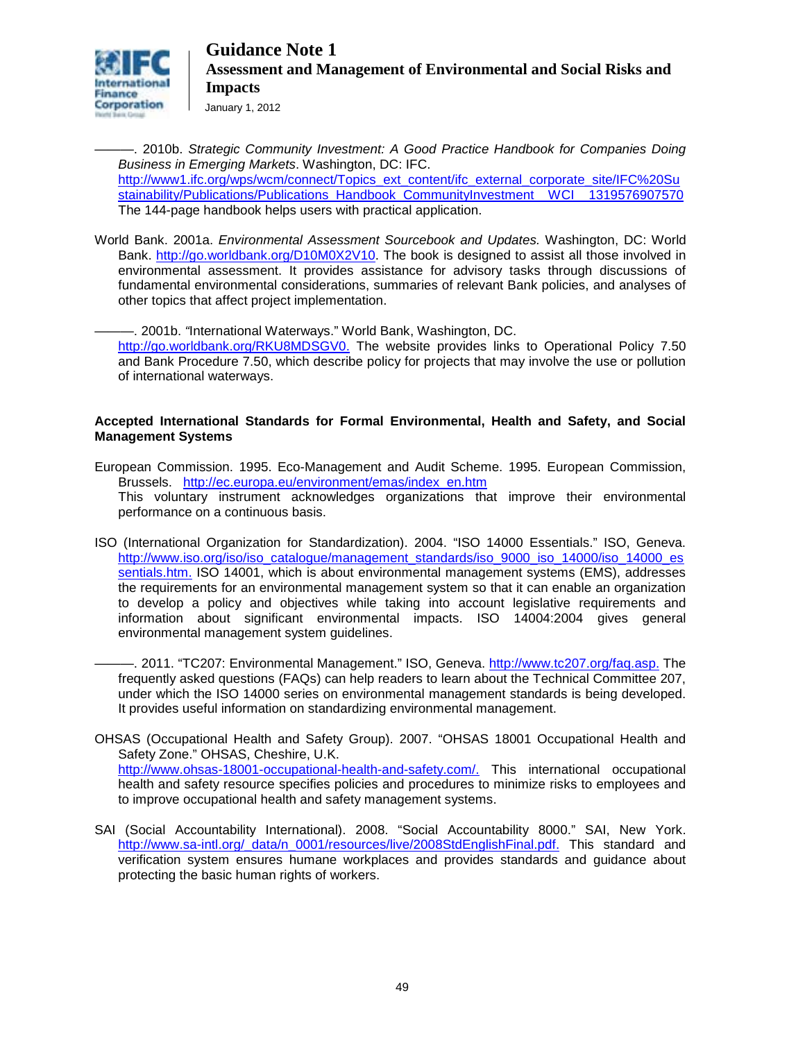

January 1, 2012

———. 2010b. *[Strategic Community Investment: A Good Practice Handbook for Companies Doing](http://www.ifc.org/ifcext/sustainability.nsf/Content/Publications_Handbook_CommunityInvestment_Registration)  [Business in Emerging Markets](http://www.ifc.org/ifcext/sustainability.nsf/Content/Publications_Handbook_CommunityInvestment_Registration)*. Washington, DC: IFC. [http://www1.ifc.org/wps/wcm/connect/Topics\\_ext\\_content/ifc\\_external\\_corporate\\_site/IFC%20Su](http://www1.ifc.org/wps/wcm/connect/Topics_ext_content/ifc_external_corporate_site/IFC%20Sustainability/Publications/Publications_Handbook_CommunityInvestment__WCI__1319576907570) stainability/Publications/Publications\_Handbook\_CommunityInvestment\_WCI\_1319576907570 The 144-page handbook helps users with practical application.

World Bank. 2001a. *Environmental Assessment Sourcebook and Updates.* Washington, DC: World Bank. [http://go.worldbank.org/D10M0X2V10.](http://go.worldbank.org/D10M0X2V10) The book is designed to assist all those involved in environmental assessment. It provides assistance for advisory tasks through discussions of fundamental environmental considerations, summaries of relevant Bank policies, and analyses of other topics that affect project implementation.

———. 2001b. *"*International Waterways." World Bank, Washington, DC.

[http://go.worldbank.org/RKU8MDSGV0.](http://go.worldbank.org/RKU8MDSGV0) The website provides links to Operational Policy 7.50 and Bank Procedure 7.50, which describe policy for projects that may involve the use or pollution of international waterways.

#### **Accepted International Standards for Formal Environmental, Health and Safety, and Social Management Systems**

- European Commission. 1995. Eco-Management and Audit Scheme. 1995. European Commission, Brussels.[http://ec.europa.eu/environment/emas/index\\_en.htm](http://ec.europa.eu/environment/emas/index_en.htm)  This voluntary instrument acknowledges organizations that improve their environmental performance on a continuous basis.
- ISO (International Organization for Standardization). 2004. "ISO 14000 Essentials." ISO, Geneva. [http://www.iso.org/iso/iso\\_catalogue/management\\_standards/iso\\_9000\\_iso\\_14000/iso\\_14000\\_es](http://www.iso.org/iso/iso_catalogue/management_standards/iso_9000_iso_14000/iso_14000_essentials.htm) [sentials.htm.](http://www.iso.org/iso/iso_catalogue/management_standards/iso_9000_iso_14000/iso_14000_essentials.htm) ISO 14001, which is about environmental management systems (EMS), addresses the requirements for an environmental management system so that it can enable an organization to develop a policy and objectives while taking into account legislative requirements and information about significant environmental impacts. ISO 14004:2004 gives general environmental management system guidelines.
	- -. 2011. "TC207: Environmental Management." ISO, Geneva. [http://www.tc207.org/faq.asp.](http://www.tc207.org/faq.asp) The frequently asked questions (FAQs) can help readers to learn about the Technical Committee 207, under which the ISO 14000 series on environmental management standards is being developed. It provides useful information on standardizing environmental management.
- OHSAS (Occupational Health and Safety Group). 2007. "OHSAS 18001 Occupational Health and Safety Zone." OHSAS, Cheshire, U.K. [http://www.ohsas-18001-occupational-health-and-safety.com/.](http://www.ohsas-18001-occupational-health-and-safety.com/) This international occupational health and safety resource specifies policies and procedures to minimize risks to employees and to improve occupational health and safety management systems.
- SAI (Social Accountability International). 2008. "Social Accountability 8000." SAI, New York. [http://www.sa-intl.org/\\_data/n\\_0001/resources/live/2008StdEnglishFinal.pdf.](http://www.sa-intl.org/_data/n_0001/resources/live/2008StdEnglishFinal.pdf) This standard and verification system ensures humane workplaces and provides standards and guidance about protecting the basic human rights of workers.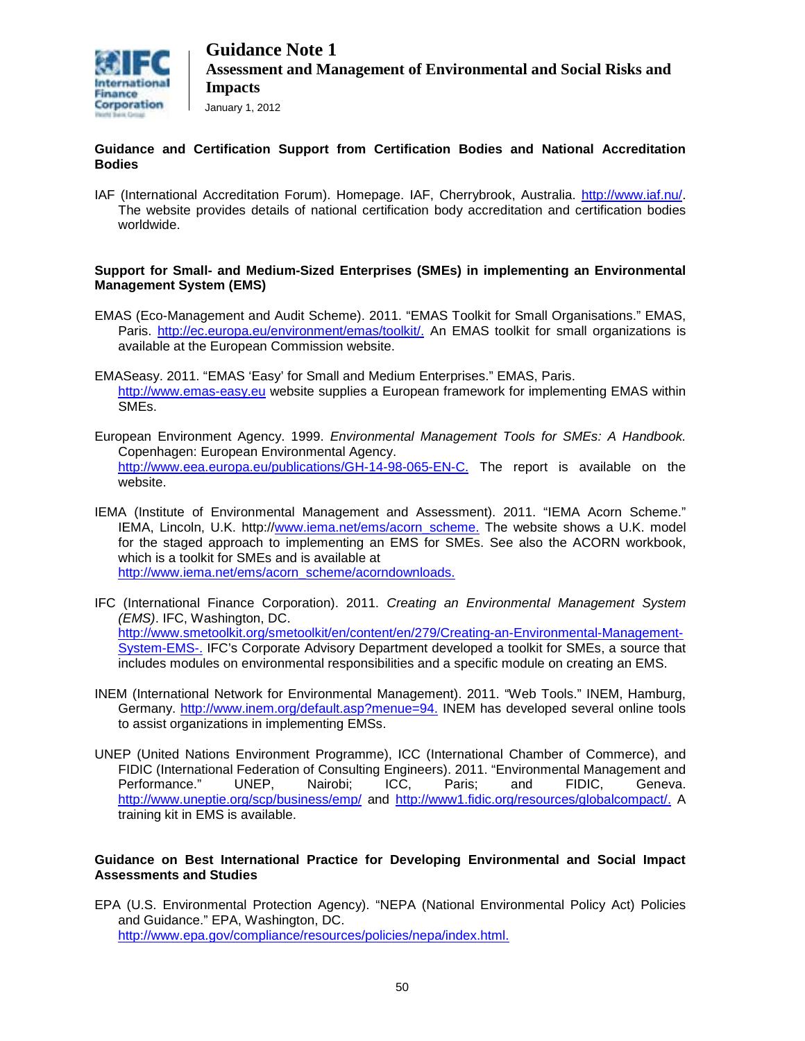

#### **Guidance and Certification Support from Certification Bodies and National Accreditation Bodies**

IAF (International Accreditation Forum). Homepage. IAF, Cherrybrook, Australia. [http://www.iaf.nu/.](http://www.iaf.nu/) The website provides details of national certification body accreditation and certification bodies worldwide.

#### **Support for Small- and Medium-Sized Enterprises (SMEs) in implementing an Environmental Management System (EMS)**

- EMAS (Eco-Management and Audit Scheme). 2011. "EMAS Toolkit for Small Organisations." EMAS, Paris. [http://ec.europa.eu/environment/emas/toolkit/.](http://ec.europa.eu/environment/emas/toolkit/) An EMAS toolkit for small organizations is available at the European Commission website.
- EMASeasy. 2011. "EMAS 'Easy' for Small and Medium Enterprises." EMAS, Paris. [http://www.emas-easy.eu](http://www.emas-easy.eu/) website supplies a European framework for implementing EMAS within SMEs.
- European Environment Agency. 1999. *Environmental Management Tools for SMEs: A Handbook.*  Copenhagen: European Environmental Agency. [http://www.eea.europa.eu/publications/GH-14-98-065-EN-C.](http://www.eea.europa.eu/publications/GH-14-98-065-EN-C) The report is available on the website.
- IEMA (Institute of Environmental Management and Assessment). 2011. "IEMA Acorn Scheme." IEMA, Lincoln, U.K. http:/[/www.iema.net/ems/acorn\\_scheme.](http://www.iema.net/ems/acorn_scheme) The website shows a U.K. model for the staged approach to implementing an EMS for SMEs. See also the ACORN workbook, which is a toolkit for SMEs and is available at [http://www.iema.net/ems/acorn\\_scheme/acorndownloads.](http://www.iema.net/ems/acorn_scheme/acorndownloads)
- IFC (International Finance Corporation). 2011. *Creating an Environmental Management System (EMS)*. IFC, Washington, DC. [http://www.smetoolkit.org/smetoolkit/en/content/en/279/Creating-an-Environmental-Management-](http://www.smetoolkit.org/smetoolkit/en/content/en/279/Creating-an-Environmental-Management-System-EMS-)[System-EMS-.](http://www.smetoolkit.org/smetoolkit/en/content/en/279/Creating-an-Environmental-Management-System-EMS-) IFC's Corporate Advisory Department developed a toolkit for SMEs, a source that includes modules on environmental responsibilities and a specific module on creating an EMS.
- INEM (International Network for Environmental Management). 2011. "Web Tools." INEM, Hamburg, Germany. [http://www.inem.org/default.asp?menue=94.](http://www.inem.org/default.asp?menue=94) INEM has developed several online tools to assist organizations in implementing EMSs.
- UNEP (United Nations Environment Programme), ICC (International Chamber of Commerce), and FIDIC (International Federation of Consulting Engineers). 2011. "Environmental Management and Performance." UNEP, Nairobi; ICC, Paris; and FIDIC, Geneva. <http://www.uneptie.org/scp/business/emp/> and [http://www1.fidic.org/resources/globalcompact/.](http://www1.fidic.org/resources/globalcompact/) A training kit in EMS is available.

#### **Guidance on Best International Practice for Developing Environmental and Social Impact Assessments and Studies**

EPA (U.S. Environmental Protection Agency). "NEPA (National Environmental Policy Act) Policies and Guidance." EPA, Washington, DC. [http://www.epa.gov/compliance/resources/policies/nepa/index.html.](http://www.epa.gov/compliance/resources/policies/nepa/index.html)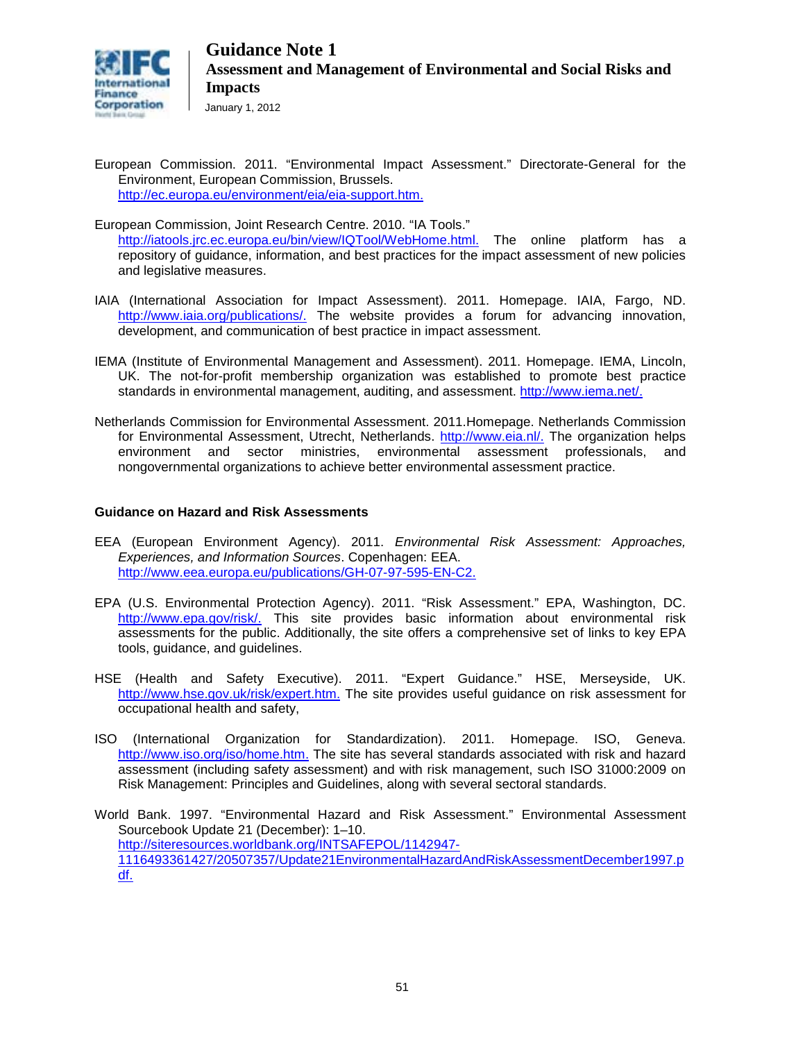

- European Commission. 2011. "Environmental Impact Assessment." Directorate-General for the Environment, European Commission, Brussels. [http://ec.europa.eu/environment/eia/eia-support.htm.](http://ec.europa.eu/environment/eia/eia-support.htm)
- European Commission, Joint Research Centre. 2010. "IA Tools." [http://iatools.jrc.ec.europa.eu/bin/view/IQTool/WebHome.html.](http://iatools.jrc.ec.europa.eu/bin/view/IQTool/WebHome.html) The online platform has a repository of guidance, information, and best practices for the impact assessment of new policies and legislative measures.
- IAIA (International Association for Impact Assessment). 2011. Homepage. IAIA, Fargo, ND. [http://www.iaia.org/publications/.](http://www.iaia.org/publications/) The website provides a forum for advancing innovation, development, and communication of best practice in impact assessment.
- IEMA (Institute of Environmental Management and Assessment). 2011. Homepage. IEMA, Lincoln, UK. The not-for-profit membership organization was established to promote best practice standards in environmental management, auditing, and assessment. [http://www.iema.net/.](http://www.iema.net/)
- Netherlands Commission for Environmental Assessment. 2011.Homepage. Netherlands Commission for Environmental Assessment, Utrecht, Netherlands. [http://www.eia.nl/.](http://www.eia.nl/) The organization helps environment and sector ministries, environmental assessment professionals, and nongovernmental organizations to achieve better environmental assessment practice.

#### **Guidance on Hazard and Risk Assessments**

- EEA (European Environment Agency). 2011. *Environmental Risk Assessment: Approaches, Experiences, and Information Sources*. Copenhagen: EEA. [http://www.eea.europa.eu/publications/GH-07-97-595-EN-C2.](http://www.eea.europa.eu/publications/GH-07-97-595-EN-C2)
- EPA (U.S. Environmental Protection Agency). 2011. "Risk Assessment." EPA, Washington, DC. [http://www.epa.gov/risk/.](http://www.epa.gov/risk/) This site provides basic information about environmental risk assessments for the public. Additionally, the site offers a comprehensive set of links to key EPA tools, guidance, and guidelines.
- HSE (Health and Safety Executive). 2011. "Expert Guidance." HSE, Merseyside, UK. [http://www.hse.gov.uk/risk/expert.htm.](http://www.hse.gov.uk/risk/expert.htm) The site provides useful guidance on risk assessment for occupational health and safety,
- ISO (International Organization for Standardization). 2011. Homepage. ISO, Geneva. [http://www.iso.org/iso/home.htm.](http://www.iso.org/iso/home.htm) The site has several standards associated with risk and hazard assessment (including safety assessment) and with risk management, such ISO 31000:2009 on Risk Management: Principles and Guidelines, along with several sectoral standards.
- World Bank. 1997. "Environmental Hazard and Risk Assessment." Environmental Assessment Sourcebook Update 21 (December): 1–10. [http://siteresources.worldbank.org/INTSAFEPOL/1142947-](http://siteresources.worldbank.org/INTSAFEPOL/1142947-1116493361427/20507357/Update21EnvironmentalHazardAndRiskAssessmentDecember1997.pdf) [1116493361427/20507357/Update21EnvironmentalHazardAndRiskAssessmentDecember1997.p](http://siteresources.worldbank.org/INTSAFEPOL/1142947-1116493361427/20507357/Update21EnvironmentalHazardAndRiskAssessmentDecember1997.pdf) [df.](http://siteresources.worldbank.org/INTSAFEPOL/1142947-1116493361427/20507357/Update21EnvironmentalHazardAndRiskAssessmentDecember1997.pdf)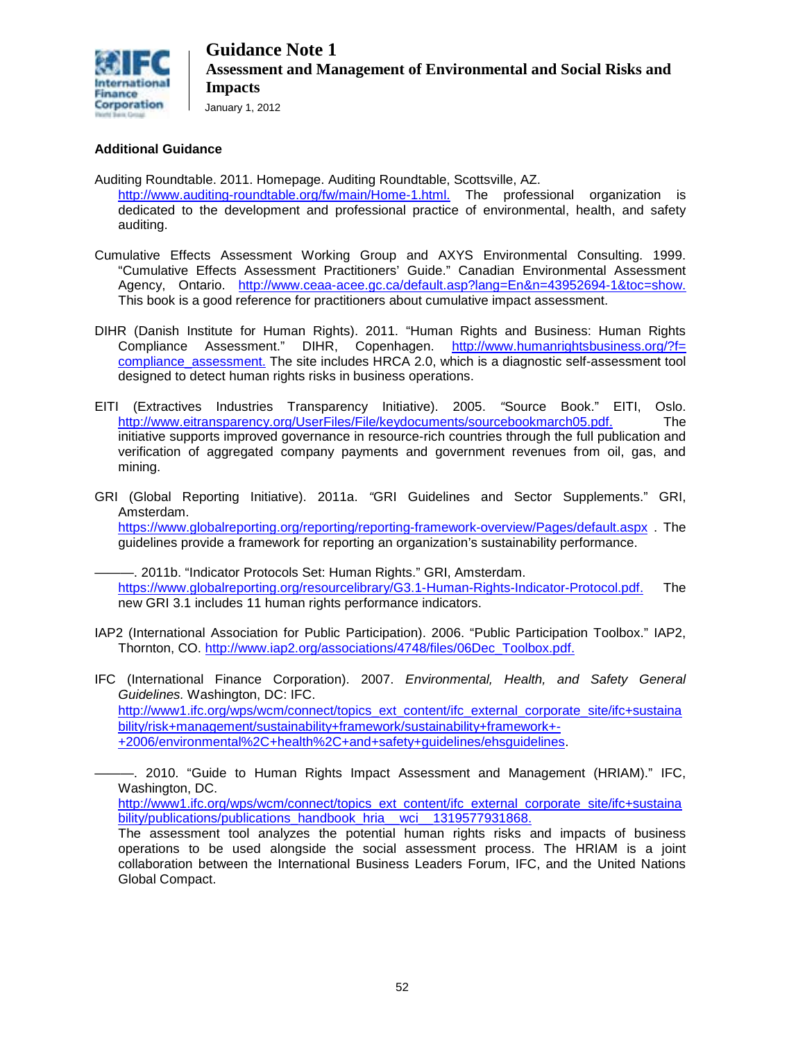

#### **Additional Guidance**

- Auditing Roundtable. 2011. Homepage. Auditing Roundtable, Scottsville, AZ. [http://www.auditing-roundtable.org/fw/main/Home-1.html.](http://www.auditing-roundtable.org/fw/main/Home-1.html) The professional organization is dedicated to the development and professional practice of environmental, health, and safety auditing.
- Cumulative Effects Assessment Working Group and AXYS Environmental Consulting. 1999. "Cumulative Effects Assessment Practitioners' Guide." Canadian Environmental Assessment Agency, Ontario. [http://www.ceaa-acee.gc.ca/default.asp?lang=En&n=43952694-1&toc=show.](http://www.ceaa-acee.gc.ca/default.asp?lang=En&n=43952694-1&toc=show) This book is a good reference for practitioners about cumulative impact assessment.
- DIHR (Danish Institute for Human Rights). 2011. "Human Rights and Business: Human Rights Compliance Assessment." DIHR, Copenhagen. [http://www.humanrightsbusiness.org/?f=](http://www.humanrightsbusiness.org/?f=%20compliance_assessment)  compliance assessment. The site includes HRCA 2.0, which is a diagnostic self-assessment tool designed to detect human rights risks in business operations.
- EITI (Extractives Industries Transparency Initiative). 2005. *"*Source Book." EITI, Oslo. [http://www.eitransparency.org/UserFiles/File/keydocuments/sourcebookmarch05.pdf.](http://www.eitransparency.org/UserFiles/File/keydocuments/sourcebookmarch05.pdf) The initiative supports improved governance in resource-rich countries through the full publication and verification of aggregated company payments and government revenues from oil, gas, and mining.
- GRI (Global Reporting Initiative). 2011a. *"*GRI Guidelines and Sector Supplements." GRI, Amsterdam. <https://www.globalreporting.org/reporting/reporting-framework-overview/Pages/default.aspx> . The

guidelines provide a framework for reporting an organization's sustainability performance.

-. 2011b. "Indicator Protocols Set: Human Rights." GRI, Amsterdam. [https://www.globalreporting.org/resourcelibrary/G3.1-Human-Rights-Indicator-Protocol.pdf.](https://www.globalreporting.org/resourcelibrary/G3.1-Human-Rights-Indicator-Protocol.pdf) The new GRI 3.1 includes 11 human rights performance indicators.

- IAP2 (International Association for Public Participation). 2006. "Public Participation Toolbox." IAP2, Thornton, CO. [http://www.iap2.org/associations/4748/files/06Dec\\_Toolbox.pdf.](http://www.iap2.org/associations/4748/files/06Dec_Toolbox.pdf)
- IFC (International Finance Corporation). 2007. *Environmental, Health, and Safety General Guidelines.* Washington, DC: IFC. [http://www1.ifc.org/wps/wcm/connect/topics\\_ext\\_content/ifc\\_external\\_corporate\\_site/ifc+sustaina](http://www1.ifc.org/wps/wcm/connect/topics_ext_content/ifc_external_corporate_site/ifc+sustainability/risk+management/sustainability+framework/sustainability+framework+-+2006/environmental%2C+health%2C+and+safety+guidelines/ehsguidelines) [bility/risk+management/sustainability+framework/sustainability+framework+-](http://www1.ifc.org/wps/wcm/connect/topics_ext_content/ifc_external_corporate_site/ifc+sustainability/risk+management/sustainability+framework/sustainability+framework+-+2006/environmental%2C+health%2C+and+safety+guidelines/ehsguidelines) [+2006/environmental%2C+health%2C+and+safety+guidelines/ehsguidelines.](http://www1.ifc.org/wps/wcm/connect/topics_ext_content/ifc_external_corporate_site/ifc+sustainability/risk+management/sustainability+framework/sustainability+framework+-+2006/environmental%2C+health%2C+and+safety+guidelines/ehsguidelines)

———. 2010. "Guide to Human Rights Impact Assessment and Management (HRIAM)." IFC, Washington, DC.

[http://www1.ifc.org/wps/wcm/connect/topics\\_ext\\_content/ifc\\_external\\_corporate\\_site/ifc+sustaina](http://www1.ifc.org/wps/wcm/connect/topics_ext_content/ifc_external_corporate_site/ifc+sustainability/publications/publications_handbook_hria__wci__1319577931868) bility/publications/publications\_handbook\_hria\_wci\_1319577931868.

The assessment tool analyzes the potential human rights risks and impacts of business operations to be used alongside the social assessment process. The HRIAM is a joint collaboration between the International Business Leaders Forum, IFC, and the United Nations Global Compact.